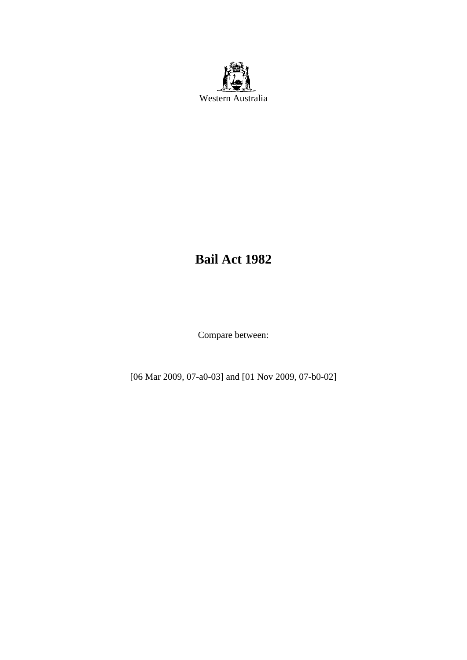

# **Bail Act 1982**

Compare between:

[06 Mar 2009, 07-a0-03] and [01 Nov 2009, 07-b0-02]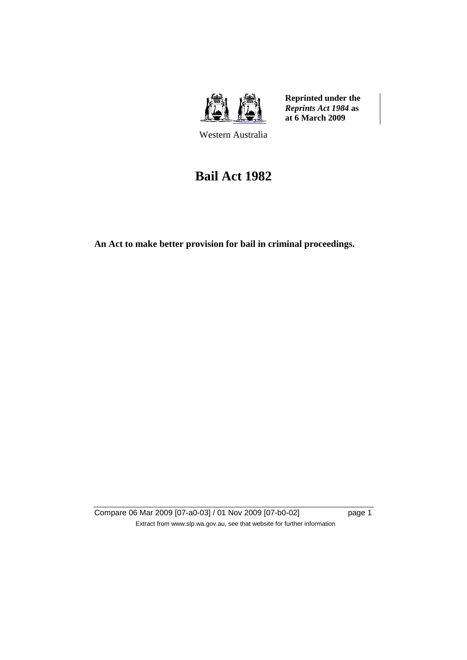

**Reprinted under the**  *Reprints Act 1984* **as at 6 March 2009**

Western Australia

# **Bail Act 1982**

**An Act to make better provision for bail in criminal proceedings.** 

Compare 06 Mar 2009 [07-a0-03] / 01 Nov 2009 [07-b0-02] page 1 Extract from www.slp.wa.gov.au, see that website for further information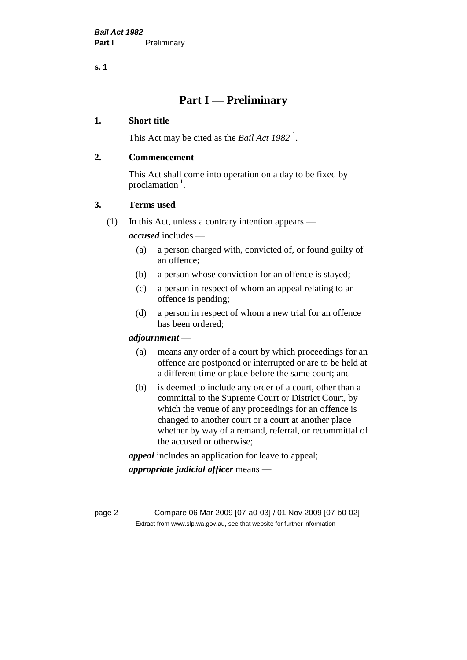# **Part I — Preliminary**

# **1. Short title**

This Act may be cited as the *Bail Act* 1982<sup>1</sup>.

# **2. Commencement**

This Act shall come into operation on a day to be fixed by proclamation  $<sup>1</sup>$ .</sup>

# **3. Terms used**

(1) In this Act, unless a contrary intention appears —

*accused* includes —

- (a) a person charged with, convicted of, or found guilty of an offence;
- (b) a person whose conviction for an offence is stayed;
- (c) a person in respect of whom an appeal relating to an offence is pending;
- (d) a person in respect of whom a new trial for an offence has been ordered;

### *adjournment* —

- (a) means any order of a court by which proceedings for an offence are postponed or interrupted or are to be held at a different time or place before the same court; and
- (b) is deemed to include any order of a court, other than a committal to the Supreme Court or District Court, by which the venue of any proceedings for an offence is changed to another court or a court at another place whether by way of a remand, referral, or recommittal of the accused or otherwise;

*appeal* includes an application for leave to appeal;

*appropriate judicial officer* means —

page 2 Compare 06 Mar 2009 [07-a0-03] / 01 Nov 2009 [07-b0-02] Extract from www.slp.wa.gov.au, see that website for further information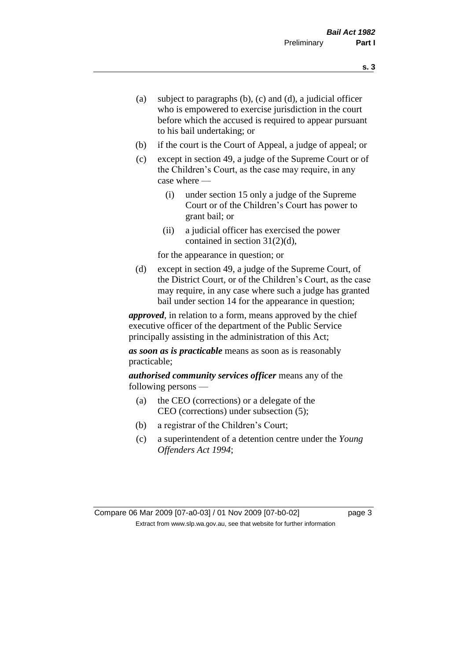- (a) subject to paragraphs (b), (c) and (d), a judicial officer who is empowered to exercise jurisdiction in the court before which the accused is required to appear pursuant to his bail undertaking; or
- (b) if the court is the Court of Appeal, a judge of appeal; or
- (c) except in section 49, a judge of the Supreme Court or of the Children's Court, as the case may require, in any case where —
	- (i) under section 15 only a judge of the Supreme Court or of the Children's Court has power to grant bail; or
	- (ii) a judicial officer has exercised the power contained in section 31(2)(d),

for the appearance in question; or

(d) except in section 49, a judge of the Supreme Court, of the District Court, or of the Children's Court, as the case may require, in any case where such a judge has granted bail under section 14 for the appearance in question;

*approved*, in relation to a form, means approved by the chief executive officer of the department of the Public Service principally assisting in the administration of this Act;

*as soon as is practicable* means as soon as is reasonably practicable;

*authorised community services officer* means any of the following persons —

- (a) the CEO (corrections) or a delegate of the CEO (corrections) under subsection (5);
- (b) a registrar of the Children's Court;
- (c) a superintendent of a detention centre under the *Young Offenders Act 1994*;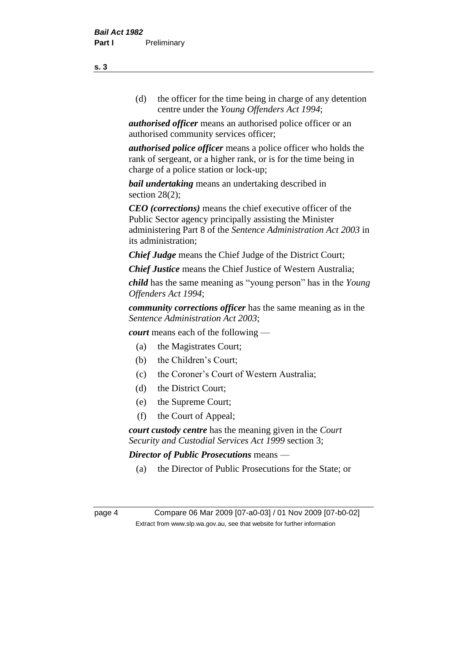(d) the officer for the time being in charge of any detention centre under the *Young Offenders Act 1994*;

*authorised officer* means an authorised police officer or an authorised community services officer;

*authorised police officer* means a police officer who holds the rank of sergeant, or a higher rank, or is for the time being in charge of a police station or lock-up;

*bail undertaking* means an undertaking described in section 28(2);

*CEO (corrections)* means the chief executive officer of the Public Sector agency principally assisting the Minister administering Part 8 of the *Sentence Administration Act 2003* in its administration;

*Chief Judge* means the Chief Judge of the District Court;

*Chief Justice* means the Chief Justice of Western Australia;

*child* has the same meaning as "young person" has in the *Young Offenders Act 1994*;

*community corrections officer* has the same meaning as in the *Sentence Administration Act 2003*;

*court* means each of the following —

- (a) the Magistrates Court;
- (b) the Children's Court;
- (c) the Coroner's Court of Western Australia;
- (d) the District Court;
- (e) the Supreme Court;
- (f) the Court of Appeal;

*court custody centre* has the meaning given in the *Court Security and Custodial Services Act 1999* section 3;

*Director of Public Prosecutions* means —

(a) the Director of Public Prosecutions for the State; or

**s. 3**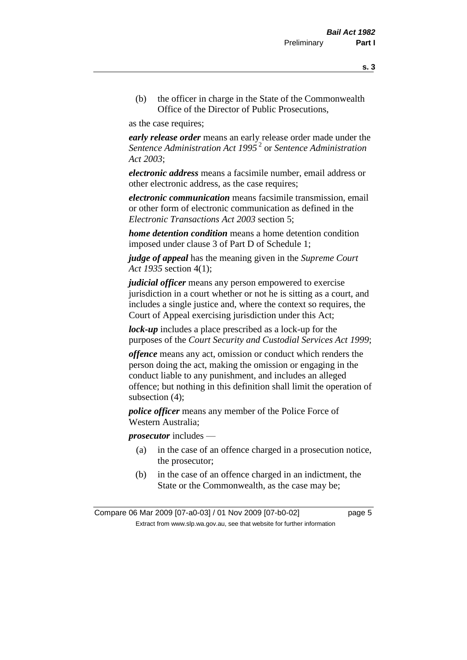- **s. 3**
- (b) the officer in charge in the State of the Commonwealth Office of the Director of Public Prosecutions,

as the case requires;

*early release order* means an early release order made under the *Sentence Administration Act 1995* <sup>2</sup> or *Sentence Administration Act 2003*;

*electronic address* means a facsimile number, email address or other electronic address, as the case requires;

*electronic communication* means facsimile transmission, email or other form of electronic communication as defined in the *Electronic Transactions Act 2003* section 5;

*home detention condition* means a home detention condition imposed under clause 3 of Part D of Schedule 1;

*judge of appeal* has the meaning given in the *Supreme Court Act 1935* section 4(1);

*judicial officer* means any person empowered to exercise jurisdiction in a court whether or not he is sitting as a court, and includes a single justice and, where the context so requires, the Court of Appeal exercising jurisdiction under this Act;

*lock-up* includes a place prescribed as a lock-up for the purposes of the *Court Security and Custodial Services Act 1999*;

*offence* means any act, omission or conduct which renders the person doing the act, making the omission or engaging in the conduct liable to any punishment, and includes an alleged offence; but nothing in this definition shall limit the operation of subsection (4);

*police officer* means any member of the Police Force of Western Australia;

*prosecutor* includes —

- (a) in the case of an offence charged in a prosecution notice, the prosecutor;
- (b) in the case of an offence charged in an indictment, the State or the Commonwealth, as the case may be;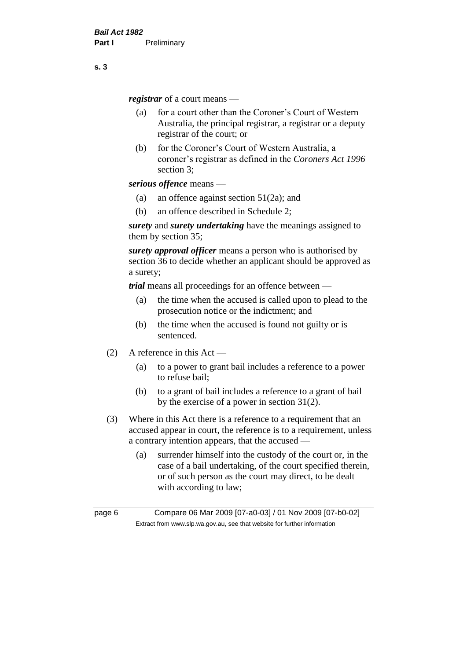*registrar* of a court means —

- (a) for a court other than the Coroner's Court of Western Australia, the principal registrar, a registrar or a deputy registrar of the court; or
- (b) for the Coroner's Court of Western Australia, a coroner's registrar as defined in the *Coroners Act 1996* section 3;

*serious offence* means —

- (a) an offence against section 51(2a); and
- (b) an offence described in Schedule 2;

*surety* and *surety undertaking* have the meanings assigned to them by section 35;

*surety approval officer* means a person who is authorised by section 36 to decide whether an applicant should be approved as a surety;

*trial* means all proceedings for an offence between —

- (a) the time when the accused is called upon to plead to the prosecution notice or the indictment; and
- (b) the time when the accused is found not guilty or is sentenced.
- (2) A reference in this Act
	- (a) to a power to grant bail includes a reference to a power to refuse bail;
	- (b) to a grant of bail includes a reference to a grant of bail by the exercise of a power in section 31(2).
- (3) Where in this Act there is a reference to a requirement that an accused appear in court, the reference is to a requirement, unless a contrary intention appears, that the accused —
	- (a) surrender himself into the custody of the court or, in the case of a bail undertaking, of the court specified therein, or of such person as the court may direct, to be dealt with according to law;

**s. 3**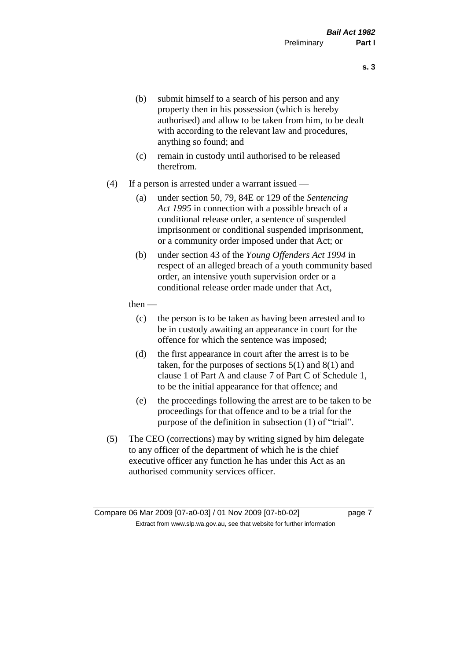- **s. 3**
- (b) submit himself to a search of his person and any property then in his possession (which is hereby authorised) and allow to be taken from him, to be dealt with according to the relevant law and procedures, anything so found; and
- (c) remain in custody until authorised to be released therefrom.
- (4) If a person is arrested under a warrant issued
	- (a) under section 50, 79, 84E or 129 of the *Sentencing Act 1995* in connection with a possible breach of a conditional release order, a sentence of suspended imprisonment or conditional suspended imprisonment, or a community order imposed under that Act; or
	- (b) under section 43 of the *Young Offenders Act 1994* in respect of an alleged breach of a youth community based order, an intensive youth supervision order or a conditional release order made under that Act,
	- then
		- (c) the person is to be taken as having been arrested and to be in custody awaiting an appearance in court for the offence for which the sentence was imposed;
		- (d) the first appearance in court after the arrest is to be taken, for the purposes of sections  $5(1)$  and  $8(1)$  and clause 1 of Part A and clause 7 of Part C of Schedule 1, to be the initial appearance for that offence; and
		- (e) the proceedings following the arrest are to be taken to be proceedings for that offence and to be a trial for the purpose of the definition in subsection (1) of "trial".
- (5) The CEO (corrections) may by writing signed by him delegate to any officer of the department of which he is the chief executive officer any function he has under this Act as an authorised community services officer.

Compare 06 Mar 2009 [07-a0-03] / 01 Nov 2009 [07-b0-02] page 7 Extract from www.slp.wa.gov.au, see that website for further information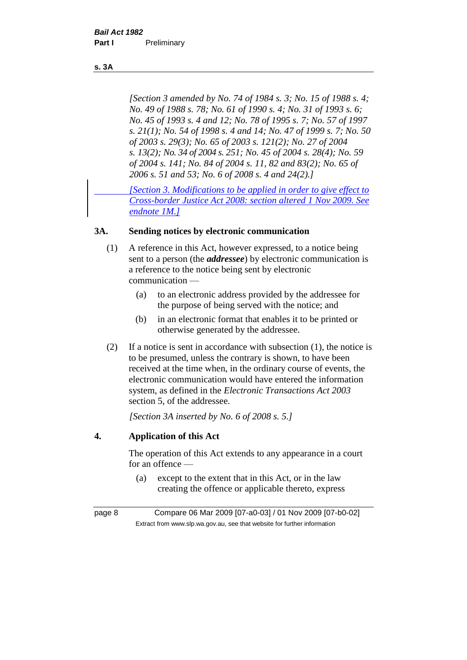#### **s. 3A**

*[Section 3 amended by No. 74 of 1984 s. 3; No. 15 of 1988 s. 4; No. 49 of 1988 s. 78; No. 61 of 1990 s. 4; No. 31 of 1993 s. 6; No. 45 of 1993 s. 4 and 12; No. 78 of 1995 s. 7; No. 57 of 1997 s. 21(1); No. 54 of 1998 s. 4 and 14; No. 47 of 1999 s. 7; No. 50 of 2003 s. 29(3); No. 65 of 2003 s. 121(2); No. 27 of 2004 s. 13(2); No. 34 of 2004 s. 251; No. 45 of 2004 s. 28(4); No. 59 of 2004 s. 141; No. 84 of 2004 s. 11, 82 and 83(2); No. 65 of 2006 s. 51 and 53; No. 6 of 2008 s. 4 and 24(2).]* 

*[Section 3. Modifications to be applied in order to give effect to Cross-border Justice Act 2008: section altered 1 Nov 2009. See endnote 1M.]*

# **3A. Sending notices by electronic communication**

- (1) A reference in this Act, however expressed, to a notice being sent to a person (the *addressee*) by electronic communication is a reference to the notice being sent by electronic communication —
	- (a) to an electronic address provided by the addressee for the purpose of being served with the notice; and
	- (b) in an electronic format that enables it to be printed or otherwise generated by the addressee.
- (2) If a notice is sent in accordance with subsection (1), the notice is to be presumed, unless the contrary is shown, to have been received at the time when, in the ordinary course of events, the electronic communication would have entered the information system, as defined in the *Electronic Transactions Act 2003* section 5, of the addressee.

*[Section 3A inserted by No. 6 of 2008 s. 5.]*

# **4. Application of this Act**

The operation of this Act extends to any appearance in a court for an offence —

(a) except to the extent that in this Act, or in the law creating the offence or applicable thereto, express

page 8 Compare 06 Mar 2009 [07-a0-03] / 01 Nov 2009 [07-b0-02] Extract from www.slp.wa.gov.au, see that website for further information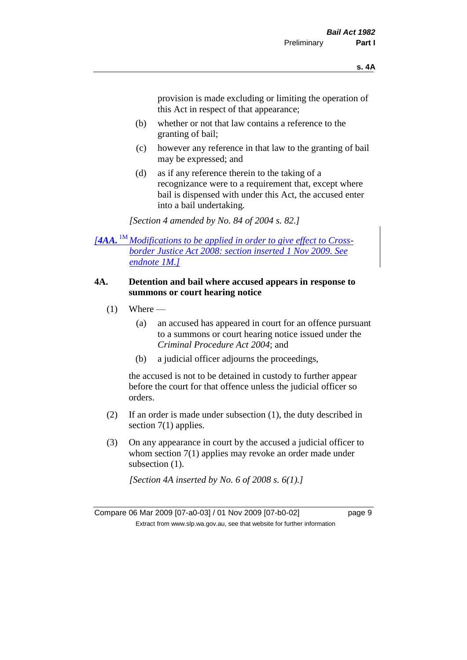provision is made excluding or limiting the operation of this Act in respect of that appearance;

- (b) whether or not that law contains a reference to the granting of bail;
- (c) however any reference in that law to the granting of bail may be expressed; and
- (d) as if any reference therein to the taking of a recognizance were to a requirement that, except where bail is dispensed with under this Act, the accused enter into a bail undertaking.

*[Section 4 amended by No. 84 of 2004 s. 82.]*

# [4AA.<sup>1M</sup> *Modifications to be applied in order to give effect to Crossborder Justice Act 2008: section inserted 1 Nov 2009. See endnote 1M.]*

# **4A. Detention and bail where accused appears in response to summons or court hearing notice**

- $(1)$  Where
	- (a) an accused has appeared in court for an offence pursuant to a summons or court hearing notice issued under the *Criminal Procedure Act 2004*; and
	- (b) a judicial officer adjourns the proceedings,

the accused is not to be detained in custody to further appear before the court for that offence unless the judicial officer so orders.

- (2) If an order is made under subsection (1), the duty described in section 7(1) applies.
- (3) On any appearance in court by the accused a judicial officer to whom section 7(1) applies may revoke an order made under subsection  $(1)$ .

*[Section 4A inserted by No. 6 of 2008 s. 6(1).]*

Compare 06 Mar 2009 [07-a0-03] / 01 Nov 2009 [07-b0-02] page 9 Extract from www.slp.wa.gov.au, see that website for further information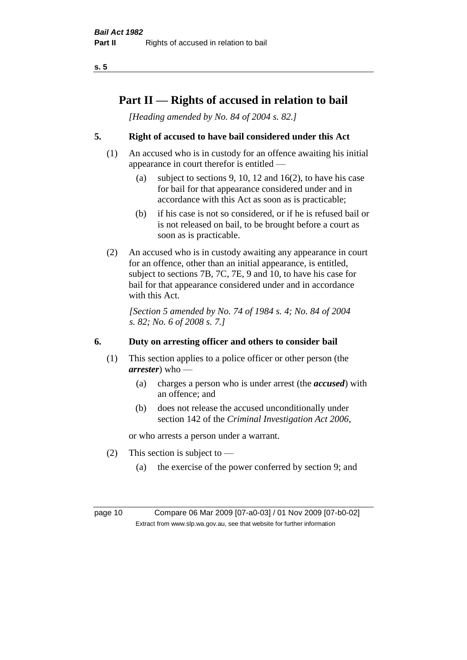# **Part II — Rights of accused in relation to bail**

*[Heading amended by No. 84 of 2004 s. 82.]* 

# **5. Right of accused to have bail considered under this Act**

- (1) An accused who is in custody for an offence awaiting his initial appearance in court therefor is entitled —
	- (a) subject to sections 9, 10, 12 and 16(2), to have his case for bail for that appearance considered under and in accordance with this Act as soon as is practicable;
	- (b) if his case is not so considered, or if he is refused bail or is not released on bail, to be brought before a court as soon as is practicable.
- (2) An accused who is in custody awaiting any appearance in court for an offence, other than an initial appearance, is entitled, subject to sections 7B, 7C, 7E, 9 and 10, to have his case for bail for that appearance considered under and in accordance with this Act.

*[Section 5 amended by No. 74 of 1984 s. 4; No. 84 of 2004 s. 82; No. 6 of 2008 s. 7.]* 

# **6. Duty on arresting officer and others to consider bail**

- (1) This section applies to a police officer or other person (the *arrester*) who —
	- (a) charges a person who is under arrest (the *accused*) with an offence; and
	- (b) does not release the accused unconditionally under section 142 of the *Criminal Investigation Act 2006*,

or who arrests a person under a warrant.

- (2) This section is subject to  $-$ 
	- (a) the exercise of the power conferred by section 9; and

page 10 Compare 06 Mar 2009 [07-a0-03] / 01 Nov 2009 [07-b0-02] Extract from www.slp.wa.gov.au, see that website for further information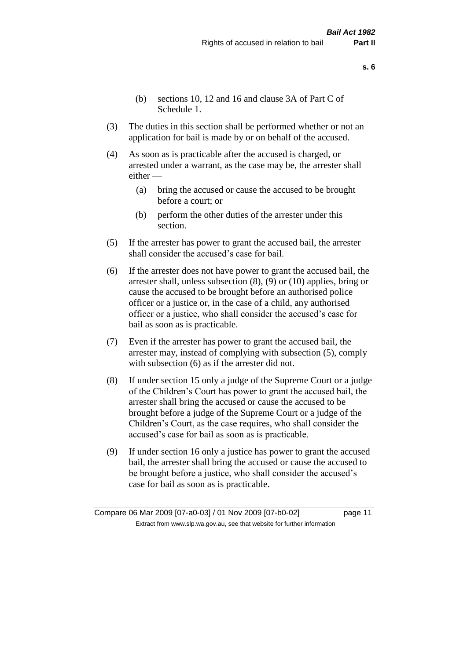- **s. 6**
- (b) sections 10, 12 and 16 and clause 3A of Part C of Schedule 1.
- (3) The duties in this section shall be performed whether or not an application for bail is made by or on behalf of the accused.
- (4) As soon as is practicable after the accused is charged, or arrested under a warrant, as the case may be, the arrester shall either —
	- (a) bring the accused or cause the accused to be brought before a court; or
	- (b) perform the other duties of the arrester under this section.
- (5) If the arrester has power to grant the accused bail, the arrester shall consider the accused's case for bail.
- (6) If the arrester does not have power to grant the accused bail, the arrester shall, unless subsection (8), (9) or (10) applies, bring or cause the accused to be brought before an authorised police officer or a justice or, in the case of a child, any authorised officer or a justice, who shall consider the accused's case for bail as soon as is practicable.
- (7) Even if the arrester has power to grant the accused bail, the arrester may, instead of complying with subsection (5), comply with subsection (6) as if the arrester did not.
- (8) If under section 15 only a judge of the Supreme Court or a judge of the Children's Court has power to grant the accused bail, the arrester shall bring the accused or cause the accused to be brought before a judge of the Supreme Court or a judge of the Children's Court, as the case requires, who shall consider the accused's case for bail as soon as is practicable.
- (9) If under section 16 only a justice has power to grant the accused bail, the arrester shall bring the accused or cause the accused to be brought before a justice, who shall consider the accused's case for bail as soon as is practicable.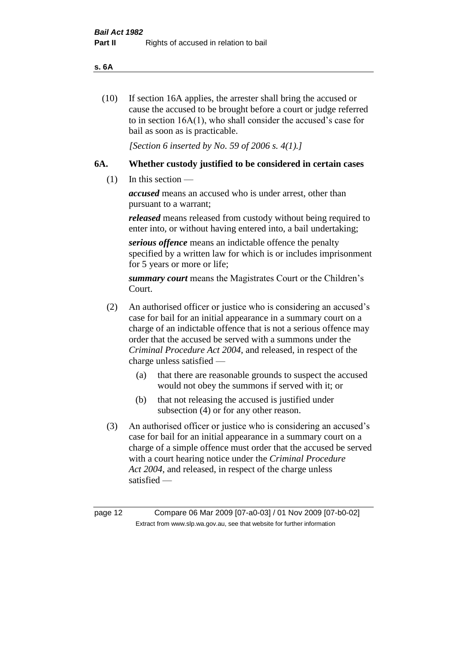#### **s. 6A**

(10) If section 16A applies, the arrester shall bring the accused or cause the accused to be brought before a court or judge referred to in section 16A(1), who shall consider the accused's case for bail as soon as is practicable.

*[Section 6 inserted by No. 59 of 2006 s. 4(1).]* 

## **6A. Whether custody justified to be considered in certain cases**

(1) In this section —

*accused* means an accused who is under arrest, other than pursuant to a warrant;

*released* means released from custody without being required to enter into, or without having entered into, a bail undertaking;

*serious offence* means an indictable offence the penalty specified by a written law for which is or includes imprisonment for 5 years or more or life;

*summary court* means the Magistrates Court or the Children's Court.

- (2) An authorised officer or justice who is considering an accused's case for bail for an initial appearance in a summary court on a charge of an indictable offence that is not a serious offence may order that the accused be served with a summons under the *Criminal Procedure Act 2004*, and released, in respect of the charge unless satisfied —
	- (a) that there are reasonable grounds to suspect the accused would not obey the summons if served with it; or
	- (b) that not releasing the accused is justified under subsection (4) or for any other reason.
- (3) An authorised officer or justice who is considering an accused's case for bail for an initial appearance in a summary court on a charge of a simple offence must order that the accused be served with a court hearing notice under the *Criminal Procedure Act 2004*, and released, in respect of the charge unless satisfied —

page 12 Compare 06 Mar 2009 [07-a0-03] / 01 Nov 2009 [07-b0-02] Extract from www.slp.wa.gov.au, see that website for further information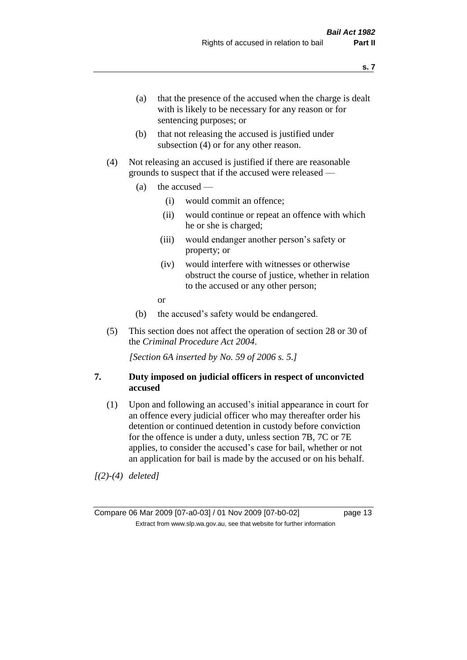- (a) that the presence of the accused when the charge is dealt with is likely to be necessary for any reason or for sentencing purposes; or
- (b) that not releasing the accused is justified under subsection (4) or for any other reason.
- (4) Not releasing an accused is justified if there are reasonable grounds to suspect that if the accused were released —
	- (a) the accused
		- (i) would commit an offence;
		- (ii) would continue or repeat an offence with which he or she is charged;
		- (iii) would endanger another person's safety or property; or
		- (iv) would interfere with witnesses or otherwise obstruct the course of justice, whether in relation to the accused or any other person;
		- or
	- (b) the accused's safety would be endangered.
- (5) This section does not affect the operation of section 28 or 30 of the *Criminal Procedure Act 2004*.

*[Section 6A inserted by No. 59 of 2006 s. 5.]* 

### **7. Duty imposed on judicial officers in respect of unconvicted accused**

(1) Upon and following an accused's initial appearance in court for an offence every judicial officer who may thereafter order his detention or continued detention in custody before conviction for the offence is under a duty, unless section 7B, 7C or 7E applies, to consider the accused's case for bail, whether or not an application for bail is made by the accused or on his behalf.

*[(2)-(4) deleted]*

**s. 7**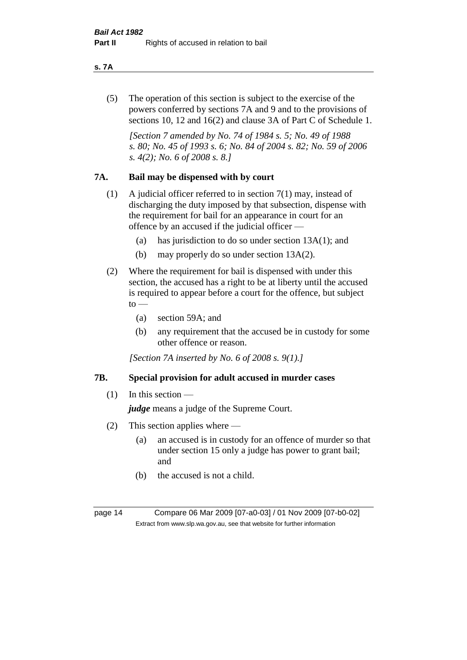#### **s. 7A**

(5) The operation of this section is subject to the exercise of the powers conferred by sections 7A and 9 and to the provisions of sections 10, 12 and 16(2) and clause 3A of Part C of Schedule 1.

*[Section 7 amended by No. 74 of 1984 s. 5; No. 49 of 1988 s. 80; No. 45 of 1993 s. 6; No. 84 of 2004 s. 82; No. 59 of 2006 s. 4(2); No. 6 of 2008 s. 8.]* 

### **7A. Bail may be dispensed with by court**

- (1) A judicial officer referred to in section 7(1) may, instead of discharging the duty imposed by that subsection, dispense with the requirement for bail for an appearance in court for an offence by an accused if the judicial officer —
	- (a) has jurisdiction to do so under section 13A(1); and
	- (b) may properly do so under section 13A(2).
- (2) Where the requirement for bail is dispensed with under this section, the accused has a right to be at liberty until the accused is required to appear before a court for the offence, but subject  $\mathrm{to}$  —
	- (a) section 59A; and
	- (b) any requirement that the accused be in custody for some other offence or reason.

*[Section 7A inserted by No. 6 of 2008 s. 9(1).]*

#### **7B. Special provision for adult accused in murder cases**

 $(1)$  In this section —

*judge* means a judge of the Supreme Court.

- (2) This section applies where
	- (a) an accused is in custody for an offence of murder so that under section 15 only a judge has power to grant bail; and
	- (b) the accused is not a child.

page 14 Compare 06 Mar 2009 [07-a0-03] / 01 Nov 2009 [07-b0-02] Extract from www.slp.wa.gov.au, see that website for further information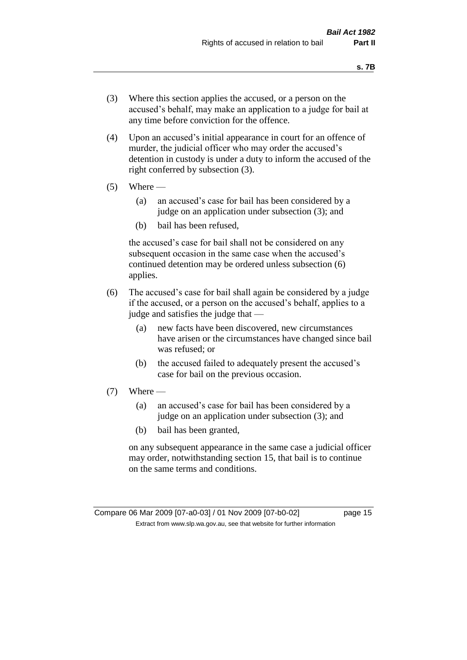- (3) Where this section applies the accused, or a person on the accused's behalf, may make an application to a judge for bail at any time before conviction for the offence.
- (4) Upon an accused's initial appearance in court for an offence of murder, the judicial officer who may order the accused's detention in custody is under a duty to inform the accused of the right conferred by subsection (3).
- $(5)$  Where
	- (a) an accused's case for bail has been considered by a judge on an application under subsection (3); and
	- (b) bail has been refused,

the accused's case for bail shall not be considered on any subsequent occasion in the same case when the accused's continued detention may be ordered unless subsection (6) applies.

- (6) The accused's case for bail shall again be considered by a judge if the accused, or a person on the accused's behalf, applies to a judge and satisfies the judge that —
	- (a) new facts have been discovered, new circumstances have arisen or the circumstances have changed since bail was refused; or
	- (b) the accused failed to adequately present the accused's case for bail on the previous occasion.
- $(7)$  Where
	- (a) an accused's case for bail has been considered by a judge on an application under subsection (3); and
	- (b) bail has been granted,

on any subsequent appearance in the same case a judicial officer may order, notwithstanding section 15, that bail is to continue on the same terms and conditions.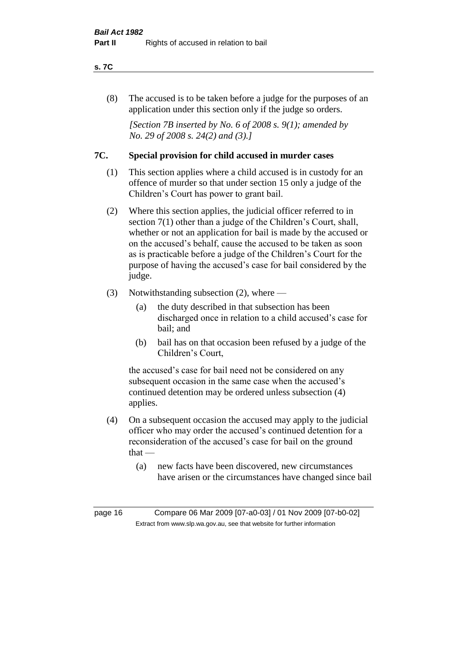#### **s. 7C**

(8) The accused is to be taken before a judge for the purposes of an application under this section only if the judge so orders.

*[Section 7B inserted by No. 6 of 2008 s. 9(1); amended by No. 29 of 2008 s. 24(2) and (3).]*

# **7C. Special provision for child accused in murder cases**

- (1) This section applies where a child accused is in custody for an offence of murder so that under section 15 only a judge of the Children's Court has power to grant bail.
- (2) Where this section applies, the judicial officer referred to in section 7(1) other than a judge of the Children's Court, shall, whether or not an application for bail is made by the accused or on the accused's behalf, cause the accused to be taken as soon as is practicable before a judge of the Children's Court for the purpose of having the accused's case for bail considered by the judge.
- (3) Notwithstanding subsection (2), where
	- (a) the duty described in that subsection has been discharged once in relation to a child accused's case for bail; and
	- (b) bail has on that occasion been refused by a judge of the Children's Court,

the accused's case for bail need not be considered on any subsequent occasion in the same case when the accused's continued detention may be ordered unless subsection (4) applies.

- (4) On a subsequent occasion the accused may apply to the judicial officer who may order the accused's continued detention for a reconsideration of the accused's case for bail on the ground  $that -$ 
	- (a) new facts have been discovered, new circumstances have arisen or the circumstances have changed since bail

page 16 Compare 06 Mar 2009 [07-a0-03] / 01 Nov 2009 [07-b0-02] Extract from www.slp.wa.gov.au, see that website for further information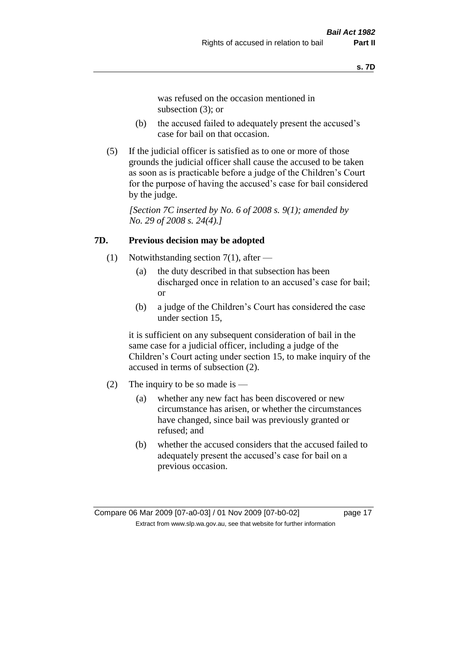was refused on the occasion mentioned in subsection (3); or

- (b) the accused failed to adequately present the accused's case for bail on that occasion.
- (5) If the judicial officer is satisfied as to one or more of those grounds the judicial officer shall cause the accused to be taken as soon as is practicable before a judge of the Children's Court for the purpose of having the accused's case for bail considered by the judge.

*[Section 7C inserted by No. 6 of 2008 s. 9(1); amended by No. 29 of 2008 s. 24(4).]*

### **7D. Previous decision may be adopted**

- (1) Notwithstanding section 7(1), after
	- (a) the duty described in that subsection has been discharged once in relation to an accused's case for bail; or
	- (b) a judge of the Children's Court has considered the case under section 15,

it is sufficient on any subsequent consideration of bail in the same case for a judicial officer, including a judge of the Children's Court acting under section 15, to make inquiry of the accused in terms of subsection (2).

- (2) The inquiry to be so made is  $-$ 
	- (a) whether any new fact has been discovered or new circumstance has arisen, or whether the circumstances have changed, since bail was previously granted or refused; and
	- (b) whether the accused considers that the accused failed to adequately present the accused's case for bail on a previous occasion.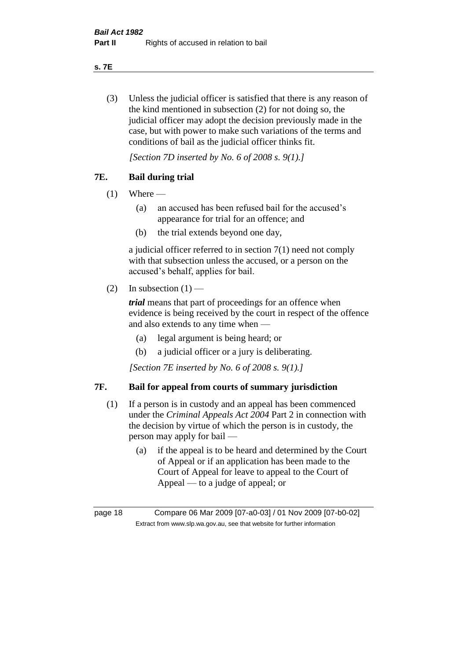**s. 7E**

(3) Unless the judicial officer is satisfied that there is any reason of the kind mentioned in subsection (2) for not doing so, the judicial officer may adopt the decision previously made in the case, but with power to make such variations of the terms and conditions of bail as the judicial officer thinks fit.

*[Section 7D inserted by No. 6 of 2008 s. 9(1).]*

# **7E. Bail during trial**

- $(1)$  Where
	- (a) an accused has been refused bail for the accused's appearance for trial for an offence; and
	- (b) the trial extends beyond one day,

a judicial officer referred to in section 7(1) need not comply with that subsection unless the accused, or a person on the accused's behalf, applies for bail.

(2) In subsection  $(1)$  —

*trial* means that part of proceedings for an offence when evidence is being received by the court in respect of the offence and also extends to any time when —

- (a) legal argument is being heard; or
- (b) a judicial officer or a jury is deliberating.

*[Section 7E inserted by No. 6 of 2008 s. 9(1).]*

# **7F. Bail for appeal from courts of summary jurisdiction**

- (1) If a person is in custody and an appeal has been commenced under the *Criminal Appeals Act 2004* Part 2 in connection with the decision by virtue of which the person is in custody, the person may apply for bail —
	- (a) if the appeal is to be heard and determined by the Court of Appeal or if an application has been made to the Court of Appeal for leave to appeal to the Court of Appeal — to a judge of appeal; or

page 18 Compare 06 Mar 2009 [07-a0-03] / 01 Nov 2009 [07-b0-02] Extract from www.slp.wa.gov.au, see that website for further information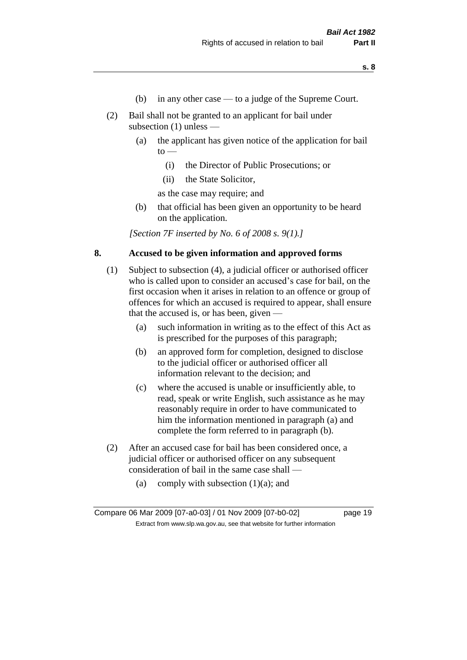- (b) in any other case to a judge of the Supreme Court.
- (2) Bail shall not be granted to an applicant for bail under subsection (1) unless —
	- (a) the applicant has given notice of the application for bail  $to -$ 
		- (i) the Director of Public Prosecutions; or
		- (ii) the State Solicitor,

as the case may require; and

(b) that official has been given an opportunity to be heard on the application.

*[Section 7F inserted by No. 6 of 2008 s. 9(1).]*

#### **8. Accused to be given information and approved forms**

- (1) Subject to subsection (4), a judicial officer or authorised officer who is called upon to consider an accused's case for bail, on the first occasion when it arises in relation to an offence or group of offences for which an accused is required to appear, shall ensure that the accused is, or has been, given —
	- (a) such information in writing as to the effect of this Act as is prescribed for the purposes of this paragraph;
	- (b) an approved form for completion, designed to disclose to the judicial officer or authorised officer all information relevant to the decision; and
	- (c) where the accused is unable or insufficiently able, to read, speak or write English, such assistance as he may reasonably require in order to have communicated to him the information mentioned in paragraph (a) and complete the form referred to in paragraph (b).
- (2) After an accused case for bail has been considered once, a judicial officer or authorised officer on any subsequent consideration of bail in the same case shall —
	- (a) comply with subsection  $(1)(a)$ ; and

Compare 06 Mar 2009 [07-a0-03] / 01 Nov 2009 [07-b0-02] page 19 Extract from www.slp.wa.gov.au, see that website for further information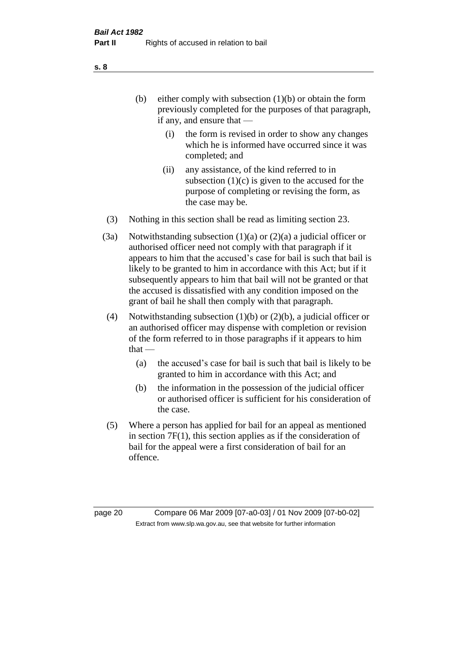- (b) either comply with subsection  $(1)(b)$  or obtain the form previously completed for the purposes of that paragraph, if any, and ensure that —
	- (i) the form is revised in order to show any changes which he is informed have occurred since it was completed; and
	- (ii) any assistance, of the kind referred to in subsection  $(1)(c)$  is given to the accused for the purpose of completing or revising the form, as the case may be.
- (3) Nothing in this section shall be read as limiting section 23.
- (3a) Notwithstanding subsection  $(1)(a)$  or  $(2)(a)$  a judicial officer or authorised officer need not comply with that paragraph if it appears to him that the accused's case for bail is such that bail is likely to be granted to him in accordance with this Act; but if it subsequently appears to him that bail will not be granted or that the accused is dissatisfied with any condition imposed on the grant of bail he shall then comply with that paragraph.
- (4) Notwithstanding subsection (1)(b) or (2)(b), a judicial officer or an authorised officer may dispense with completion or revision of the form referred to in those paragraphs if it appears to him  $that -$ 
	- (a) the accused's case for bail is such that bail is likely to be granted to him in accordance with this Act; and
	- (b) the information in the possession of the judicial officer or authorised officer is sufficient for his consideration of the case.
- (5) Where a person has applied for bail for an appeal as mentioned in section 7F(1), this section applies as if the consideration of bail for the appeal were a first consideration of bail for an offence.

page 20 Compare 06 Mar 2009 [07-a0-03] / 01 Nov 2009 [07-b0-02] Extract from www.slp.wa.gov.au, see that website for further information

**s. 8**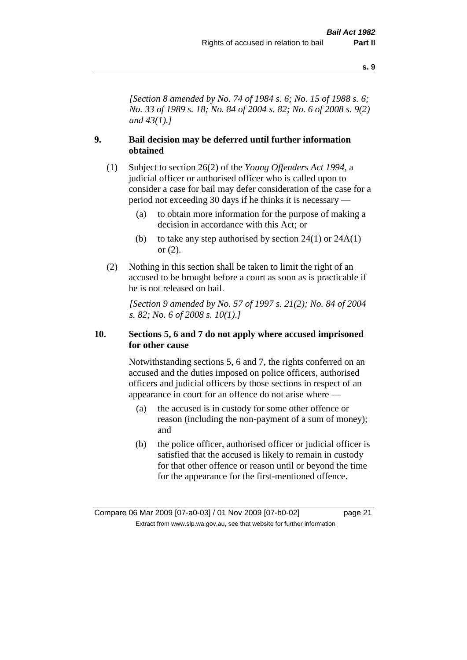*[Section 8 amended by No. 74 of 1984 s. 6; No. 15 of 1988 s. 6; No. 33 of 1989 s. 18; No. 84 of 2004 s. 82; No. 6 of 2008 s. 9(2) and 43(1).]* 

# **9. Bail decision may be deferred until further information obtained**

- (1) Subject to section 26(2) of the *Young Offenders Act 1994*, a judicial officer or authorised officer who is called upon to consider a case for bail may defer consideration of the case for a period not exceeding 30 days if he thinks it is necessary —
	- (a) to obtain more information for the purpose of making a decision in accordance with this Act; or
	- (b) to take any step authorised by section  $24(1)$  or  $24A(1)$ or (2).
- (2) Nothing in this section shall be taken to limit the right of an accused to be brought before a court as soon as is practicable if he is not released on bail.

*[Section 9 amended by No. 57 of 1997 s. 21(2); No. 84 of 2004 s. 82; No. 6 of 2008 s. 10(1).]*

#### **10. Sections 5, 6 and 7 do not apply where accused imprisoned for other cause**

Notwithstanding sections 5, 6 and 7, the rights conferred on an accused and the duties imposed on police officers, authorised officers and judicial officers by those sections in respect of an appearance in court for an offence do not arise where —

- (a) the accused is in custody for some other offence or reason (including the non-payment of a sum of money); and
- (b) the police officer, authorised officer or judicial officer is satisfied that the accused is likely to remain in custody for that other offence or reason until or beyond the time for the appearance for the first-mentioned offence.

Compare 06 Mar 2009 [07-a0-03] / 01 Nov 2009 [07-b0-02] page 21 Extract from www.slp.wa.gov.au, see that website for further information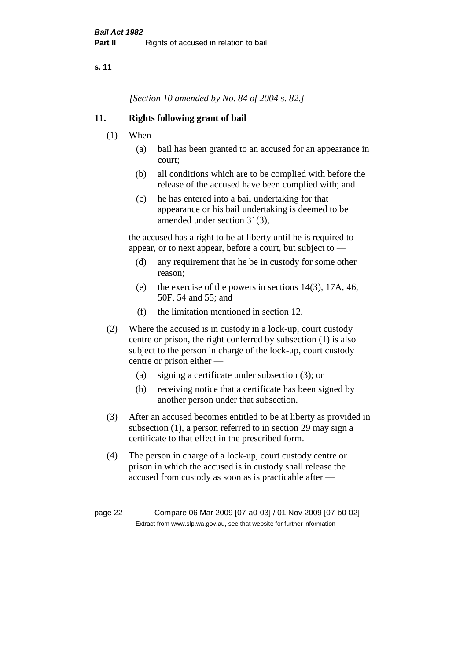*[Section 10 amended by No. 84 of 2004 s. 82.]*

# **11. Rights following grant of bail**

- $(1)$  When
	- (a) bail has been granted to an accused for an appearance in court;
	- (b) all conditions which are to be complied with before the release of the accused have been complied with; and
	- (c) he has entered into a bail undertaking for that appearance or his bail undertaking is deemed to be amended under section 31(3),

the accused has a right to be at liberty until he is required to appear, or to next appear, before a court, but subject to —

- (d) any requirement that he be in custody for some other reason;
- (e) the exercise of the powers in sections 14(3), 17A, 46, 50F, 54 and 55; and
- (f) the limitation mentioned in section 12.
- (2) Where the accused is in custody in a lock-up, court custody centre or prison, the right conferred by subsection (1) is also subject to the person in charge of the lock-up, court custody centre or prison either —
	- (a) signing a certificate under subsection (3); or
	- (b) receiving notice that a certificate has been signed by another person under that subsection.
- (3) After an accused becomes entitled to be at liberty as provided in subsection (1), a person referred to in section 29 may sign a certificate to that effect in the prescribed form.
- (4) The person in charge of a lock-up, court custody centre or prison in which the accused is in custody shall release the accused from custody as soon as is practicable after —

page 22 Compare 06 Mar 2009 [07-a0-03] / 01 Nov 2009 [07-b0-02] Extract from www.slp.wa.gov.au, see that website for further information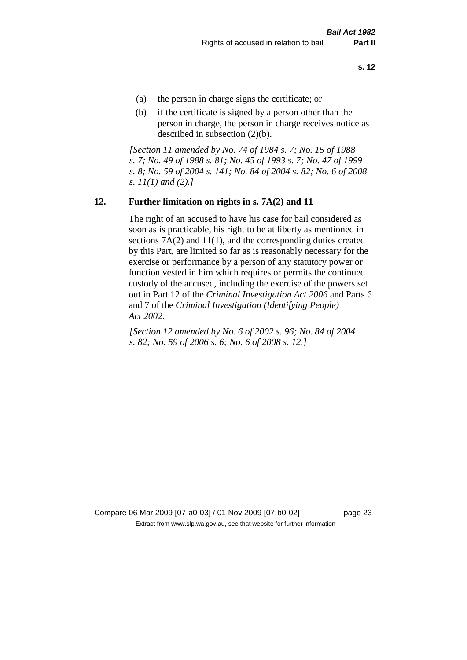- (a) the person in charge signs the certificate; or
- (b) if the certificate is signed by a person other than the person in charge, the person in charge receives notice as described in subsection (2)(b).

*[Section 11 amended by No. 74 of 1984 s. 7; No. 15 of 1988 s. 7; No. 49 of 1988 s. 81; No. 45 of 1993 s. 7; No. 47 of 1999 s. 8; No. 59 of 2004 s. 141; No. 84 of 2004 s. 82; No. 6 of 2008 s. 11(1) and (2).]* 

### **12. Further limitation on rights in s. 7A(2) and 11**

The right of an accused to have his case for bail considered as soon as is practicable, his right to be at liberty as mentioned in sections 7A(2) and 11(1), and the corresponding duties created by this Part, are limited so far as is reasonably necessary for the exercise or performance by a person of any statutory power or function vested in him which requires or permits the continued custody of the accused, including the exercise of the powers set out in Part 12 of the *Criminal Investigation Act 2006* and Parts 6 and 7 of the *Criminal Investigation (Identifying People) Act 2002*.

*[Section 12 amended by No. 6 of 2002 s. 96; No. 84 of 2004 s. 82; No. 59 of 2006 s. 6; No. 6 of 2008 s. 12.]*

Compare 06 Mar 2009 [07-a0-03] / 01 Nov 2009 [07-b0-02] page 23 Extract from www.slp.wa.gov.au, see that website for further information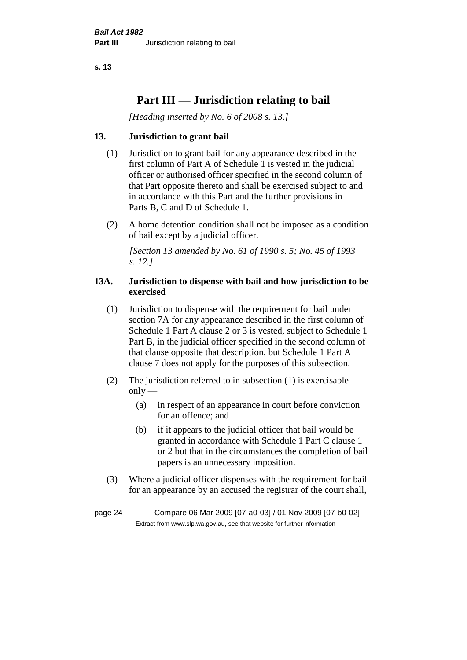# **Part III — Jurisdiction relating to bail**

*[Heading inserted by No. 6 of 2008 s. 13.]*

# **13. Jurisdiction to grant bail**

- (1) Jurisdiction to grant bail for any appearance described in the first column of Part A of Schedule 1 is vested in the judicial officer or authorised officer specified in the second column of that Part opposite thereto and shall be exercised subject to and in accordance with this Part and the further provisions in Parts B, C and D of Schedule 1.
- (2) A home detention condition shall not be imposed as a condition of bail except by a judicial officer.

*[Section 13 amended by No. 61 of 1990 s. 5; No. 45 of 1993 s. 12.]* 

# **13A. Jurisdiction to dispense with bail and how jurisdiction to be exercised**

- (1) Jurisdiction to dispense with the requirement for bail under section 7A for any appearance described in the first column of Schedule 1 Part A clause 2 or 3 is vested, subject to Schedule 1 Part B, in the judicial officer specified in the second column of that clause opposite that description, but Schedule 1 Part A clause 7 does not apply for the purposes of this subsection.
- (2) The jurisdiction referred to in subsection (1) is exercisable  $only$ —
	- (a) in respect of an appearance in court before conviction for an offence; and
	- (b) if it appears to the judicial officer that bail would be granted in accordance with Schedule 1 Part C clause 1 or 2 but that in the circumstances the completion of bail papers is an unnecessary imposition.
- (3) Where a judicial officer dispenses with the requirement for bail for an appearance by an accused the registrar of the court shall,

page 24 Compare 06 Mar 2009 [07-a0-03] / 01 Nov 2009 [07-b0-02] Extract from www.slp.wa.gov.au, see that website for further information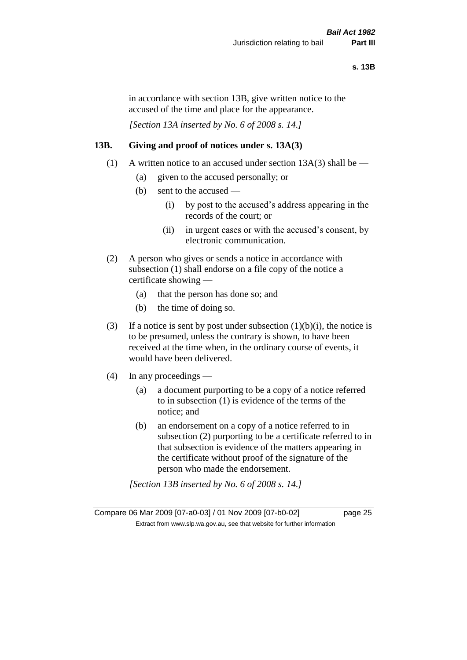in accordance with section 13B, give written notice to the accused of the time and place for the appearance.

*[Section 13A inserted by No. 6 of 2008 s. 14.]*

# **13B. Giving and proof of notices under s. 13A(3)**

- (1) A written notice to an accused under section  $13A(3)$  shall be
	- (a) given to the accused personally; or
	- (b) sent to the accused
		- (i) by post to the accused's address appearing in the records of the court; or
		- (ii) in urgent cases or with the accused's consent, by electronic communication.
- (2) A person who gives or sends a notice in accordance with subsection (1) shall endorse on a file copy of the notice a certificate showing —
	- (a) that the person has done so; and
	- (b) the time of doing so.
- (3) If a notice is sent by post under subsection  $(1)(b)(i)$ , the notice is to be presumed, unless the contrary is shown, to have been received at the time when, in the ordinary course of events, it would have been delivered.
- (4) In any proceedings
	- (a) a document purporting to be a copy of a notice referred to in subsection (1) is evidence of the terms of the notice; and
	- (b) an endorsement on a copy of a notice referred to in subsection (2) purporting to be a certificate referred to in that subsection is evidence of the matters appearing in the certificate without proof of the signature of the person who made the endorsement.

*[Section 13B inserted by No. 6 of 2008 s. 14.]*

Compare 06 Mar 2009 [07-a0-03] / 01 Nov 2009 [07-b0-02] page 25 Extract from www.slp.wa.gov.au, see that website for further information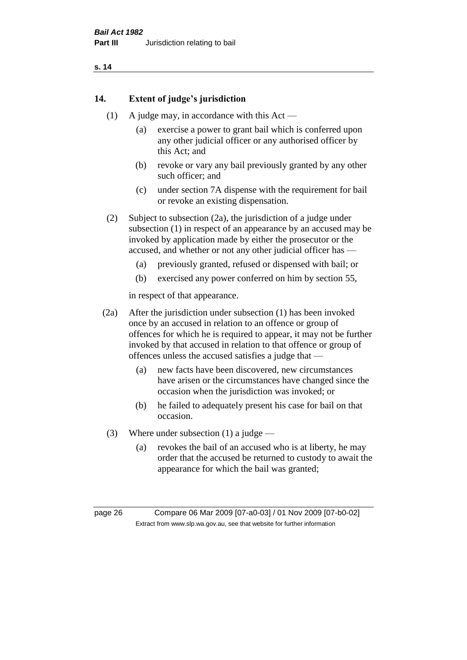# **14. Extent of judge's jurisdiction**

- (1) A judge may, in accordance with this Act
	- (a) exercise a power to grant bail which is conferred upon any other judicial officer or any authorised officer by this Act; and
	- (b) revoke or vary any bail previously granted by any other such officer; and
	- (c) under section 7A dispense with the requirement for bail or revoke an existing dispensation.

(2) Subject to subsection (2a), the jurisdiction of a judge under subsection (1) in respect of an appearance by an accused may be invoked by application made by either the prosecutor or the accused, and whether or not any other judicial officer has —

- (a) previously granted, refused or dispensed with bail; or
- (b) exercised any power conferred on him by section 55,

in respect of that appearance.

(2a) After the jurisdiction under subsection (1) has been invoked once by an accused in relation to an offence or group of offences for which he is required to appear, it may not be further invoked by that accused in relation to that offence or group of offences unless the accused satisfies a judge that —

- (a) new facts have been discovered, new circumstances have arisen or the circumstances have changed since the occasion when the jurisdiction was invoked; or
- (b) he failed to adequately present his case for bail on that occasion.
- (3) Where under subsection (1) a judge
	- (a) revokes the bail of an accused who is at liberty, he may order that the accused be returned to custody to await the appearance for which the bail was granted;

page 26 Compare 06 Mar 2009 [07-a0-03] / 01 Nov 2009 [07-b0-02] Extract from www.slp.wa.gov.au, see that website for further information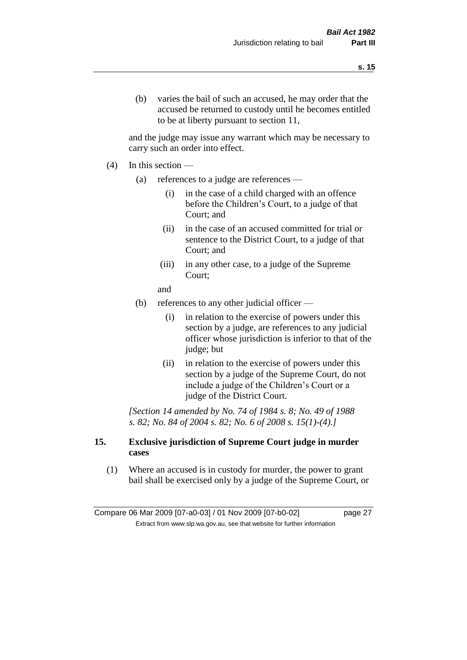and the judge may issue any warrant which may be necessary to carry such an order into effect.

- $(4)$  In this section
	- (a) references to a judge are references —

to be at liberty pursuant to section 11,

- (i) in the case of a child charged with an offence before the Children's Court, to a judge of that Court; and
- (ii) in the case of an accused committed for trial or sentence to the District Court, to a judge of that Court; and
- (iii) in any other case, to a judge of the Supreme Court;

and

- (b) references to any other judicial officer
	- (i) in relation to the exercise of powers under this section by a judge, are references to any judicial officer whose jurisdiction is inferior to that of the judge; but
	- (ii) in relation to the exercise of powers under this section by a judge of the Supreme Court, do not include a judge of the Children's Court or a judge of the District Court.

*[Section 14 amended by No. 74 of 1984 s. 8; No. 49 of 1988 s. 82; No. 84 of 2004 s. 82; No. 6 of 2008 s. 15(1)-(4).]* 

# **15. Exclusive jurisdiction of Supreme Court judge in murder cases**

(1) Where an accused is in custody for murder, the power to grant bail shall be exercised only by a judge of the Supreme Court, or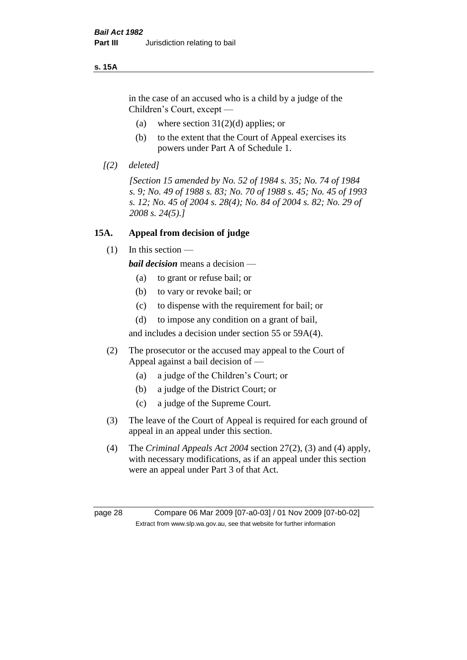#### **s. 15A**

in the case of an accused who is a child by a judge of the Children's Court, except —

- (a) where section  $31(2)(d)$  applies; or
- (b) to the extent that the Court of Appeal exercises its powers under Part A of Schedule 1.
- *[(2) deleted]*

*[Section 15 amended by No. 52 of 1984 s. 35; No. 74 of 1984 s. 9; No. 49 of 1988 s. 83; No. 70 of 1988 s. 45; No. 45 of 1993 s. 12; No. 45 of 2004 s. 28(4); No. 84 of 2004 s. 82; No. 29 of 2008 s. 24(5).]* 

# **15A. Appeal from decision of judge**

 $(1)$  In this section —

*bail decision* means a decision —

- (a) to grant or refuse bail; or
- (b) to vary or revoke bail; or
- (c) to dispense with the requirement for bail; or
- (d) to impose any condition on a grant of bail,

and includes a decision under section 55 or 59A(4).

- (2) The prosecutor or the accused may appeal to the Court of Appeal against a bail decision of —
	- (a) a judge of the Children's Court; or
	- (b) a judge of the District Court; or
	- (c) a judge of the Supreme Court.
- (3) The leave of the Court of Appeal is required for each ground of appeal in an appeal under this section.
- (4) The *Criminal Appeals Act 2004* section 27(2), (3) and (4) apply, with necessary modifications, as if an appeal under this section were an appeal under Part 3 of that Act.

page 28 Compare 06 Mar 2009 [07-a0-03] / 01 Nov 2009 [07-b0-02] Extract from www.slp.wa.gov.au, see that website for further information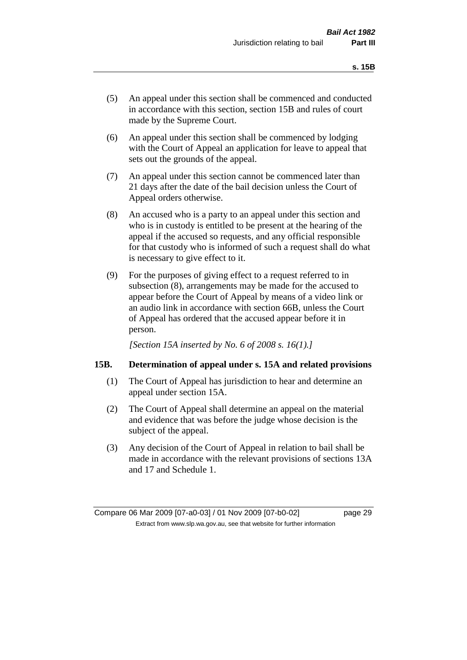- (5) An appeal under this section shall be commenced and conducted in accordance with this section, section 15B and rules of court made by the Supreme Court.
- (6) An appeal under this section shall be commenced by lodging with the Court of Appeal an application for leave to appeal that sets out the grounds of the appeal.
- (7) An appeal under this section cannot be commenced later than 21 days after the date of the bail decision unless the Court of Appeal orders otherwise.
- (8) An accused who is a party to an appeal under this section and who is in custody is entitled to be present at the hearing of the appeal if the accused so requests, and any official responsible for that custody who is informed of such a request shall do what is necessary to give effect to it.
- (9) For the purposes of giving effect to a request referred to in subsection (8), arrangements may be made for the accused to appear before the Court of Appeal by means of a video link or an audio link in accordance with section 66B, unless the Court of Appeal has ordered that the accused appear before it in person.

*[Section 15A inserted by No. 6 of 2008 s. 16(1).]*

### **15B. Determination of appeal under s. 15A and related provisions**

- (1) The Court of Appeal has jurisdiction to hear and determine an appeal under section 15A.
- (2) The Court of Appeal shall determine an appeal on the material and evidence that was before the judge whose decision is the subject of the appeal.
- (3) Any decision of the Court of Appeal in relation to bail shall be made in accordance with the relevant provisions of sections 13A and 17 and Schedule 1.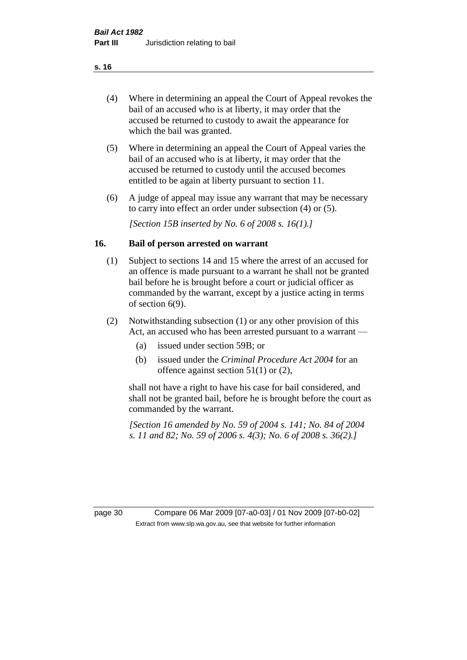(4) Where in determining an appeal the Court of Appeal revokes the bail of an accused who is at liberty, it may order that the accused be returned to custody to await the appearance for

- (5) Where in determining an appeal the Court of Appeal varies the bail of an accused who is at liberty, it may order that the accused be returned to custody until the accused becomes entitled to be again at liberty pursuant to section 11.
- (6) A judge of appeal may issue any warrant that may be necessary to carry into effect an order under subsection (4) or (5).

*[Section 15B inserted by No. 6 of 2008 s. 16(1).]*

### **16. Bail of person arrested on warrant**

which the bail was granted.

- (1) Subject to sections 14 and 15 where the arrest of an accused for an offence is made pursuant to a warrant he shall not be granted bail before he is brought before a court or judicial officer as commanded by the warrant, except by a justice acting in terms of section 6(9).
- (2) Notwithstanding subsection (1) or any other provision of this Act, an accused who has been arrested pursuant to a warrant —
	- (a) issued under section 59B; or
	- (b) issued under the *Criminal Procedure Act 2004* for an offence against section 51(1) or (2),

shall not have a right to have his case for bail considered, and shall not be granted bail, before he is brought before the court as commanded by the warrant.

*[Section 16 amended by No. 59 of 2004 s. 141; No. 84 of 2004 s. 11 and 82; No. 59 of 2006 s. 4(3); No. 6 of 2008 s. 36(2).]*

page 30 Compare 06 Mar 2009 [07-a0-03] / 01 Nov 2009 [07-b0-02] Extract from www.slp.wa.gov.au, see that website for further information

**s. 16**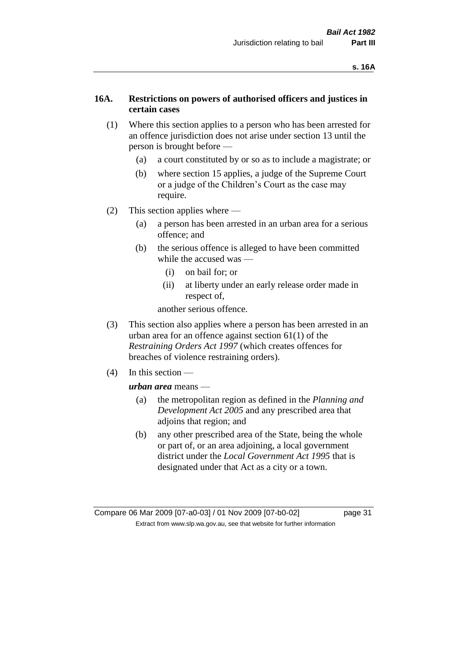# **16A. Restrictions on powers of authorised officers and justices in certain cases**

- (1) Where this section applies to a person who has been arrested for an offence jurisdiction does not arise under section 13 until the person is brought before —
	- (a) a court constituted by or so as to include a magistrate; or
	- (b) where section 15 applies, a judge of the Supreme Court or a judge of the Children's Court as the case may require.
- (2) This section applies where
	- (a) a person has been arrested in an urban area for a serious offence; and
	- (b) the serious offence is alleged to have been committed while the accused was —
		- (i) on bail for; or
		- (ii) at liberty under an early release order made in respect of,

another serious offence.

- (3) This section also applies where a person has been arrested in an urban area for an offence against section 61(1) of the *Restraining Orders Act 1997* (which creates offences for breaches of violence restraining orders).
- (4) In this section —

*urban area* means —

- (a) the metropolitan region as defined in the *Planning and Development Act 2005* and any prescribed area that adjoins that region; and
- (b) any other prescribed area of the State, being the whole or part of, or an area adjoining, a local government district under the *Local Government Act 1995* that is designated under that Act as a city or a town.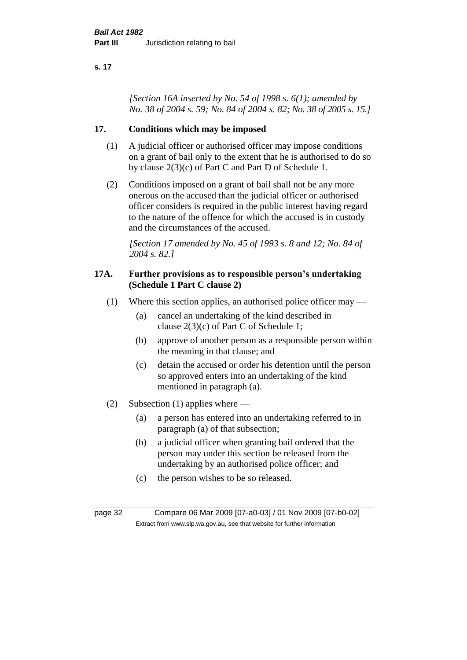*[Section 16A inserted by No. 54 of 1998 s. 6(1); amended by No. 38 of 2004 s. 59; No. 84 of 2004 s. 82; No. 38 of 2005 s. 15.]*

# **17. Conditions which may be imposed**

- (1) A judicial officer or authorised officer may impose conditions on a grant of bail only to the extent that he is authorised to do so by clause 2(3)(c) of Part C and Part D of Schedule 1.
- (2) Conditions imposed on a grant of bail shall not be any more onerous on the accused than the judicial officer or authorised officer considers is required in the public interest having regard to the nature of the offence for which the accused is in custody and the circumstances of the accused.

*[Section 17 amended by No. 45 of 1993 s. 8 and 12; No. 84 of 2004 s. 82.]* 

# **17A. Further provisions as to responsible person's undertaking (Schedule 1 Part C clause 2)**

- (1) Where this section applies, an authorised police officer may
	- (a) cancel an undertaking of the kind described in clause 2(3)(c) of Part C of Schedule 1;
	- (b) approve of another person as a responsible person within the meaning in that clause; and
	- (c) detain the accused or order his detention until the person so approved enters into an undertaking of the kind mentioned in paragraph (a).
- (2) Subsection (1) applies where
	- (a) a person has entered into an undertaking referred to in paragraph (a) of that subsection;
	- (b) a judicial officer when granting bail ordered that the person may under this section be released from the undertaking by an authorised police officer; and
	- (c) the person wishes to be so released.

page 32 Compare 06 Mar 2009 [07-a0-03] / 01 Nov 2009 [07-b0-02] Extract from www.slp.wa.gov.au, see that website for further information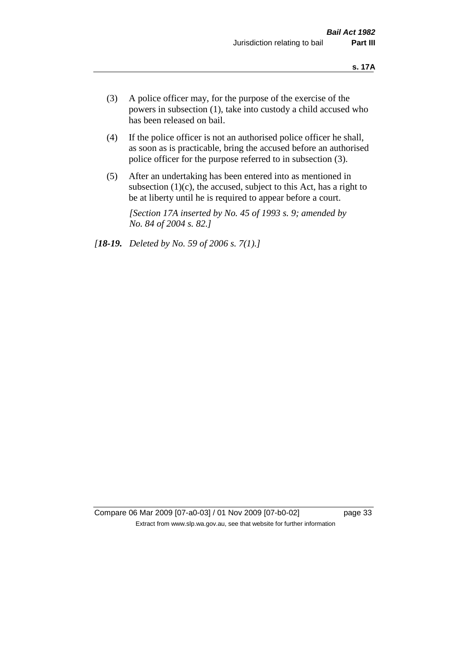- (3) A police officer may, for the purpose of the exercise of the powers in subsection (1), take into custody a child accused who has been released on bail.
- (4) If the police officer is not an authorised police officer he shall, as soon as is practicable, bring the accused before an authorised police officer for the purpose referred to in subsection (3).
- (5) After an undertaking has been entered into as mentioned in subsection  $(1)(c)$ , the accused, subject to this Act, has a right to be at liberty until he is required to appear before a court.

*[Section 17A inserted by No. 45 of 1993 s. 9; amended by No. 84 of 2004 s. 82.]* 

*[18-19. Deleted by No. 59 of 2006 s. 7(1).]*

Compare 06 Mar 2009 [07-a0-03] / 01 Nov 2009 [07-b0-02] page 33 Extract from www.slp.wa.gov.au, see that website for further information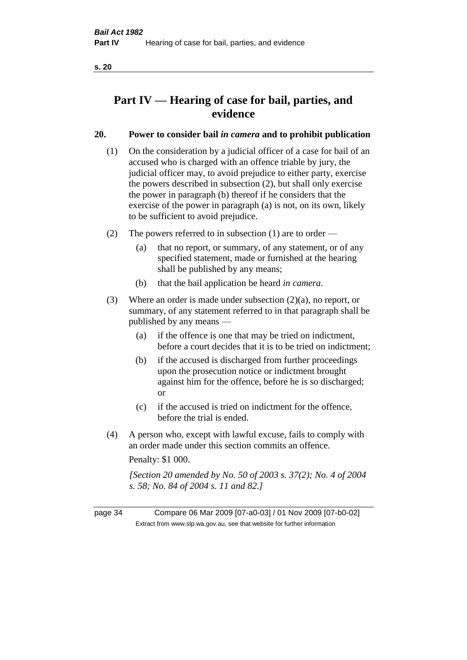# **Part IV — Hearing of case for bail, parties, and evidence**

# **20. Power to consider bail** *in camera* **and to prohibit publication**

- (1) On the consideration by a judicial officer of a case for bail of an accused who is charged with an offence triable by jury, the judicial officer may, to avoid prejudice to either party, exercise the powers described in subsection (2), but shall only exercise the power in paragraph (b) thereof if he considers that the exercise of the power in paragraph (a) is not, on its own, likely to be sufficient to avoid prejudice.
- (2) The powers referred to in subsection (1) are to order
	- (a) that no report, or summary, of any statement, or of any specified statement, made or furnished at the hearing shall be published by any means;
	- (b) that the bail application be heard *in camera*.
- (3) Where an order is made under subsection (2)(a), no report, or summary, of any statement referred to in that paragraph shall be published by any means —
	- (a) if the offence is one that may be tried on indictment, before a court decides that it is to be tried on indictment;
	- (b) if the accused is discharged from further proceedings upon the prosecution notice or indictment brought against him for the offence, before he is so discharged; or
	- (c) if the accused is tried on indictment for the offence, before the trial is ended.
- (4) A person who, except with lawful excuse, fails to comply with an order made under this section commits an offence.

Penalty: \$1 000.

*[Section 20 amended by No. 50 of 2003 s. 37(2); No. 4 of 2004 s. 58; No. 84 of 2004 s. 11 and 82.]*

page 34 Compare 06 Mar 2009 [07-a0-03] / 01 Nov 2009 [07-b0-02] Extract from www.slp.wa.gov.au, see that website for further information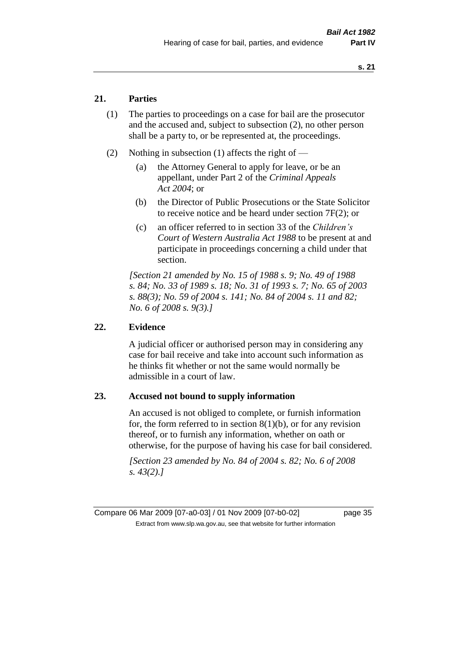# **21. Parties**

- (1) The parties to proceedings on a case for bail are the prosecutor and the accused and, subject to subsection (2), no other person shall be a party to, or be represented at, the proceedings.
- (2) Nothing in subsection (1) affects the right of
	- (a) the Attorney General to apply for leave, or be an appellant, under Part 2 of the *Criminal Appeals Act 2004*; or
	- (b) the Director of Public Prosecutions or the State Solicitor to receive notice and be heard under section 7F(2); or
	- (c) an officer referred to in section 33 of the *Children's Court of Western Australia Act 1988* to be present at and participate in proceedings concerning a child under that section.

*[Section 21 amended by No. 15 of 1988 s. 9; No. 49 of 1988 s. 84; No. 33 of 1989 s. 18; No. 31 of 1993 s. 7; No. 65 of 2003 s. 88(3); No. 59 of 2004 s. 141; No. 84 of 2004 s. 11 and 82; No. 6 of 2008 s. 9(3).]* 

#### **22. Evidence**

A judicial officer or authorised person may in considering any case for bail receive and take into account such information as he thinks fit whether or not the same would normally be admissible in a court of law.

#### **23. Accused not bound to supply information**

An accused is not obliged to complete, or furnish information for, the form referred to in section  $8(1)(b)$ , or for any revision thereof, or to furnish any information, whether on oath or otherwise, for the purpose of having his case for bail considered.

*[Section 23 amended by No. 84 of 2004 s. 82; No. 6 of 2008 s. 43(2).]* 

Compare 06 Mar 2009 [07-a0-03] / 01 Nov 2009 [07-b0-02] page 35 Extract from www.slp.wa.gov.au, see that website for further information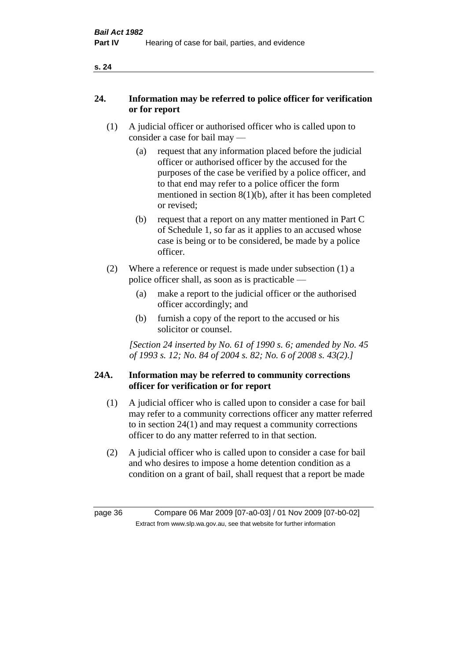|--|

# **24. Information may be referred to police officer for verification or for report**

- (1) A judicial officer or authorised officer who is called upon to consider a case for bail may —
	- (a) request that any information placed before the judicial officer or authorised officer by the accused for the purposes of the case be verified by a police officer, and to that end may refer to a police officer the form mentioned in section 8(1)(b), after it has been completed or revised;
	- (b) request that a report on any matter mentioned in Part C of Schedule 1, so far as it applies to an accused whose case is being or to be considered, be made by a police officer.
- (2) Where a reference or request is made under subsection (1) a police officer shall, as soon as is practicable —
	- (a) make a report to the judicial officer or the authorised officer accordingly; and
	- (b) furnish a copy of the report to the accused or his solicitor or counsel.

*[Section 24 inserted by No. 61 of 1990 s. 6; amended by No. 45 of 1993 s. 12; No. 84 of 2004 s. 82; No. 6 of 2008 s. 43(2).]* 

## **24A. Information may be referred to community corrections officer for verification or for report**

- (1) A judicial officer who is called upon to consider a case for bail may refer to a community corrections officer any matter referred to in section 24(1) and may request a community corrections officer to do any matter referred to in that section.
- (2) A judicial officer who is called upon to consider a case for bail and who desires to impose a home detention condition as a condition on a grant of bail, shall request that a report be made

page 36 Compare 06 Mar 2009 [07-a0-03] / 01 Nov 2009 [07-b0-02] Extract from www.slp.wa.gov.au, see that website for further information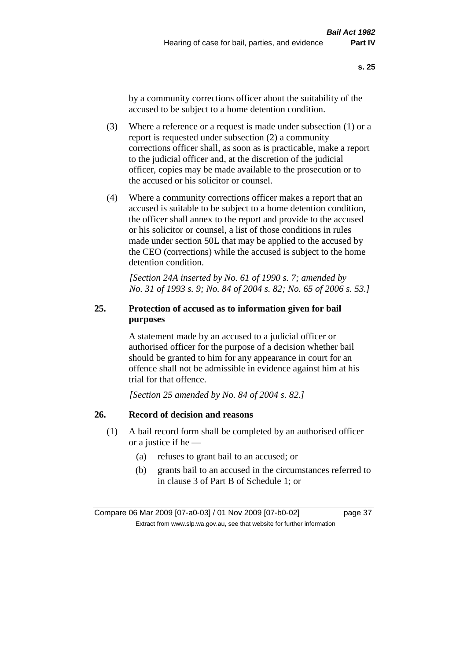by a community corrections officer about the suitability of the accused to be subject to a home detention condition.

- (3) Where a reference or a request is made under subsection (1) or a report is requested under subsection (2) a community corrections officer shall, as soon as is practicable, make a report to the judicial officer and, at the discretion of the judicial officer, copies may be made available to the prosecution or to the accused or his solicitor or counsel.
- (4) Where a community corrections officer makes a report that an accused is suitable to be subject to a home detention condition, the officer shall annex to the report and provide to the accused or his solicitor or counsel, a list of those conditions in rules made under section 50L that may be applied to the accused by the CEO (corrections) while the accused is subject to the home detention condition.

*[Section 24A inserted by No. 61 of 1990 s. 7; amended by No. 31 of 1993 s. 9; No. 84 of 2004 s. 82; No. 65 of 2006 s. 53.]* 

# **25. Protection of accused as to information given for bail purposes**

A statement made by an accused to a judicial officer or authorised officer for the purpose of a decision whether bail should be granted to him for any appearance in court for an offence shall not be admissible in evidence against him at his trial for that offence.

*[Section 25 amended by No. 84 of 2004 s. 82.]* 

# **26. Record of decision and reasons**

- (1) A bail record form shall be completed by an authorised officer or a justice if he —
	- (a) refuses to grant bail to an accused; or
	- (b) grants bail to an accused in the circumstances referred to in clause 3 of Part B of Schedule 1; or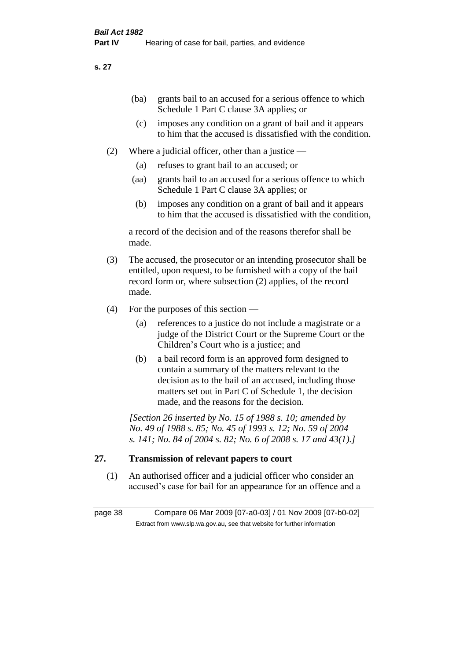| (ba) | grants bail to an accused for a serious offence to which |
|------|----------------------------------------------------------|
|      | Schedule 1 Part C clause 3A applies; or                  |

- (c) imposes any condition on a grant of bail and it appears to him that the accused is dissatisfied with the condition.
- (2) Where a judicial officer, other than a justice
	- (a) refuses to grant bail to an accused; or
	- (aa) grants bail to an accused for a serious offence to which Schedule 1 Part C clause 3A applies; or
	- (b) imposes any condition on a grant of bail and it appears to him that the accused is dissatisfied with the condition,

a record of the decision and of the reasons therefor shall be made.

- (3) The accused, the prosecutor or an intending prosecutor shall be entitled, upon request, to be furnished with a copy of the bail record form or, where subsection (2) applies, of the record made.
- (4) For the purposes of this section
	- (a) references to a justice do not include a magistrate or a judge of the District Court or the Supreme Court or the Children's Court who is a justice; and
	- (b) a bail record form is an approved form designed to contain a summary of the matters relevant to the decision as to the bail of an accused, including those matters set out in Part C of Schedule 1, the decision made, and the reasons for the decision.

*[Section 26 inserted by No. 15 of 1988 s. 10; amended by No. 49 of 1988 s. 85; No. 45 of 1993 s. 12; No. 59 of 2004 s. 141; No. 84 of 2004 s. 82; No. 6 of 2008 s. 17 and 43(1).]* 

# **27. Transmission of relevant papers to court**

(1) An authorised officer and a judicial officer who consider an accused's case for bail for an appearance for an offence and a

page 38 Compare 06 Mar 2009 [07-a0-03] / 01 Nov 2009 [07-b0-02] Extract from www.slp.wa.gov.au, see that website for further information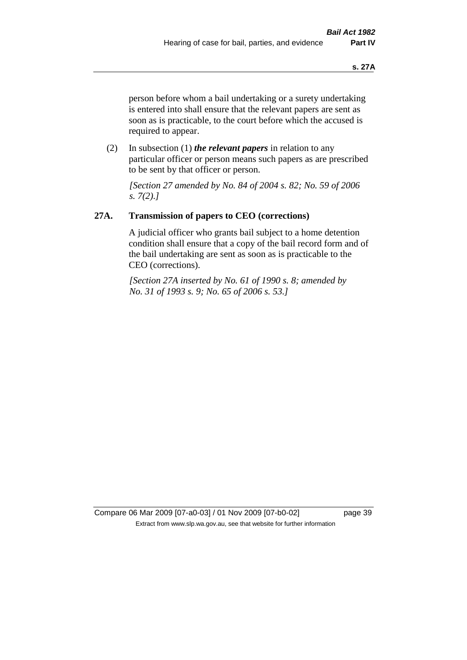person before whom a bail undertaking or a surety undertaking is entered into shall ensure that the relevant papers are sent as soon as is practicable, to the court before which the accused is required to appear.

(2) In subsection (1) *the relevant papers* in relation to any particular officer or person means such papers as are prescribed to be sent by that officer or person.

*[Section 27 amended by No. 84 of 2004 s. 82; No. 59 of 2006 s. 7(2).]* 

# **27A. Transmission of papers to CEO (corrections)**

A judicial officer who grants bail subject to a home detention condition shall ensure that a copy of the bail record form and of the bail undertaking are sent as soon as is practicable to the CEO (corrections).

*[Section 27A inserted by No. 61 of 1990 s. 8; amended by No. 31 of 1993 s. 9; No. 65 of 2006 s. 53.]* 

Compare 06 Mar 2009 [07-a0-03] / 01 Nov 2009 [07-b0-02] page 39 Extract from www.slp.wa.gov.au, see that website for further information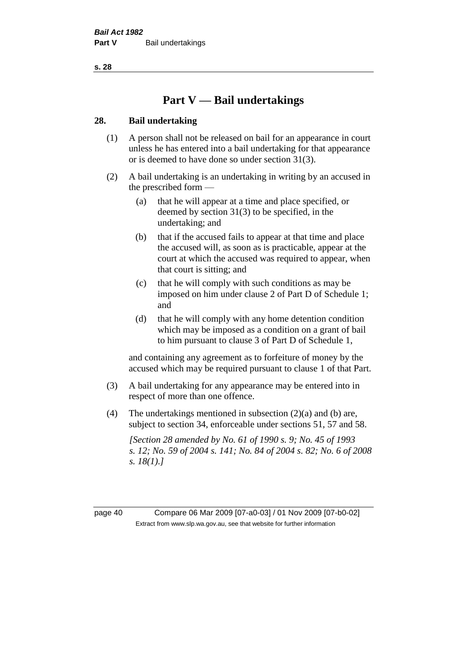# **Part V — Bail undertakings**

## **28. Bail undertaking**

- (1) A person shall not be released on bail for an appearance in court unless he has entered into a bail undertaking for that appearance or is deemed to have done so under section 31(3).
- (2) A bail undertaking is an undertaking in writing by an accused in the prescribed form —
	- (a) that he will appear at a time and place specified, or deemed by section 31(3) to be specified, in the undertaking; and
	- (b) that if the accused fails to appear at that time and place the accused will, as soon as is practicable, appear at the court at which the accused was required to appear, when that court is sitting; and
	- (c) that he will comply with such conditions as may be imposed on him under clause 2 of Part D of Schedule 1; and
	- (d) that he will comply with any home detention condition which may be imposed as a condition on a grant of bail to him pursuant to clause 3 of Part D of Schedule 1,

and containing any agreement as to forfeiture of money by the accused which may be required pursuant to clause 1 of that Part.

- (3) A bail undertaking for any appearance may be entered into in respect of more than one offence.
- (4) The undertakings mentioned in subsection  $(2)(a)$  and  $(b)$  are, subject to section 34, enforceable under sections 51, 57 and 58.

*[Section 28 amended by No. 61 of 1990 s. 9; No. 45 of 1993 s. 12; No. 59 of 2004 s. 141; No. 84 of 2004 s. 82; No. 6 of 2008 s. 18(1).]* 

page 40 Compare 06 Mar 2009 [07-a0-03] / 01 Nov 2009 [07-b0-02] Extract from www.slp.wa.gov.au, see that website for further information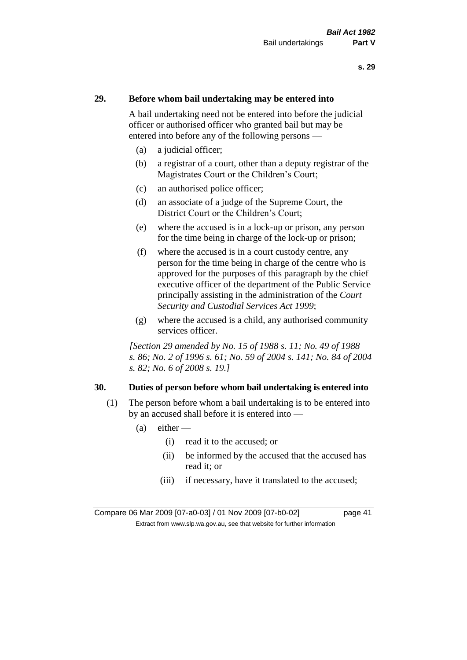## **29. Before whom bail undertaking may be entered into**

A bail undertaking need not be entered into before the judicial officer or authorised officer who granted bail but may be entered into before any of the following persons —

- (a) a judicial officer;
- (b) a registrar of a court, other than a deputy registrar of the Magistrates Court or the Children's Court;
- (c) an authorised police officer;
- (d) an associate of a judge of the Supreme Court, the District Court or the Children's Court;
- (e) where the accused is in a lock-up or prison, any person for the time being in charge of the lock-up or prison;
- (f) where the accused is in a court custody centre, any person for the time being in charge of the centre who is approved for the purposes of this paragraph by the chief executive officer of the department of the Public Service principally assisting in the administration of the *Court Security and Custodial Services Act 1999*;
- (g) where the accused is a child, any authorised community services officer.

*[Section 29 amended by No. 15 of 1988 s. 11; No. 49 of 1988 s. 86; No. 2 of 1996 s. 61; No. 59 of 2004 s. 141; No. 84 of 2004 s. 82; No. 6 of 2008 s. 19.]* 

#### **30. Duties of person before whom bail undertaking is entered into**

- (1) The person before whom a bail undertaking is to be entered into by an accused shall before it is entered into —
	- $(a)$  either
		- (i) read it to the accused; or
		- (ii) be informed by the accused that the accused has read it; or
		- (iii) if necessary, have it translated to the accused;

Compare 06 Mar 2009 [07-a0-03] / 01 Nov 2009 [07-b0-02] page 41 Extract from www.slp.wa.gov.au, see that website for further information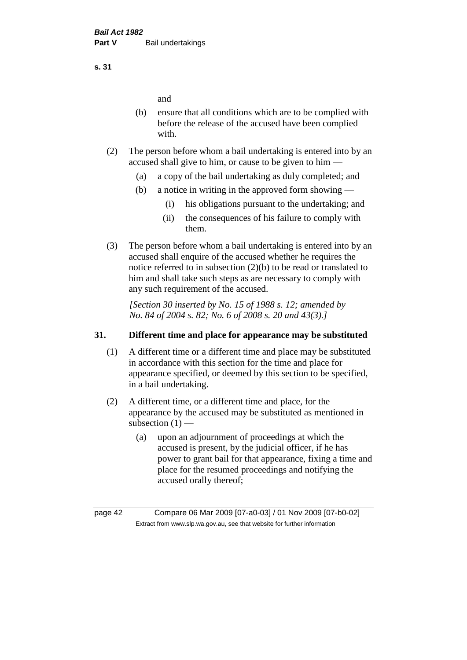and

- (b) ensure that all conditions which are to be complied with before the release of the accused have been complied with.
- (2) The person before whom a bail undertaking is entered into by an accused shall give to him, or cause to be given to him —
	- (a) a copy of the bail undertaking as duly completed; and
	- (b) a notice in writing in the approved form showing
		- (i) his obligations pursuant to the undertaking; and
		- (ii) the consequences of his failure to comply with them.
- (3) The person before whom a bail undertaking is entered into by an accused shall enquire of the accused whether he requires the notice referred to in subsection (2)(b) to be read or translated to him and shall take such steps as are necessary to comply with any such requirement of the accused.

*[Section 30 inserted by No. 15 of 1988 s. 12; amended by No. 84 of 2004 s. 82; No. 6 of 2008 s. 20 and 43(3).]* 

## **31. Different time and place for appearance may be substituted**

- (1) A different time or a different time and place may be substituted in accordance with this section for the time and place for appearance specified, or deemed by this section to be specified, in a bail undertaking.
- (2) A different time, or a different time and place, for the appearance by the accused may be substituted as mentioned in subsection  $(1)$  —
	- (a) upon an adjournment of proceedings at which the accused is present, by the judicial officer, if he has power to grant bail for that appearance, fixing a time and place for the resumed proceedings and notifying the accused orally thereof;

**s. 31**

page 42 Compare 06 Mar 2009 [07-a0-03] / 01 Nov 2009 [07-b0-02] Extract from www.slp.wa.gov.au, see that website for further information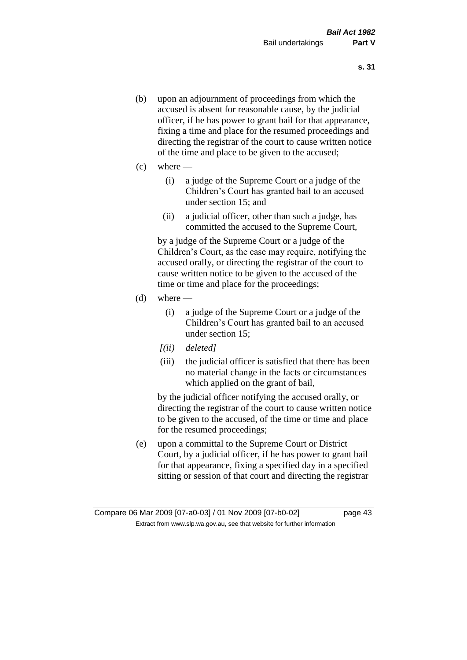- (b) upon an adjournment of proceedings from which the accused is absent for reasonable cause, by the judicial officer, if he has power to grant bail for that appearance, fixing a time and place for the resumed proceedings and directing the registrar of the court to cause written notice of the time and place to be given to the accused;
- (c) where
	- (i) a judge of the Supreme Court or a judge of the Children's Court has granted bail to an accused under section 15; and
	- (ii) a judicial officer, other than such a judge, has committed the accused to the Supreme Court,

by a judge of the Supreme Court or a judge of the Children's Court, as the case may require, notifying the accused orally, or directing the registrar of the court to cause written notice to be given to the accused of the time or time and place for the proceedings;

- $(d)$  where
	- (i) a judge of the Supreme Court or a judge of the Children's Court has granted bail to an accused under section 15;
	- *[(ii) deleted]*
	- (iii) the judicial officer is satisfied that there has been no material change in the facts or circumstances which applied on the grant of bail,

by the judicial officer notifying the accused orally, or directing the registrar of the court to cause written notice to be given to the accused, of the time or time and place for the resumed proceedings;

(e) upon a committal to the Supreme Court or District Court, by a judicial officer, if he has power to grant bail for that appearance, fixing a specified day in a specified sitting or session of that court and directing the registrar

Compare 06 Mar 2009 [07-a0-03] / 01 Nov 2009 [07-b0-02] page 43 Extract from www.slp.wa.gov.au, see that website for further information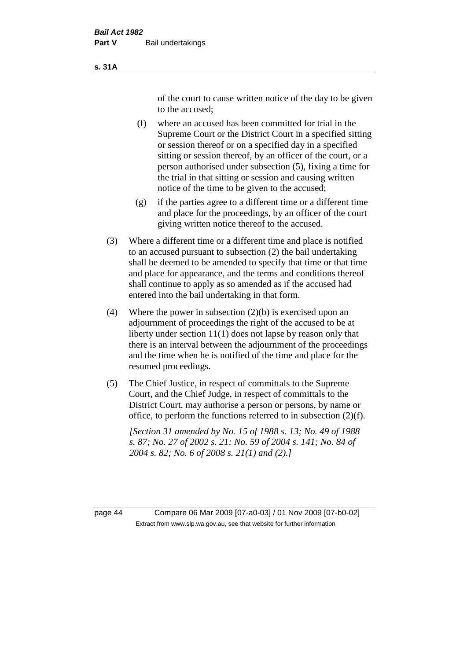#### **s. 31A**

of the court to cause written notice of the day to be given to the accused;

- (f) where an accused has been committed for trial in the Supreme Court or the District Court in a specified sitting or session thereof or on a specified day in a specified sitting or session thereof, by an officer of the court, or a person authorised under subsection (5), fixing a time for the trial in that sitting or session and causing written notice of the time to be given to the accused;
- (g) if the parties agree to a different time or a different time and place for the proceedings, by an officer of the court giving written notice thereof to the accused.
- (3) Where a different time or a different time and place is notified to an accused pursuant to subsection (2) the bail undertaking shall be deemed to be amended to specify that time or that time and place for appearance, and the terms and conditions thereof shall continue to apply as so amended as if the accused had entered into the bail undertaking in that form.
- (4) Where the power in subsection  $(2)(b)$  is exercised upon an adjournment of proceedings the right of the accused to be at liberty under section 11(1) does not lapse by reason only that there is an interval between the adjournment of the proceedings and the time when he is notified of the time and place for the resumed proceedings.
- (5) The Chief Justice, in respect of committals to the Supreme Court, and the Chief Judge, in respect of committals to the District Court, may authorise a person or persons, by name or office, to perform the functions referred to in subsection (2)(f).

*[Section 31 amended by No. 15 of 1988 s. 13; No. 49 of 1988 s. 87; No. 27 of 2002 s. 21; No. 59 of 2004 s. 141; No. 84 of 2004 s. 82; No. 6 of 2008 s. 21(1) and (2).]* 

page 44 Compare 06 Mar 2009 [07-a0-03] / 01 Nov 2009 [07-b0-02] Extract from www.slp.wa.gov.au, see that website for further information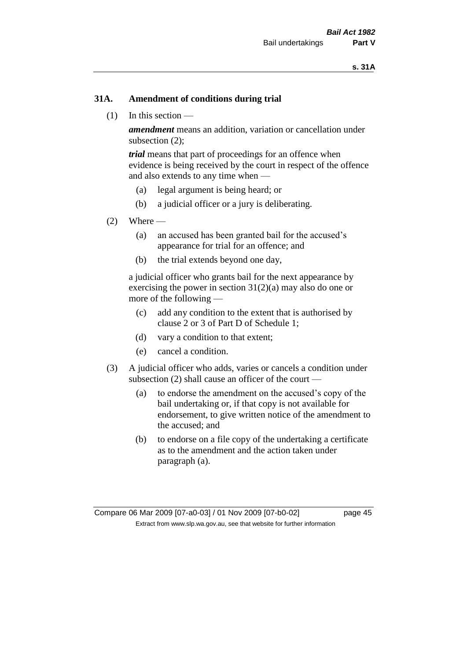## **31A. Amendment of conditions during trial**

(1) In this section —

*amendment* means an addition, variation or cancellation under subsection (2);

*trial* means that part of proceedings for an offence when evidence is being received by the court in respect of the offence and also extends to any time when —

- (a) legal argument is being heard; or
- (b) a judicial officer or a jury is deliberating.

#### $(2)$  Where —

- (a) an accused has been granted bail for the accused's appearance for trial for an offence; and
- (b) the trial extends beyond one day,

a judicial officer who grants bail for the next appearance by exercising the power in section  $31(2)(a)$  may also do one or more of the following —

- (c) add any condition to the extent that is authorised by clause 2 or 3 of Part D of Schedule 1;
- (d) vary a condition to that extent;
- (e) cancel a condition.
- (3) A judicial officer who adds, varies or cancels a condition under subsection (2) shall cause an officer of the court —
	- (a) to endorse the amendment on the accused's copy of the bail undertaking or, if that copy is not available for endorsement, to give written notice of the amendment to the accused; and
	- (b) to endorse on a file copy of the undertaking a certificate as to the amendment and the action taken under paragraph (a).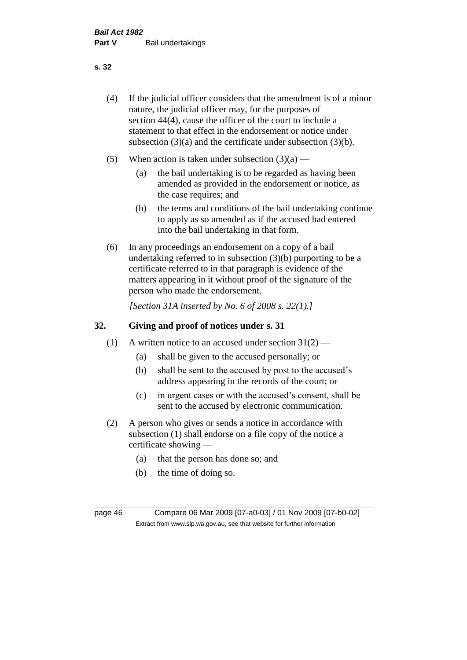- (4) If the judicial officer considers that the amendment is of a minor nature, the judicial officer may, for the purposes of section 44(4), cause the officer of the court to include a statement to that effect in the endorsement or notice under subsection (3)(a) and the certificate under subsection (3)(b).
- (5) When action is taken under subsection  $(3)(a)$ 
	- (a) the bail undertaking is to be regarded as having been amended as provided in the endorsement or notice, as the case requires; and
	- (b) the terms and conditions of the bail undertaking continue to apply as so amended as if the accused had entered into the bail undertaking in that form.
- (6) In any proceedings an endorsement on a copy of a bail undertaking referred to in subsection (3)(b) purporting to be a certificate referred to in that paragraph is evidence of the matters appearing in it without proof of the signature of the person who made the endorsement.

*[Section 31A inserted by No. 6 of 2008 s. 22(1).]*

#### **32. Giving and proof of notices under s. 31**

- (1) A written notice to an accused under section  $31(2)$ 
	- (a) shall be given to the accused personally; or
	- (b) shall be sent to the accused by post to the accused's address appearing in the records of the court; or
	- (c) in urgent cases or with the accused's consent, shall be sent to the accused by electronic communication.
- (2) A person who gives or sends a notice in accordance with subsection (1) shall endorse on a file copy of the notice a certificate showing —
	- (a) that the person has done so; and
	- (b) the time of doing so.

#### **s. 32**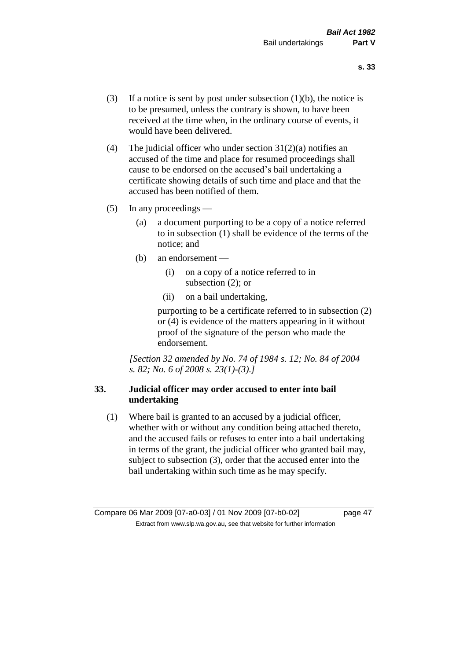- (3) If a notice is sent by post under subsection  $(1)(b)$ , the notice is to be presumed, unless the contrary is shown, to have been received at the time when, in the ordinary course of events, it would have been delivered.
- (4) The judicial officer who under section  $31(2)(a)$  notifies an accused of the time and place for resumed proceedings shall cause to be endorsed on the accused's bail undertaking a certificate showing details of such time and place and that the accused has been notified of them.
- (5) In any proceedings
	- (a) a document purporting to be a copy of a notice referred to in subsection (1) shall be evidence of the terms of the notice; and
	- (b) an endorsement
		- (i) on a copy of a notice referred to in subsection (2); or
		- (ii) on a bail undertaking,

purporting to be a certificate referred to in subsection (2) or (4) is evidence of the matters appearing in it without proof of the signature of the person who made the endorsement.

*[Section 32 amended by No. 74 of 1984 s. 12; No. 84 of 2004 s. 82; No. 6 of 2008 s. 23(1)-(3).]* 

## **33. Judicial officer may order accused to enter into bail undertaking**

(1) Where bail is granted to an accused by a judicial officer, whether with or without any condition being attached thereto, and the accused fails or refuses to enter into a bail undertaking in terms of the grant, the judicial officer who granted bail may, subject to subsection (3), order that the accused enter into the bail undertaking within such time as he may specify.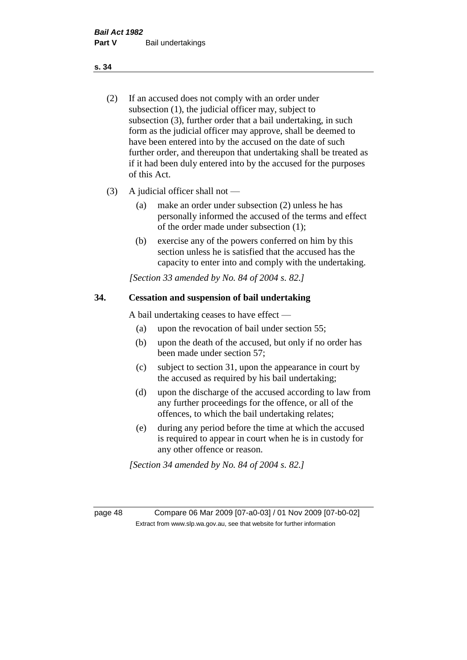- (2) If an accused does not comply with an order under subsection (1), the judicial officer may, subject to subsection (3), further order that a bail undertaking, in such form as the judicial officer may approve, shall be deemed to have been entered into by the accused on the date of such further order, and thereupon that undertaking shall be treated as if it had been duly entered into by the accused for the purposes of this Act.
- (3) A judicial officer shall not
	- (a) make an order under subsection (2) unless he has personally informed the accused of the terms and effect of the order made under subsection (1);
	- (b) exercise any of the powers conferred on him by this section unless he is satisfied that the accused has the capacity to enter into and comply with the undertaking.

*[Section 33 amended by No. 84 of 2004 s. 82.]* 

## **34. Cessation and suspension of bail undertaking**

A bail undertaking ceases to have effect —

- (a) upon the revocation of bail under section 55;
- (b) upon the death of the accused, but only if no order has been made under section 57;
- (c) subject to section 31, upon the appearance in court by the accused as required by his bail undertaking;
- (d) upon the discharge of the accused according to law from any further proceedings for the offence, or all of the offences, to which the bail undertaking relates;
- (e) during any period before the time at which the accused is required to appear in court when he is in custody for any other offence or reason.

*[Section 34 amended by No. 84 of 2004 s. 82.]* 

page 48 Compare 06 Mar 2009 [07-a0-03] / 01 Nov 2009 [07-b0-02] Extract from www.slp.wa.gov.au, see that website for further information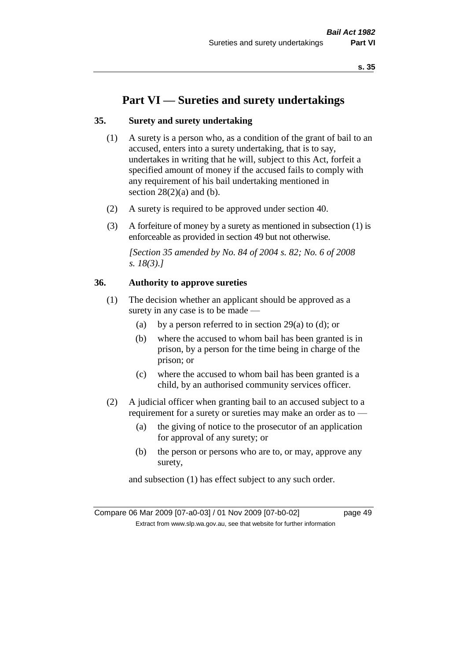# **Part VI — Sureties and surety undertakings**

#### **35. Surety and surety undertaking**

- (1) A surety is a person who, as a condition of the grant of bail to an accused, enters into a surety undertaking, that is to say, undertakes in writing that he will, subject to this Act, forfeit a specified amount of money if the accused fails to comply with any requirement of his bail undertaking mentioned in section  $28(2)(a)$  and (b).
- (2) A surety is required to be approved under section 40.
- (3) A forfeiture of money by a surety as mentioned in subsection (1) is enforceable as provided in section 49 but not otherwise.

*[Section 35 amended by No. 84 of 2004 s. 82; No. 6 of 2008 s. 18(3).]* 

## **36. Authority to approve sureties**

- (1) The decision whether an applicant should be approved as a surety in any case is to be made —
	- (a) by a person referred to in section 29(a) to (d); or
	- (b) where the accused to whom bail has been granted is in prison, by a person for the time being in charge of the prison; or
	- (c) where the accused to whom bail has been granted is a child, by an authorised community services officer.
- (2) A judicial officer when granting bail to an accused subject to a requirement for a surety or sureties may make an order as to —
	- (a) the giving of notice to the prosecutor of an application for approval of any surety; or
	- (b) the person or persons who are to, or may, approve any surety,

and subsection (1) has effect subject to any such order.

Compare 06 Mar 2009 [07-a0-03] / 01 Nov 2009 [07-b0-02] page 49 Extract from www.slp.wa.gov.au, see that website for further information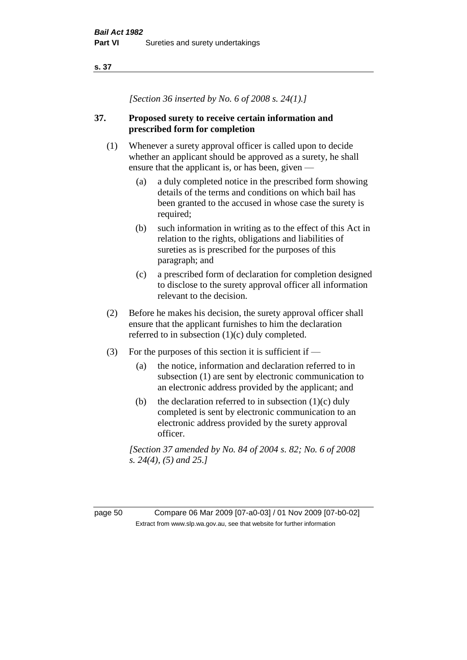*[Section 36 inserted by No. 6 of 2008 s. 24(1).]*

# **37. Proposed surety to receive certain information and prescribed form for completion**

- (1) Whenever a surety approval officer is called upon to decide whether an applicant should be approved as a surety, he shall ensure that the applicant is, or has been, given —
	- (a) a duly completed notice in the prescribed form showing details of the terms and conditions on which bail has been granted to the accused in whose case the surety is required;
	- (b) such information in writing as to the effect of this Act in relation to the rights, obligations and liabilities of sureties as is prescribed for the purposes of this paragraph; and
	- (c) a prescribed form of declaration for completion designed to disclose to the surety approval officer all information relevant to the decision.
- (2) Before he makes his decision, the surety approval officer shall ensure that the applicant furnishes to him the declaration referred to in subsection (1)(c) duly completed.
- (3) For the purposes of this section it is sufficient if  $-$ 
	- (a) the notice, information and declaration referred to in subsection (1) are sent by electronic communication to an electronic address provided by the applicant; and
	- (b) the declaration referred to in subsection  $(1)(c)$  duly completed is sent by electronic communication to an electronic address provided by the surety approval officer.

*[Section 37 amended by No. 84 of 2004 s. 82; No. 6 of 2008 s. 24(4), (5) and 25.]* 

page 50 Compare 06 Mar 2009 [07-a0-03] / 01 Nov 2009 [07-b0-02] Extract from www.slp.wa.gov.au, see that website for further information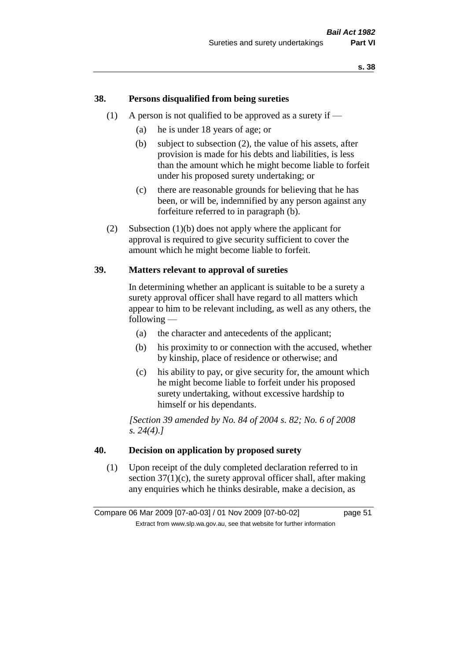## **38. Persons disqualified from being sureties**

- (1) A person is not qualified to be approved as a surety if  $-$ 
	- (a) he is under 18 years of age; or
	- (b) subject to subsection (2), the value of his assets, after provision is made for his debts and liabilities, is less than the amount which he might become liable to forfeit under his proposed surety undertaking; or
	- (c) there are reasonable grounds for believing that he has been, or will be, indemnified by any person against any forfeiture referred to in paragraph (b).
- (2) Subsection (1)(b) does not apply where the applicant for approval is required to give security sufficient to cover the amount which he might become liable to forfeit.

## **39. Matters relevant to approval of sureties**

In determining whether an applicant is suitable to be a surety a surety approval officer shall have regard to all matters which appear to him to be relevant including, as well as any others, the following —

- (a) the character and antecedents of the applicant;
- (b) his proximity to or connection with the accused, whether by kinship, place of residence or otherwise; and
- (c) his ability to pay, or give security for, the amount which he might become liable to forfeit under his proposed surety undertaking, without excessive hardship to himself or his dependants.

*[Section 39 amended by No. 84 of 2004 s. 82; No. 6 of 2008 s. 24(4).]* 

#### **40. Decision on application by proposed surety**

(1) Upon receipt of the duly completed declaration referred to in section  $37(1)(c)$ , the surety approval officer shall, after making any enquiries which he thinks desirable, make a decision, as

Compare 06 Mar 2009 [07-a0-03] / 01 Nov 2009 [07-b0-02] page 51 Extract from www.slp.wa.gov.au, see that website for further information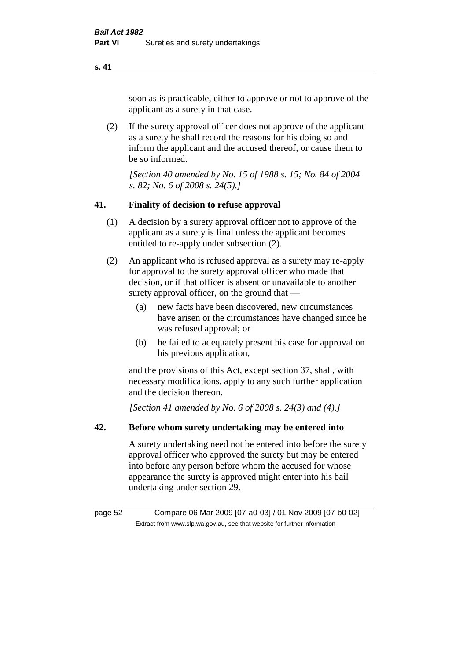soon as is practicable, either to approve or not to approve of the applicant as a surety in that case.

(2) If the surety approval officer does not approve of the applicant as a surety he shall record the reasons for his doing so and inform the applicant and the accused thereof, or cause them to be so informed.

*[Section 40 amended by No. 15 of 1988 s. 15; No. 84 of 2004 s. 82; No. 6 of 2008 s. 24(5).]* 

## **41. Finality of decision to refuse approval**

- (1) A decision by a surety approval officer not to approve of the applicant as a surety is final unless the applicant becomes entitled to re-apply under subsection (2).
- (2) An applicant who is refused approval as a surety may re-apply for approval to the surety approval officer who made that decision, or if that officer is absent or unavailable to another surety approval officer, on the ground that —
	- (a) new facts have been discovered, new circumstances have arisen or the circumstances have changed since he was refused approval; or
	- (b) he failed to adequately present his case for approval on his previous application,

and the provisions of this Act, except section 37, shall, with necessary modifications, apply to any such further application and the decision thereon.

*[Section 41 amended by No. 6 of 2008 s. 24(3) and (4).]*

## **42. Before whom surety undertaking may be entered into**

A surety undertaking need not be entered into before the surety approval officer who approved the surety but may be entered into before any person before whom the accused for whose appearance the surety is approved might enter into his bail undertaking under section 29.

page 52 Compare 06 Mar 2009 [07-a0-03] / 01 Nov 2009 [07-b0-02] Extract from www.slp.wa.gov.au, see that website for further information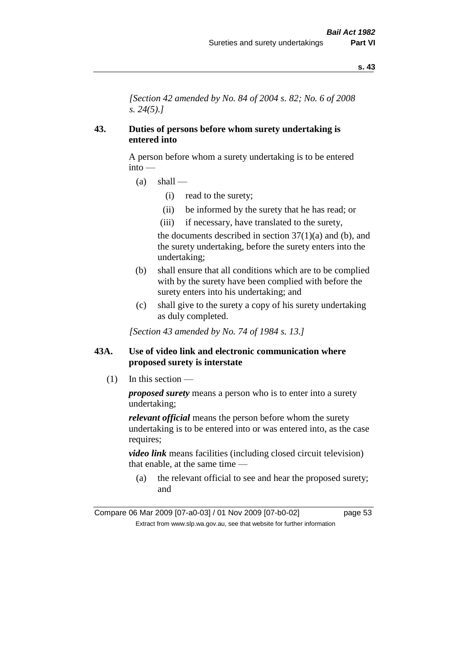*[Section 42 amended by No. 84 of 2004 s. 82; No. 6 of 2008 s. 24(5).]* 

## **43. Duties of persons before whom surety undertaking is entered into**

A person before whom a surety undertaking is to be entered into —

- $(a)$  shall
	- (i) read to the surety;
	- (ii) be informed by the surety that he has read; or
	- (iii) if necessary, have translated to the surety,

the documents described in section  $37(1)(a)$  and (b), and the surety undertaking, before the surety enters into the undertaking;

- (b) shall ensure that all conditions which are to be complied with by the surety have been complied with before the surety enters into his undertaking; and
- (c) shall give to the surety a copy of his surety undertaking as duly completed.

*[Section 43 amended by No. 74 of 1984 s. 13.]* 

## **43A. Use of video link and electronic communication where proposed surety is interstate**

(1) In this section —

*proposed surety* means a person who is to enter into a surety undertaking;

*relevant official* means the person before whom the surety undertaking is to be entered into or was entered into, as the case requires;

*video link* means facilities (including closed circuit television) that enable, at the same time —

(a) the relevant official to see and hear the proposed surety; and

Compare 06 Mar 2009 [07-a0-03] / 01 Nov 2009 [07-b0-02] page 53 Extract from www.slp.wa.gov.au, see that website for further information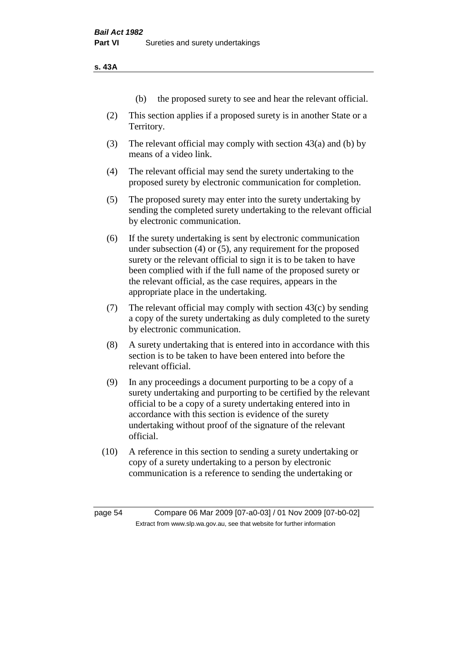**s. 43A**

- (b) the proposed surety to see and hear the relevant official.
- (2) This section applies if a proposed surety is in another State or a Territory.
- (3) The relevant official may comply with section 43(a) and (b) by means of a video link.
- (4) The relevant official may send the surety undertaking to the proposed surety by electronic communication for completion.
- (5) The proposed surety may enter into the surety undertaking by sending the completed surety undertaking to the relevant official by electronic communication.
- (6) If the surety undertaking is sent by electronic communication under subsection (4) or (5), any requirement for the proposed surety or the relevant official to sign it is to be taken to have been complied with if the full name of the proposed surety or the relevant official, as the case requires, appears in the appropriate place in the undertaking.
- (7) The relevant official may comply with section 43(c) by sending a copy of the surety undertaking as duly completed to the surety by electronic communication.
- (8) A surety undertaking that is entered into in accordance with this section is to be taken to have been entered into before the relevant official.
- (9) In any proceedings a document purporting to be a copy of a surety undertaking and purporting to be certified by the relevant official to be a copy of a surety undertaking entered into in accordance with this section is evidence of the surety undertaking without proof of the signature of the relevant official.
- (10) A reference in this section to sending a surety undertaking or copy of a surety undertaking to a person by electronic communication is a reference to sending the undertaking or

page 54 Compare 06 Mar 2009 [07-a0-03] / 01 Nov 2009 [07-b0-02] Extract from www.slp.wa.gov.au, see that website for further information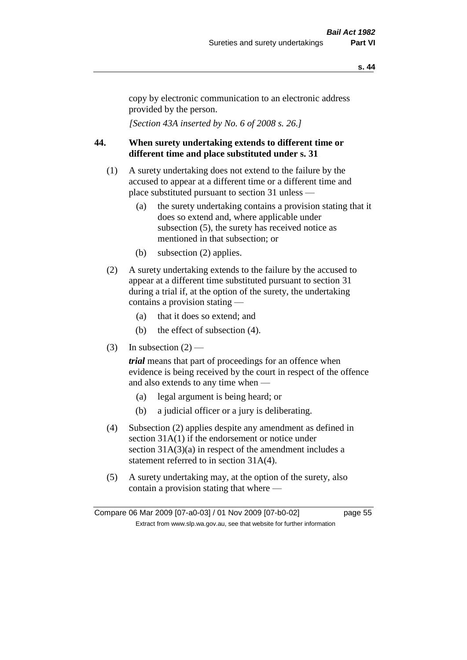copy by electronic communication to an electronic address provided by the person.

*[Section 43A inserted by No. 6 of 2008 s. 26.]*

# **44. When surety undertaking extends to different time or different time and place substituted under s. 31**

- (1) A surety undertaking does not extend to the failure by the accused to appear at a different time or a different time and place substituted pursuant to section 31 unless —
	- (a) the surety undertaking contains a provision stating that it does so extend and, where applicable under subsection (5), the surety has received notice as mentioned in that subsection; or
	- (b) subsection (2) applies.
- (2) A surety undertaking extends to the failure by the accused to appear at a different time substituted pursuant to section 31 during a trial if, at the option of the surety, the undertaking contains a provision stating —
	- (a) that it does so extend; and
	- (b) the effect of subsection (4).
- (3) In subsection  $(2)$  —

*trial* means that part of proceedings for an offence when evidence is being received by the court in respect of the offence and also extends to any time when —

- (a) legal argument is being heard; or
- (b) a judicial officer or a jury is deliberating.
- (4) Subsection (2) applies despite any amendment as defined in section 31A(1) if the endorsement or notice under section  $31A(3)(a)$  in respect of the amendment includes a statement referred to in section 31A(4).
- (5) A surety undertaking may, at the option of the surety, also contain a provision stating that where —

Compare 06 Mar 2009 [07-a0-03] / 01 Nov 2009 [07-b0-02] page 55 Extract from www.slp.wa.gov.au, see that website for further information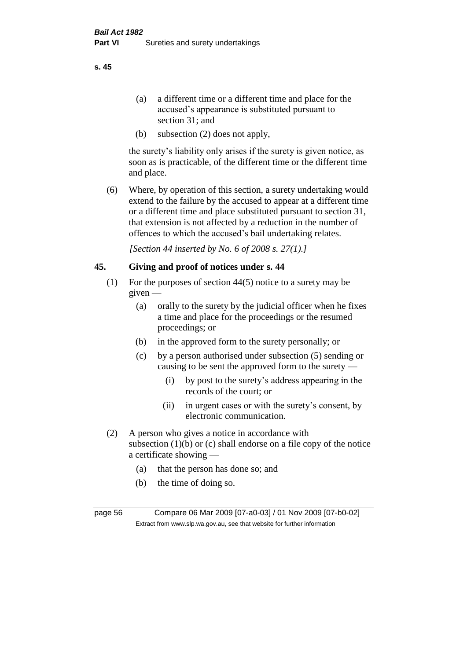- (a) a different time or a different time and place for the accused's appearance is substituted pursuant to section 31; and
- (b) subsection (2) does not apply,

the surety's liability only arises if the surety is given notice, as soon as is practicable, of the different time or the different time and place.

(6) Where, by operation of this section, a surety undertaking would extend to the failure by the accused to appear at a different time or a different time and place substituted pursuant to section 31, that extension is not affected by a reduction in the number of offences to which the accused's bail undertaking relates.

*[Section 44 inserted by No. 6 of 2008 s. 27(1).]*

# **45. Giving and proof of notices under s. 44**

- (1) For the purposes of section 44(5) notice to a surety may be given —
	- (a) orally to the surety by the judicial officer when he fixes a time and place for the proceedings or the resumed proceedings; or
	- (b) in the approved form to the surety personally; or
	- (c) by a person authorised under subsection (5) sending or causing to be sent the approved form to the surety —
		- (i) by post to the surety's address appearing in the records of the court; or
		- (ii) in urgent cases or with the surety's consent, by electronic communication.
- (2) A person who gives a notice in accordance with subsection  $(1)(b)$  or  $(c)$  shall endorse on a file copy of the notice a certificate showing —
	- (a) that the person has done so; and
	- (b) the time of doing so.

page 56 Compare 06 Mar 2009 [07-a0-03] / 01 Nov 2009 [07-b0-02] Extract from www.slp.wa.gov.au, see that website for further information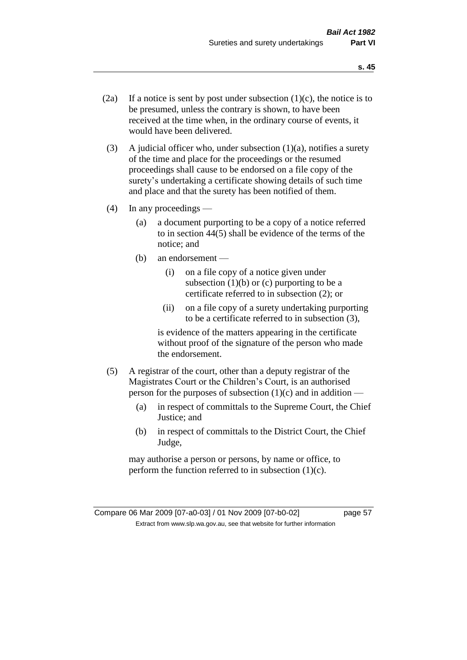- (2a) If a notice is sent by post under subsection  $(1)(c)$ , the notice is to be presumed, unless the contrary is shown, to have been received at the time when, in the ordinary course of events, it would have been delivered.
- (3) A judicial officer who, under subsection  $(1)(a)$ , notifies a surety of the time and place for the proceedings or the resumed proceedings shall cause to be endorsed on a file copy of the surety's undertaking a certificate showing details of such time and place and that the surety has been notified of them.
- (4) In any proceedings
	- (a) a document purporting to be a copy of a notice referred to in section 44(5) shall be evidence of the terms of the notice; and
	- (b) an endorsement
		- (i) on a file copy of a notice given under subsection  $(1)(b)$  or  $(c)$  purporting to be a certificate referred to in subsection (2); or
		- (ii) on a file copy of a surety undertaking purporting to be a certificate referred to in subsection (3),

is evidence of the matters appearing in the certificate without proof of the signature of the person who made the endorsement.

- (5) A registrar of the court, other than a deputy registrar of the Magistrates Court or the Children's Court, is an authorised person for the purposes of subsection  $(1)(c)$  and in addition —
	- (a) in respect of committals to the Supreme Court, the Chief Justice; and
	- (b) in respect of committals to the District Court, the Chief Judge,

may authorise a person or persons, by name or office, to perform the function referred to in subsection  $(1)(c)$ .

Compare 06 Mar 2009 [07-a0-03] / 01 Nov 2009 [07-b0-02] page 57 Extract from www.slp.wa.gov.au, see that website for further information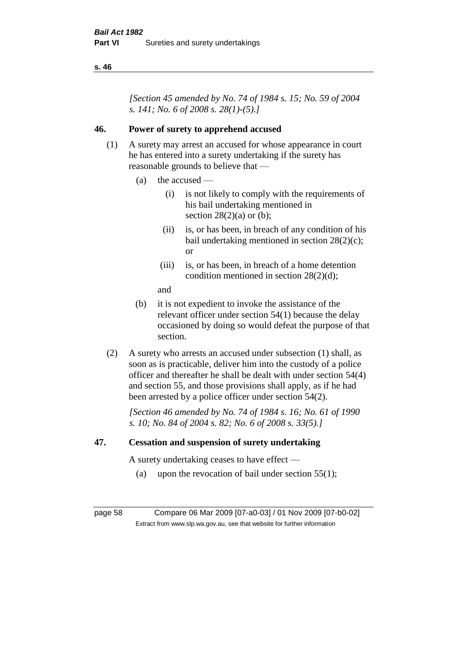*[Section 45 amended by No. 74 of 1984 s. 15; No. 59 of 2004 s. 141; No. 6 of 2008 s. 28(1)-(5).]* 

## **46. Power of surety to apprehend accused**

- (1) A surety may arrest an accused for whose appearance in court he has entered into a surety undertaking if the surety has reasonable grounds to believe that —
	- (a) the accused
		- (i) is not likely to comply with the requirements of his bail undertaking mentioned in section  $28(2)(a)$  or (b);
		- (ii) is, or has been, in breach of any condition of his bail undertaking mentioned in section 28(2)(c); or
		- (iii) is, or has been, in breach of a home detention condition mentioned in section 28(2)(d);
		- and
	- (b) it is not expedient to invoke the assistance of the relevant officer under section 54(1) because the delay occasioned by doing so would defeat the purpose of that section.
- (2) A surety who arrests an accused under subsection (1) shall, as soon as is practicable, deliver him into the custody of a police officer and thereafter he shall be dealt with under section 54(4) and section 55, and those provisions shall apply, as if he had been arrested by a police officer under section 54(2).

*[Section 46 amended by No. 74 of 1984 s. 16; No. 61 of 1990 s. 10; No. 84 of 2004 s. 82; No. 6 of 2008 s. 33(5).]* 

## **47. Cessation and suspension of surety undertaking**

A surety undertaking ceases to have effect —

(a) upon the revocation of bail under section  $55(1)$ ;

page 58 Compare 06 Mar 2009 [07-a0-03] / 01 Nov 2009 [07-b0-02] Extract from www.slp.wa.gov.au, see that website for further information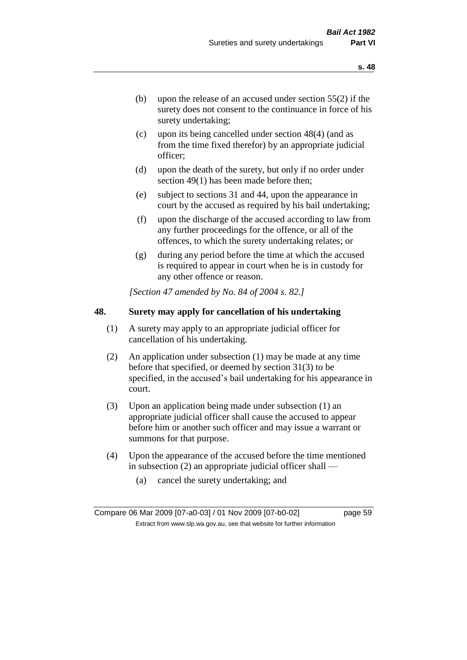- (b) upon the release of an accused under section 55(2) if the surety does not consent to the continuance in force of his surety undertaking;
- (c) upon its being cancelled under section 48(4) (and as from the time fixed therefor) by an appropriate judicial officer;
- (d) upon the death of the surety, but only if no order under section 49(1) has been made before then;
- (e) subject to sections 31 and 44, upon the appearance in court by the accused as required by his bail undertaking;
- (f) upon the discharge of the accused according to law from any further proceedings for the offence, or all of the offences, to which the surety undertaking relates; or
- (g) during any period before the time at which the accused is required to appear in court when he is in custody for any other offence or reason.

*[Section 47 amended by No. 84 of 2004 s. 82.]* 

## **48. Surety may apply for cancellation of his undertaking**

- (1) A surety may apply to an appropriate judicial officer for cancellation of his undertaking.
- (2) An application under subsection (1) may be made at any time before that specified, or deemed by section 31(3) to be specified, in the accused's bail undertaking for his appearance in court.
- (3) Upon an application being made under subsection (1) an appropriate judicial officer shall cause the accused to appear before him or another such officer and may issue a warrant or summons for that purpose.
- (4) Upon the appearance of the accused before the time mentioned in subsection (2) an appropriate judicial officer shall —
	- (a) cancel the surety undertaking; and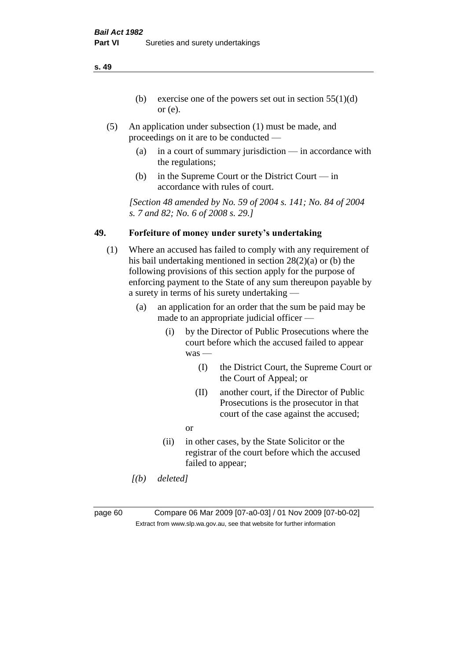- (b) exercise one of the powers set out in section  $55(1)(d)$ or (e).
- (5) An application under subsection (1) must be made, and proceedings on it are to be conducted —
	- (a) in a court of summary jurisdiction in accordance with the regulations;
	- (b) in the Supreme Court or the District Court in accordance with rules of court.

*[Section 48 amended by No. 59 of 2004 s. 141; No. 84 of 2004 s. 7 and 82; No. 6 of 2008 s. 29.]* 

# **49. Forfeiture of money under surety's undertaking**

- (1) Where an accused has failed to comply with any requirement of his bail undertaking mentioned in section 28(2)(a) or (b) the following provisions of this section apply for the purpose of enforcing payment to the State of any sum thereupon payable by a surety in terms of his surety undertaking —
	- (a) an application for an order that the sum be paid may be made to an appropriate judicial officer —
		- (i) by the Director of Public Prosecutions where the court before which the accused failed to appear was —
			- (I) the District Court, the Supreme Court or the Court of Appeal; or
			- (II) another court, if the Director of Public Prosecutions is the prosecutor in that court of the case against the accused;
			- or
		- (ii) in other cases, by the State Solicitor or the registrar of the court before which the accused failed to appear;
	- *[(b) deleted]*

page 60 Compare 06 Mar 2009 [07-a0-03] / 01 Nov 2009 [07-b0-02] Extract from www.slp.wa.gov.au, see that website for further information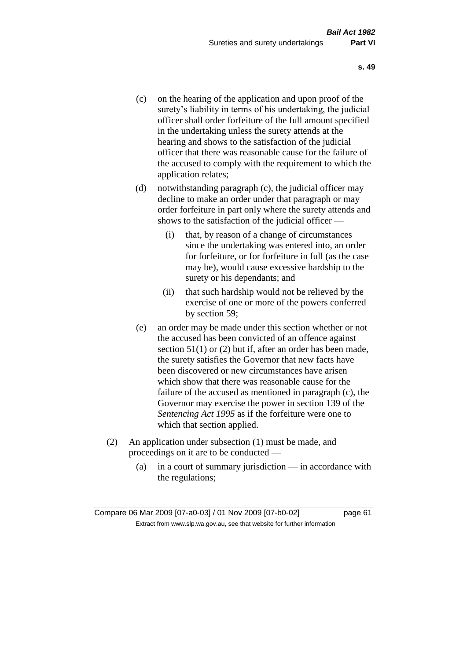- (c) on the hearing of the application and upon proof of the surety's liability in terms of his undertaking, the judicial officer shall order forfeiture of the full amount specified in the undertaking unless the surety attends at the hearing and shows to the satisfaction of the judicial officer that there was reasonable cause for the failure of the accused to comply with the requirement to which the application relates;
- (d) notwithstanding paragraph (c), the judicial officer may decline to make an order under that paragraph or may order forfeiture in part only where the surety attends and shows to the satisfaction of the judicial officer —
	- (i) that, by reason of a change of circumstances since the undertaking was entered into, an order for forfeiture, or for forfeiture in full (as the case may be), would cause excessive hardship to the surety or his dependants; and
	- (ii) that such hardship would not be relieved by the exercise of one or more of the powers conferred by section 59;
- (e) an order may be made under this section whether or not the accused has been convicted of an offence against section 51(1) or (2) but if, after an order has been made, the surety satisfies the Governor that new facts have been discovered or new circumstances have arisen which show that there was reasonable cause for the failure of the accused as mentioned in paragraph (c), the Governor may exercise the power in section 139 of the *Sentencing Act 1995* as if the forfeiture were one to which that section applied.
- (2) An application under subsection (1) must be made, and proceedings on it are to be conducted —
	- (a) in a court of summary jurisdiction in accordance with the regulations;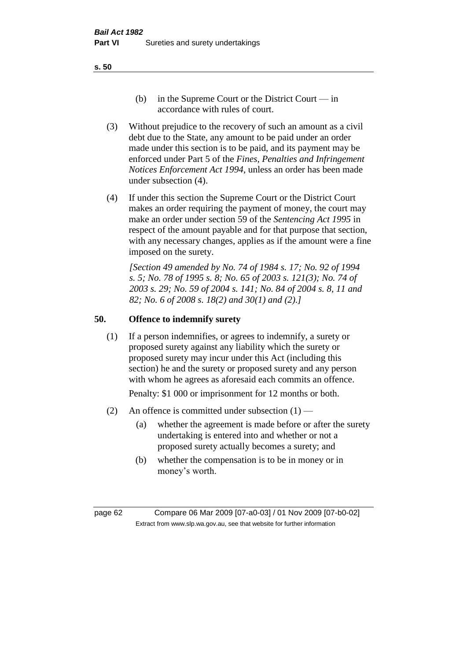- (b) in the Supreme Court or the District Court  $-\text{in}$ accordance with rules of court.
- (3) Without prejudice to the recovery of such an amount as a civil debt due to the State, any amount to be paid under an order made under this section is to be paid, and its payment may be enforced under Part 5 of the *Fines, Penalties and Infringement Notices Enforcement Act 1994*, unless an order has been made under subsection (4).
- (4) If under this section the Supreme Court or the District Court makes an order requiring the payment of money, the court may make an order under section 59 of the *Sentencing Act 1995* in respect of the amount payable and for that purpose that section, with any necessary changes, applies as if the amount were a fine imposed on the surety.

*[Section 49 amended by No. 74 of 1984 s. 17; No. 92 of 1994 s. 5; No. 78 of 1995 s. 8; No. 65 of 2003 s. 121(3); No. 74 of 2003 s. 29; No. 59 of 2004 s. 141; No. 84 of 2004 s. 8, 11 and 82; No. 6 of 2008 s. 18(2) and 30(1) and (2).]* 

# **50. Offence to indemnify surety**

(1) If a person indemnifies, or agrees to indemnify, a surety or proposed surety against any liability which the surety or proposed surety may incur under this Act (including this section) he and the surety or proposed surety and any person with whom he agrees as aforesaid each commits an offence.

Penalty: \$1 000 or imprisonment for 12 months or both.

- (2) An offence is committed under subsection  $(1)$ 
	- (a) whether the agreement is made before or after the surety undertaking is entered into and whether or not a proposed surety actually becomes a surety; and
	- (b) whether the compensation is to be in money or in money's worth.

page 62 Compare 06 Mar 2009 [07-a0-03] / 01 Nov 2009 [07-b0-02] Extract from www.slp.wa.gov.au, see that website for further information

#### **s. 50**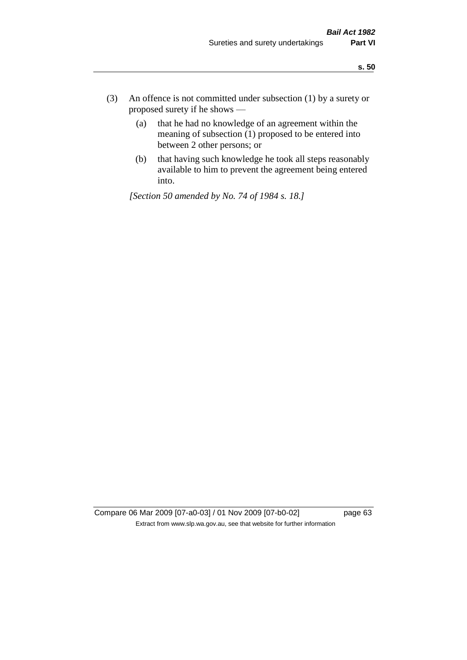- (3) An offence is not committed under subsection (1) by a surety or proposed surety if he shows —
	- (a) that he had no knowledge of an agreement within the meaning of subsection (1) proposed to be entered into between 2 other persons; or
	- (b) that having such knowledge he took all steps reasonably available to him to prevent the agreement being entered into.

*[Section 50 amended by No. 74 of 1984 s. 18.]* 

Compare 06 Mar 2009 [07-a0-03] / 01 Nov 2009 [07-b0-02] page 63 Extract from www.slp.wa.gov.au, see that website for further information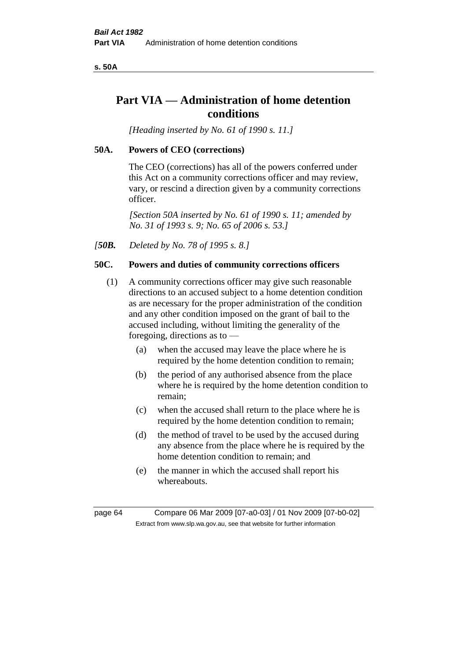**s. 50A**

# **Part VIA — Administration of home detention conditions**

*[Heading inserted by No. 61 of 1990 s. 11.]* 

## **50A. Powers of CEO (corrections)**

The CEO (corrections) has all of the powers conferred under this Act on a community corrections officer and may review, vary, or rescind a direction given by a community corrections officer.

*[Section 50A inserted by No. 61 of 1990 s. 11; amended by No. 31 of 1993 s. 9; No. 65 of 2006 s. 53.]* 

*[50B. Deleted by No. 78 of 1995 s. 8.]* 

# **50C. Powers and duties of community corrections officers**

- (1) A community corrections officer may give such reasonable directions to an accused subject to a home detention condition as are necessary for the proper administration of the condition and any other condition imposed on the grant of bail to the accused including, without limiting the generality of the foregoing, directions as to —
	- (a) when the accused may leave the place where he is required by the home detention condition to remain;
	- (b) the period of any authorised absence from the place where he is required by the home detention condition to remain;
	- (c) when the accused shall return to the place where he is required by the home detention condition to remain;
	- (d) the method of travel to be used by the accused during any absence from the place where he is required by the home detention condition to remain; and
	- (e) the manner in which the accused shall report his whereabouts.

page 64 Compare 06 Mar 2009 [07-a0-03] / 01 Nov 2009 [07-b0-02] Extract from www.slp.wa.gov.au, see that website for further information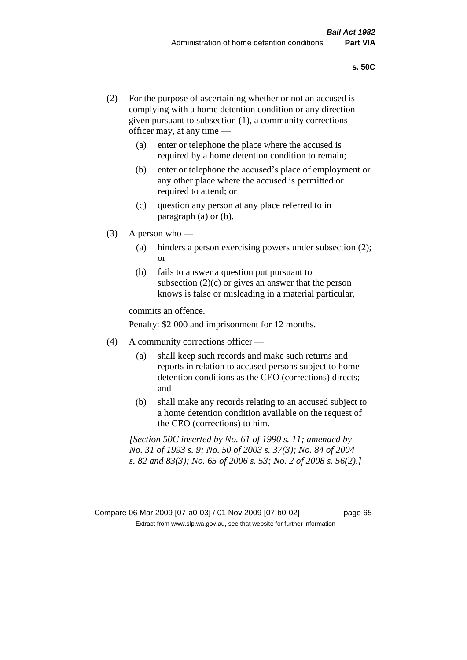- (2) For the purpose of ascertaining whether or not an accused is complying with a home detention condition or any direction given pursuant to subsection (1), a community corrections officer may, at any time —
	- (a) enter or telephone the place where the accused is required by a home detention condition to remain;
	- (b) enter or telephone the accused's place of employment or any other place where the accused is permitted or required to attend; or
	- (c) question any person at any place referred to in paragraph (a) or (b).
- $(3)$  A person who
	- (a) hinders a person exercising powers under subsection (2); or
	- (b) fails to answer a question put pursuant to subsection  $(2)(c)$  or gives an answer that the person knows is false or misleading in a material particular,

commits an offence.

Penalty: \$2 000 and imprisonment for 12 months.

- (4) A community corrections officer
	- (a) shall keep such records and make such returns and reports in relation to accused persons subject to home detention conditions as the CEO (corrections) directs; and
	- (b) shall make any records relating to an accused subject to a home detention condition available on the request of the CEO (corrections) to him.

*[Section 50C inserted by No. 61 of 1990 s. 11; amended by No. 31 of 1993 s. 9; No. 50 of 2003 s. 37(3); No. 84 of 2004 s. 82 and 83(3); No. 65 of 2006 s. 53; No. 2 of 2008 s. 56(2).]*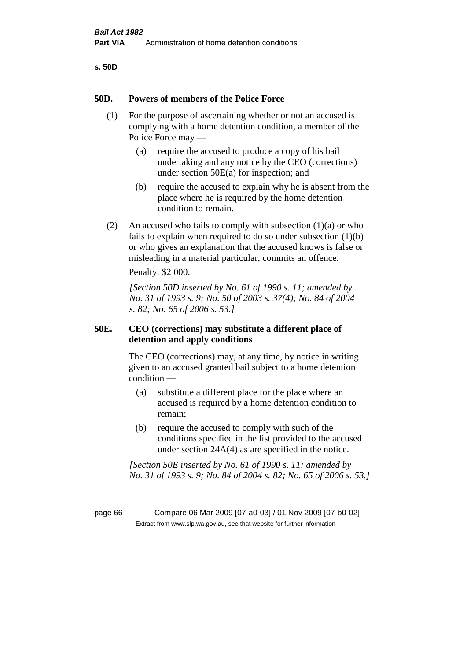| v<br>۰,<br>×<br>۰.<br>× |  |
|-------------------------|--|
|-------------------------|--|

#### **50D. Powers of members of the Police Force**

- (1) For the purpose of ascertaining whether or not an accused is complying with a home detention condition, a member of the Police Force may —
	- (a) require the accused to produce a copy of his bail undertaking and any notice by the CEO (corrections) under section 50E(a) for inspection; and
	- (b) require the accused to explain why he is absent from the place where he is required by the home detention condition to remain.
- (2) An accused who fails to comply with subsection  $(1)(a)$  or who fails to explain when required to do so under subsection (1)(b) or who gives an explanation that the accused knows is false or misleading in a material particular, commits an offence.

Penalty: \$2 000.

*[Section 50D inserted by No. 61 of 1990 s. 11; amended by No. 31 of 1993 s. 9; No. 50 of 2003 s. 37(4); No. 84 of 2004 s. 82; No. 65 of 2006 s. 53.]* 

## **50E. CEO (corrections) may substitute a different place of detention and apply conditions**

The CEO (corrections) may, at any time, by notice in writing given to an accused granted bail subject to a home detention condition —

- (a) substitute a different place for the place where an accused is required by a home detention condition to remain;
- (b) require the accused to comply with such of the conditions specified in the list provided to the accused under section 24A(4) as are specified in the notice.

*[Section 50E inserted by No. 61 of 1990 s. 11; amended by No. 31 of 1993 s. 9; No. 84 of 2004 s. 82; No. 65 of 2006 s. 53.]* 

page 66 Compare 06 Mar 2009 [07-a0-03] / 01 Nov 2009 [07-b0-02] Extract from www.slp.wa.gov.au, see that website for further information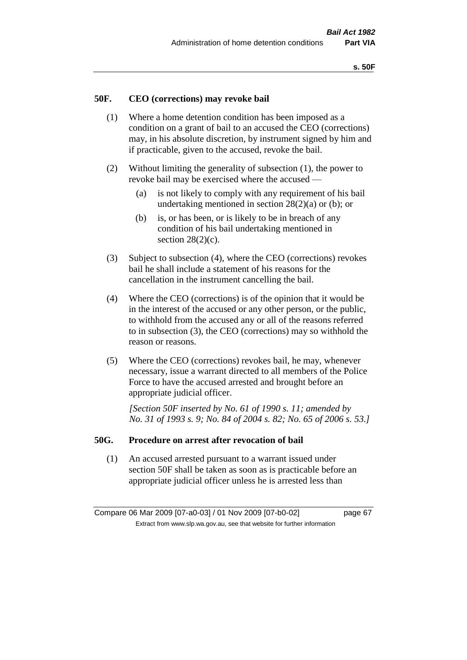#### **50F. CEO (corrections) may revoke bail**

- (1) Where a home detention condition has been imposed as a condition on a grant of bail to an accused the CEO (corrections) may, in his absolute discretion, by instrument signed by him and if practicable, given to the accused, revoke the bail.
- (2) Without limiting the generality of subsection (1), the power to revoke bail may be exercised where the accused —
	- (a) is not likely to comply with any requirement of his bail undertaking mentioned in section  $28(2)(a)$  or (b); or
	- (b) is, or has been, or is likely to be in breach of any condition of his bail undertaking mentioned in section  $28(2)(c)$ .
- (3) Subject to subsection (4), where the CEO (corrections) revokes bail he shall include a statement of his reasons for the cancellation in the instrument cancelling the bail.
- (4) Where the CEO (corrections) is of the opinion that it would be in the interest of the accused or any other person, or the public, to withhold from the accused any or all of the reasons referred to in subsection (3), the CEO (corrections) may so withhold the reason or reasons.
- (5) Where the CEO (corrections) revokes bail, he may, whenever necessary, issue a warrant directed to all members of the Police Force to have the accused arrested and brought before an appropriate judicial officer.

*[Section 50F inserted by No. 61 of 1990 s. 11; amended by No. 31 of 1993 s. 9; No. 84 of 2004 s. 82; No. 65 of 2006 s. 53.]* 

#### **50G. Procedure on arrest after revocation of bail**

(1) An accused arrested pursuant to a warrant issued under section 50F shall be taken as soon as is practicable before an appropriate judicial officer unless he is arrested less than

Compare 06 Mar 2009 [07-a0-03] / 01 Nov 2009 [07-b0-02] page 67 Extract from www.slp.wa.gov.au, see that website for further information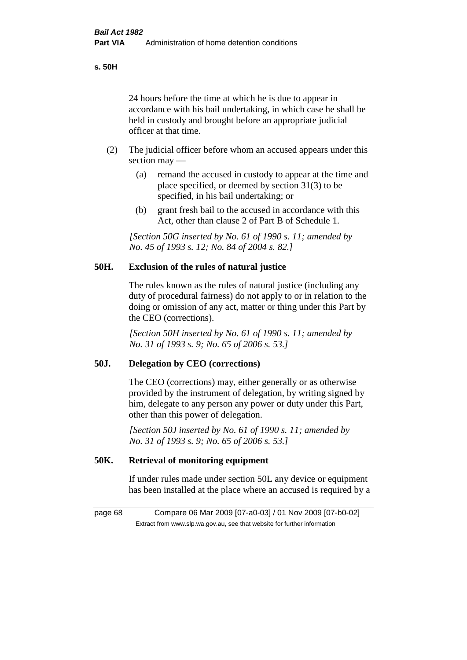**s. 50H**

24 hours before the time at which he is due to appear in accordance with his bail undertaking, in which case he shall be held in custody and brought before an appropriate judicial officer at that time.

- (2) The judicial officer before whom an accused appears under this section may —
	- (a) remand the accused in custody to appear at the time and place specified, or deemed by section 31(3) to be specified, in his bail undertaking; or
	- (b) grant fresh bail to the accused in accordance with this Act, other than clause 2 of Part B of Schedule 1.

*[Section 50G inserted by No. 61 of 1990 s. 11; amended by No. 45 of 1993 s. 12; No. 84 of 2004 s. 82.]* 

# **50H. Exclusion of the rules of natural justice**

The rules known as the rules of natural justice (including any duty of procedural fairness) do not apply to or in relation to the doing or omission of any act, matter or thing under this Part by the CEO (corrections).

*[Section 50H inserted by No. 61 of 1990 s. 11; amended by No. 31 of 1993 s. 9; No. 65 of 2006 s. 53.]* 

## **50J. Delegation by CEO (corrections)**

The CEO (corrections) may, either generally or as otherwise provided by the instrument of delegation, by writing signed by him, delegate to any person any power or duty under this Part, other than this power of delegation.

*[Section 50J inserted by No. 61 of 1990 s. 11; amended by No. 31 of 1993 s. 9; No. 65 of 2006 s. 53.]* 

# **50K. Retrieval of monitoring equipment**

If under rules made under section 50L any device or equipment has been installed at the place where an accused is required by a

page 68 Compare 06 Mar 2009 [07-a0-03] / 01 Nov 2009 [07-b0-02] Extract from www.slp.wa.gov.au, see that website for further information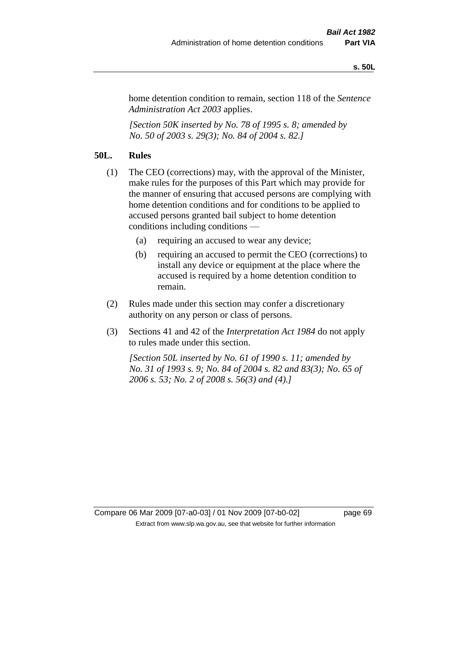#### **s. 50L**

home detention condition to remain, section 118 of the *Sentence Administration Act 2003* applies.

*[Section 50K inserted by No. 78 of 1995 s. 8; amended by No. 50 of 2003 s. 29(3); No. 84 of 2004 s. 82.]* 

# **50L. Rules**

- (1) The CEO (corrections) may, with the approval of the Minister, make rules for the purposes of this Part which may provide for the manner of ensuring that accused persons are complying with home detention conditions and for conditions to be applied to accused persons granted bail subject to home detention conditions including conditions —
	- (a) requiring an accused to wear any device;
	- (b) requiring an accused to permit the CEO (corrections) to install any device or equipment at the place where the accused is required by a home detention condition to remain.
- (2) Rules made under this section may confer a discretionary authority on any person or class of persons.
- (3) Sections 41 and 42 of the *Interpretation Act 1984* do not apply to rules made under this section.

*[Section 50L inserted by No. 61 of 1990 s. 11; amended by No. 31 of 1993 s. 9; No. 84 of 2004 s. 82 and 83(3); No. 65 of 2006 s. 53; No. 2 of 2008 s. 56(3) and (4).]*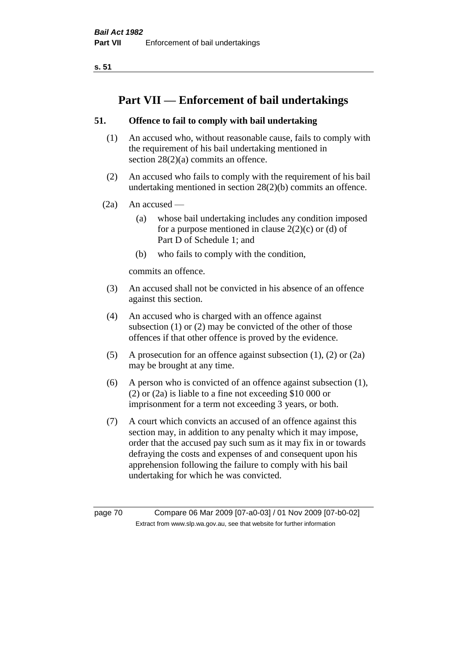# **Part VII — Enforcement of bail undertakings**

# **51. Offence to fail to comply with bail undertaking**

- (1) An accused who, without reasonable cause, fails to comply with the requirement of his bail undertaking mentioned in section 28(2)(a) commits an offence.
- (2) An accused who fails to comply with the requirement of his bail undertaking mentioned in section 28(2)(b) commits an offence.
- $(2a)$  An accused
	- (a) whose bail undertaking includes any condition imposed for a purpose mentioned in clause  $2(2)(c)$  or (d) of Part D of Schedule 1; and
	- (b) who fails to comply with the condition,

commits an offence.

- (3) An accused shall not be convicted in his absence of an offence against this section.
- (4) An accused who is charged with an offence against subsection (1) or (2) may be convicted of the other of those offences if that other offence is proved by the evidence.
- (5) A prosecution for an offence against subsection (1), (2) or (2a) may be brought at any time.
- (6) A person who is convicted of an offence against subsection (1), (2) or (2a) is liable to a fine not exceeding \$10 000 or imprisonment for a term not exceeding 3 years, or both.
- (7) A court which convicts an accused of an offence against this section may, in addition to any penalty which it may impose, order that the accused pay such sum as it may fix in or towards defraying the costs and expenses of and consequent upon his apprehension following the failure to comply with his bail undertaking for which he was convicted.

page 70 Compare 06 Mar 2009 [07-a0-03] / 01 Nov 2009 [07-b0-02] Extract from www.slp.wa.gov.au, see that website for further information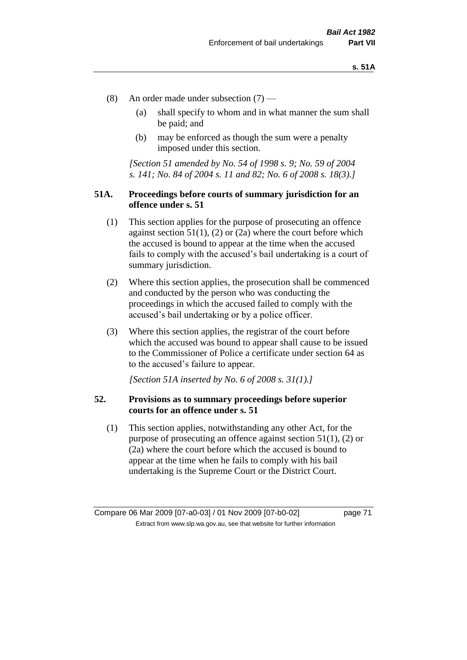- (8) An order made under subsection (7)
	- (a) shall specify to whom and in what manner the sum shall be paid; and
	- (b) may be enforced as though the sum were a penalty imposed under this section.

*[Section 51 amended by No. 54 of 1998 s. 9; No. 59 of 2004 s. 141; No. 84 of 2004 s. 11 and 82; No. 6 of 2008 s. 18(3).]*

## **51A. Proceedings before courts of summary jurisdiction for an offence under s. 51**

- (1) This section applies for the purpose of prosecuting an offence against section  $51(1)$ ,  $(2)$  or  $(2a)$  where the court before which the accused is bound to appear at the time when the accused fails to comply with the accused's bail undertaking is a court of summary jurisdiction.
- (2) Where this section applies, the prosecution shall be commenced and conducted by the person who was conducting the proceedings in which the accused failed to comply with the accused's bail undertaking or by a police officer.
- (3) Where this section applies, the registrar of the court before which the accused was bound to appear shall cause to be issued to the Commissioner of Police a certificate under section 64 as to the accused's failure to appear.

*[Section 51A inserted by No. 6 of 2008 s. 31(1).]*

## **52. Provisions as to summary proceedings before superior courts for an offence under s. 51**

(1) This section applies, notwithstanding any other Act, for the purpose of prosecuting an offence against section 51(1), (2) or (2a) where the court before which the accused is bound to appear at the time when he fails to comply with his bail undertaking is the Supreme Court or the District Court.

Compare 06 Mar 2009 [07-a0-03] / 01 Nov 2009 [07-b0-02] page 71 Extract from www.slp.wa.gov.au, see that website for further information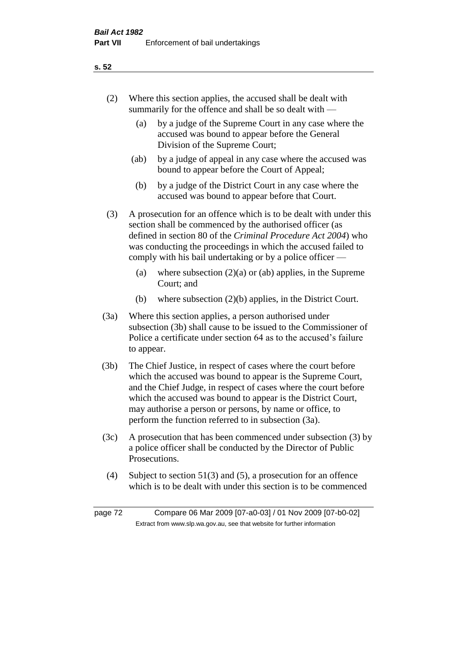# **s. 52**

- (2) Where this section applies, the accused shall be dealt with summarily for the offence and shall be so dealt with —
	- (a) by a judge of the Supreme Court in any case where the accused was bound to appear before the General Division of the Supreme Court;
	- (ab) by a judge of appeal in any case where the accused was bound to appear before the Court of Appeal;
	- (b) by a judge of the District Court in any case where the accused was bound to appear before that Court.
- (3) A prosecution for an offence which is to be dealt with under this section shall be commenced by the authorised officer (as defined in section 80 of the *Criminal Procedure Act 2004*) who was conducting the proceedings in which the accused failed to comply with his bail undertaking or by a police officer —
	- (a) where subsection  $(2)(a)$  or (ab) applies, in the Supreme Court; and
	- (b) where subsection (2)(b) applies, in the District Court.
- (3a) Where this section applies, a person authorised under subsection (3b) shall cause to be issued to the Commissioner of Police a certificate under section 64 as to the accused's failure to appear.
- (3b) The Chief Justice, in respect of cases where the court before which the accused was bound to appear is the Supreme Court, and the Chief Judge, in respect of cases where the court before which the accused was bound to appear is the District Court, may authorise a person or persons, by name or office, to perform the function referred to in subsection (3a).
- (3c) A prosecution that has been commenced under subsection (3) by a police officer shall be conducted by the Director of Public Prosecutions.
- (4) Subject to section 51(3) and (5), a prosecution for an offence which is to be dealt with under this section is to be commenced

page 72 Compare 06 Mar 2009 [07-a0-03] / 01 Nov 2009 [07-b0-02] Extract from www.slp.wa.gov.au, see that website for further information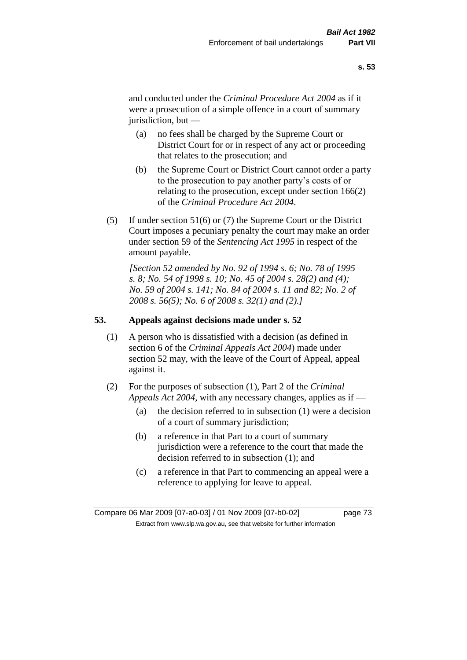and conducted under the *Criminal Procedure Act 2004* as if it were a prosecution of a simple offence in a court of summary jurisdiction, but —

- (a) no fees shall be charged by the Supreme Court or District Court for or in respect of any act or proceeding that relates to the prosecution; and
- (b) the Supreme Court or District Court cannot order a party to the prosecution to pay another party's costs of or relating to the prosecution, except under section 166(2) of the *Criminal Procedure Act 2004*.
- (5) If under section 51(6) or (7) the Supreme Court or the District Court imposes a pecuniary penalty the court may make an order under section 59 of the *Sentencing Act 1995* in respect of the amount payable.

*[Section 52 amended by No. 92 of 1994 s. 6; No. 78 of 1995 s. 8; No. 54 of 1998 s. 10; No. 45 of 2004 s. 28(2) and (4); No. 59 of 2004 s. 141; No. 84 of 2004 s. 11 and 82; No. 2 of 2008 s. 56(5); No. 6 of 2008 s. 32(1) and (2).]* 

# **53. Appeals against decisions made under s. 52**

- (1) A person who is dissatisfied with a decision (as defined in section 6 of the *Criminal Appeals Act 2004*) made under section 52 may, with the leave of the Court of Appeal, appeal against it.
- (2) For the purposes of subsection (1), Part 2 of the *Criminal Appeals Act 2004*, with any necessary changes, applies as if —
	- (a) the decision referred to in subsection (1) were a decision of a court of summary jurisdiction;
	- (b) a reference in that Part to a court of summary jurisdiction were a reference to the court that made the decision referred to in subsection (1); and
	- (c) a reference in that Part to commencing an appeal were a reference to applying for leave to appeal.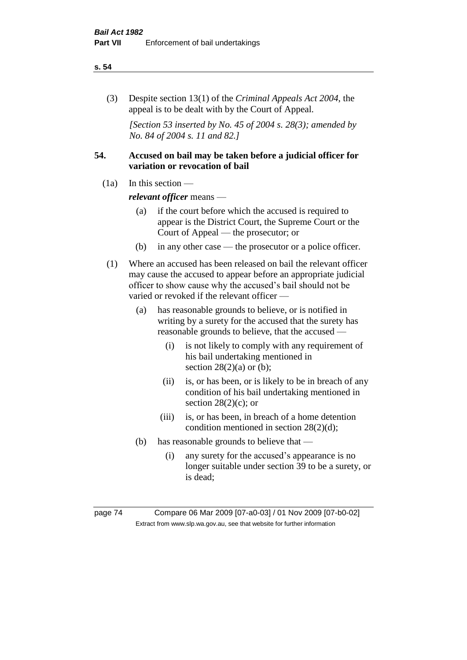#### **s. 54**

(3) Despite section 13(1) of the *Criminal Appeals Act 2004*, the appeal is to be dealt with by the Court of Appeal.

*[Section 53 inserted by No. 45 of 2004 s. 28(3); amended by No. 84 of 2004 s. 11 and 82.]*

# **54. Accused on bail may be taken before a judicial officer for variation or revocation of bail**

 $(1a)$  In this section —

*relevant officer* means —

- (a) if the court before which the accused is required to appear is the District Court, the Supreme Court or the Court of Appeal — the prosecutor; or
- (b) in any other case the prosecutor or a police officer.
- (1) Where an accused has been released on bail the relevant officer may cause the accused to appear before an appropriate judicial officer to show cause why the accused's bail should not be varied or revoked if the relevant officer —
	- (a) has reasonable grounds to believe, or is notified in writing by a surety for the accused that the surety has reasonable grounds to believe, that the accused —
		- (i) is not likely to comply with any requirement of his bail undertaking mentioned in section  $28(2)(a)$  or (b);
		- (ii) is, or has been, or is likely to be in breach of any condition of his bail undertaking mentioned in section  $28(2)(c)$ ; or
		- (iii) is, or has been, in breach of a home detention condition mentioned in section 28(2)(d);
	- (b) has reasonable grounds to believe that
		- (i) any surety for the accused's appearance is no longer suitable under section 39 to be a surety, or is dead;

page 74 Compare 06 Mar 2009 [07-a0-03] / 01 Nov 2009 [07-b0-02] Extract from www.slp.wa.gov.au, see that website for further information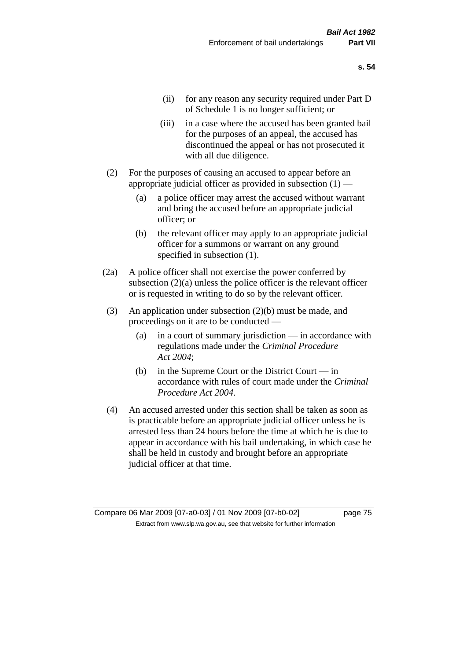- (ii) for any reason any security required under Part D of Schedule 1 is no longer sufficient; or
- (iii) in a case where the accused has been granted bail for the purposes of an appeal, the accused has discontinued the appeal or has not prosecuted it with all due diligence.
- (2) For the purposes of causing an accused to appear before an appropriate judicial officer as provided in subsection  $(1)$  -
	- (a) a police officer may arrest the accused without warrant and bring the accused before an appropriate judicial officer; or
	- (b) the relevant officer may apply to an appropriate judicial officer for a summons or warrant on any ground specified in subsection  $(1)$ .
- (2a) A police officer shall not exercise the power conferred by subsection (2)(a) unless the police officer is the relevant officer or is requested in writing to do so by the relevant officer.
- (3) An application under subsection (2)(b) must be made, and proceedings on it are to be conducted —
	- (a) in a court of summary jurisdiction in accordance with regulations made under the *Criminal Procedure Act 2004*;
	- (b) in the Supreme Court or the District Court in accordance with rules of court made under the *Criminal Procedure Act 2004*.
- (4) An accused arrested under this section shall be taken as soon as is practicable before an appropriate judicial officer unless he is arrested less than 24 hours before the time at which he is due to appear in accordance with his bail undertaking, in which case he shall be held in custody and brought before an appropriate judicial officer at that time.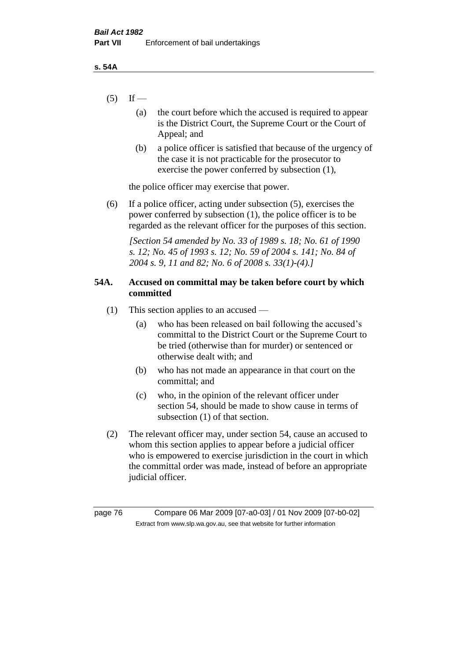- $(5)$  If
	- (a) the court before which the accused is required to appear is the District Court, the Supreme Court or the Court of Appeal; and
	- (b) a police officer is satisfied that because of the urgency of the case it is not practicable for the prosecutor to exercise the power conferred by subsection (1),

the police officer may exercise that power.

(6) If a police officer, acting under subsection (5), exercises the power conferred by subsection (1), the police officer is to be regarded as the relevant officer for the purposes of this section.

*[Section 54 amended by No. 33 of 1989 s. 18; No. 61 of 1990 s. 12; No. 45 of 1993 s. 12; No. 59 of 2004 s. 141; No. 84 of 2004 s. 9, 11 and 82; No. 6 of 2008 s. 33(1)-(4).]* 

# **54A. Accused on committal may be taken before court by which committed**

- (1) This section applies to an accused
	- (a) who has been released on bail following the accused's committal to the District Court or the Supreme Court to be tried (otherwise than for murder) or sentenced or otherwise dealt with; and
	- (b) who has not made an appearance in that court on the committal; and
	- (c) who, in the opinion of the relevant officer under section 54, should be made to show cause in terms of subsection (1) of that section.
- (2) The relevant officer may, under section 54, cause an accused to whom this section applies to appear before a judicial officer who is empowered to exercise jurisdiction in the court in which the committal order was made, instead of before an appropriate judicial officer.

page 76 Compare 06 Mar 2009 [07-a0-03] / 01 Nov 2009 [07-b0-02] Extract from www.slp.wa.gov.au, see that website for further information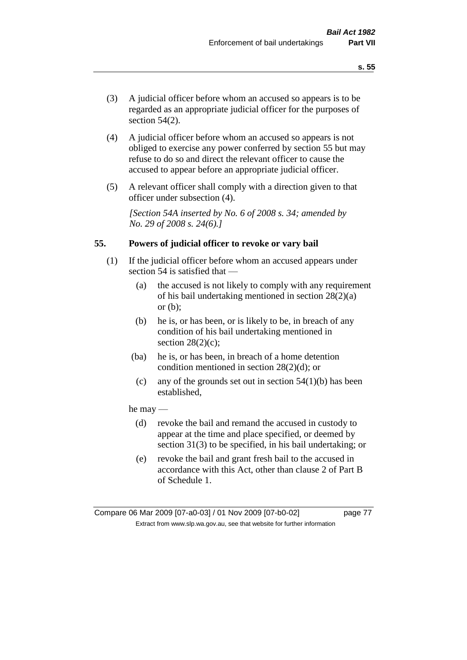- (3) A judicial officer before whom an accused so appears is to be regarded as an appropriate judicial officer for the purposes of section 54(2).
- (4) A judicial officer before whom an accused so appears is not obliged to exercise any power conferred by section 55 but may refuse to do so and direct the relevant officer to cause the accused to appear before an appropriate judicial officer.
- (5) A relevant officer shall comply with a direction given to that officer under subsection (4).

*[Section 54A inserted by No. 6 of 2008 s. 34; amended by No. 29 of 2008 s. 24(6).]*

## **55. Powers of judicial officer to revoke or vary bail**

- (1) If the judicial officer before whom an accused appears under section 54 is satisfied that —
	- (a) the accused is not likely to comply with any requirement of his bail undertaking mentioned in section 28(2)(a) or  $(b)$ :
	- (b) he is, or has been, or is likely to be, in breach of any condition of his bail undertaking mentioned in section  $28(2)(c)$ ;
	- (ba) he is, or has been, in breach of a home detention condition mentioned in section 28(2)(d); or
		- (c) any of the grounds set out in section  $54(1)(b)$  has been established,

#### he may —

- (d) revoke the bail and remand the accused in custody to appear at the time and place specified, or deemed by section 31(3) to be specified, in his bail undertaking; or
- (e) revoke the bail and grant fresh bail to the accused in accordance with this Act, other than clause 2 of Part B of Schedule 1.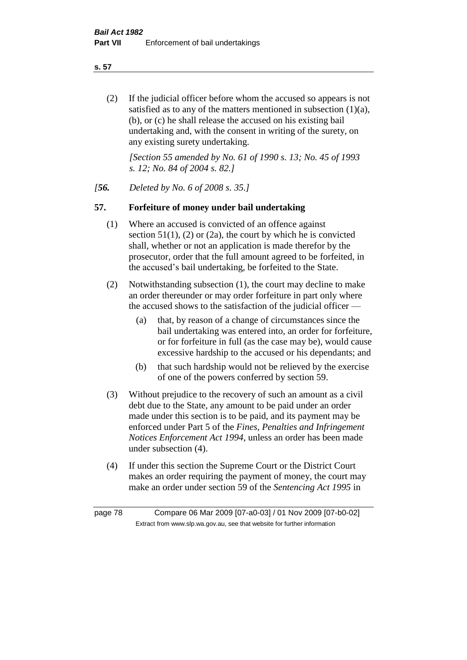**s. 57**

(2) If the judicial officer before whom the accused so appears is not satisfied as to any of the matters mentioned in subsection (1)(a), (b), or (c) he shall release the accused on his existing bail undertaking and, with the consent in writing of the surety, on any existing surety undertaking.

*[Section 55 amended by No. 61 of 1990 s. 13; No. 45 of 1993 s. 12; No. 84 of 2004 s. 82.]* 

*[56. Deleted by No. 6 of 2008 s. 35.]*

# **57. Forfeiture of money under bail undertaking**

- (1) Where an accused is convicted of an offence against section  $51(1)$ , (2) or (2a), the court by which he is convicted shall, whether or not an application is made therefor by the prosecutor, order that the full amount agreed to be forfeited, in the accused's bail undertaking, be forfeited to the State.
- (2) Notwithstanding subsection (1), the court may decline to make an order thereunder or may order forfeiture in part only where the accused shows to the satisfaction of the judicial officer —
	- (a) that, by reason of a change of circumstances since the bail undertaking was entered into, an order for forfeiture, or for forfeiture in full (as the case may be), would cause excessive hardship to the accused or his dependants; and
	- (b) that such hardship would not be relieved by the exercise of one of the powers conferred by section 59.
- (3) Without prejudice to the recovery of such an amount as a civil debt due to the State, any amount to be paid under an order made under this section is to be paid, and its payment may be enforced under Part 5 of the *Fines, Penalties and Infringement Notices Enforcement Act 1994*, unless an order has been made under subsection (4).
- (4) If under this section the Supreme Court or the District Court makes an order requiring the payment of money, the court may make an order under section 59 of the *Sentencing Act 1995* in

page 78 Compare 06 Mar 2009 [07-a0-03] / 01 Nov 2009 [07-b0-02] Extract from www.slp.wa.gov.au, see that website for further information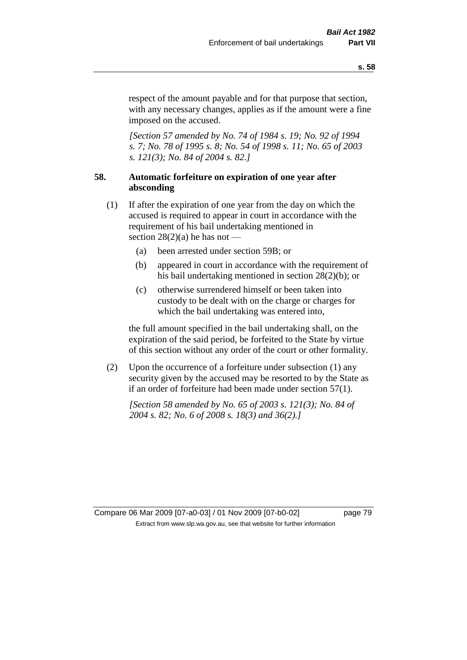respect of the amount payable and for that purpose that section, with any necessary changes, applies as if the amount were a fine imposed on the accused.

*[Section 57 amended by No. 74 of 1984 s. 19; No. 92 of 1994 s. 7; No. 78 of 1995 s. 8; No. 54 of 1998 s. 11; No. 65 of 2003 s. 121(3); No. 84 of 2004 s. 82.]* 

# **58. Automatic forfeiture on expiration of one year after absconding**

- (1) If after the expiration of one year from the day on which the accused is required to appear in court in accordance with the requirement of his bail undertaking mentioned in section  $28(2)(a)$  he has not —
	- (a) been arrested under section 59B; or
	- (b) appeared in court in accordance with the requirement of his bail undertaking mentioned in section 28(2)(b); or
	- (c) otherwise surrendered himself or been taken into custody to be dealt with on the charge or charges for which the bail undertaking was entered into,

the full amount specified in the bail undertaking shall, on the expiration of the said period, be forfeited to the State by virtue of this section without any order of the court or other formality.

(2) Upon the occurrence of a forfeiture under subsection (1) any security given by the accused may be resorted to by the State as if an order of forfeiture had been made under section 57(1).

*[Section 58 amended by No. 65 of 2003 s. 121(3); No. 84 of 2004 s. 82; No. 6 of 2008 s. 18(3) and 36(2).]*

Compare 06 Mar 2009 [07-a0-03] / 01 Nov 2009 [07-b0-02] page 79 Extract from www.slp.wa.gov.au, see that website for further information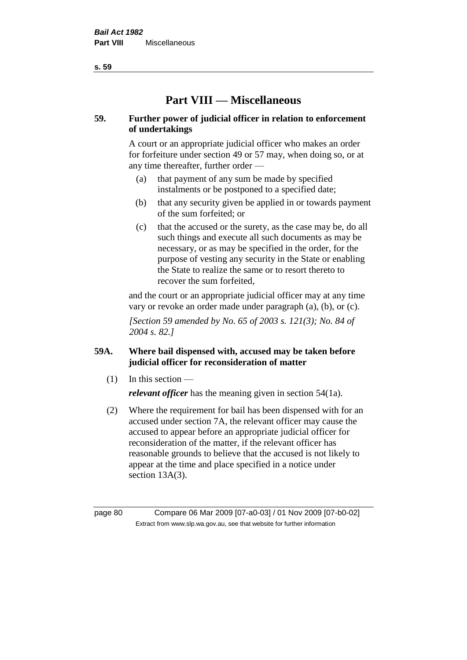**Part VIII — Miscellaneous** 

# **59. Further power of judicial officer in relation to enforcement of undertakings**

A court or an appropriate judicial officer who makes an order for forfeiture under section 49 or 57 may, when doing so, or at any time thereafter, further order —

- (a) that payment of any sum be made by specified instalments or be postponed to a specified date;
- (b) that any security given be applied in or towards payment of the sum forfeited; or
- (c) that the accused or the surety, as the case may be, do all such things and execute all such documents as may be necessary, or as may be specified in the order, for the purpose of vesting any security in the State or enabling the State to realize the same or to resort thereto to recover the sum forfeited,

and the court or an appropriate judicial officer may at any time vary or revoke an order made under paragraph (a), (b), or (c).

*[Section 59 amended by No. 65 of 2003 s. 121(3); No. 84 of 2004 s. 82.]*

# **59A. Where bail dispensed with, accused may be taken before judicial officer for reconsideration of matter**

- $(1)$  In this section *relevant officer* has the meaning given in section 54(1a).
- (2) Where the requirement for bail has been dispensed with for an accused under section 7A, the relevant officer may cause the accused to appear before an appropriate judicial officer for reconsideration of the matter, if the relevant officer has reasonable grounds to believe that the accused is not likely to appear at the time and place specified in a notice under section 13A(3).

page 80 Compare 06 Mar 2009 [07-a0-03] / 01 Nov 2009 [07-b0-02] Extract from www.slp.wa.gov.au, see that website for further information

**s. 59**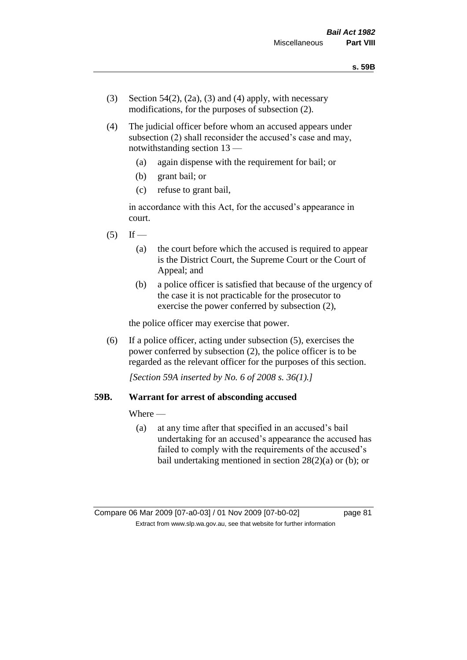- (3) Section 54(2), (2a), (3) and (4) apply, with necessary modifications, for the purposes of subsection (2).
- (4) The judicial officer before whom an accused appears under subsection (2) shall reconsider the accused's case and may, notwithstanding section 13 —
	- (a) again dispense with the requirement for bail; or
	- (b) grant bail; or
	- (c) refuse to grant bail,

in accordance with this Act, for the accused's appearance in court.

- $(5)$  If
	- (a) the court before which the accused is required to appear is the District Court, the Supreme Court or the Court of Appeal; and
	- (b) a police officer is satisfied that because of the urgency of the case it is not practicable for the prosecutor to exercise the power conferred by subsection (2),

the police officer may exercise that power.

(6) If a police officer, acting under subsection (5), exercises the power conferred by subsection (2), the police officer is to be regarded as the relevant officer for the purposes of this section.

*[Section 59A inserted by No. 6 of 2008 s. 36(1).]*

#### **59B. Warrant for arrest of absconding accused**

Where —

(a) at any time after that specified in an accused's bail undertaking for an accused's appearance the accused has failed to comply with the requirements of the accused's bail undertaking mentioned in section 28(2)(a) or (b); or

Compare 06 Mar 2009 [07-a0-03] / 01 Nov 2009 [07-b0-02] page 81 Extract from www.slp.wa.gov.au, see that website for further information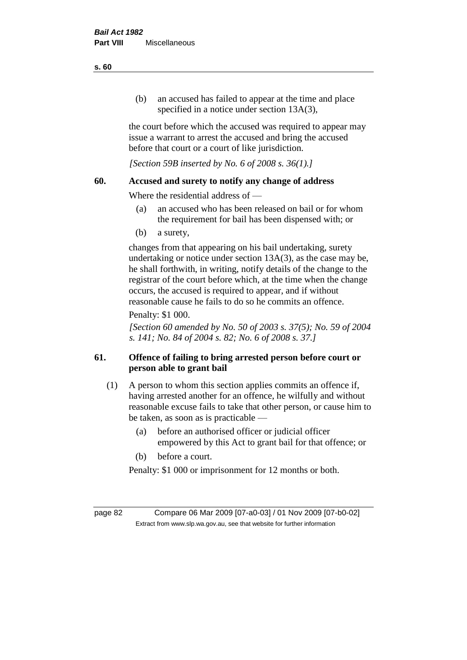(b) an accused has failed to appear at the time and place specified in a notice under section 13A(3).

the court before which the accused was required to appear may issue a warrant to arrest the accused and bring the accused before that court or a court of like jurisdiction.

*[Section 59B inserted by No. 6 of 2008 s. 36(1).]*

## **60. Accused and surety to notify any change of address**

Where the residential address of —

- (a) an accused who has been released on bail or for whom the requirement for bail has been dispensed with; or
- (b) a surety,

changes from that appearing on his bail undertaking, surety undertaking or notice under section 13A(3), as the case may be, he shall forthwith, in writing, notify details of the change to the registrar of the court before which, at the time when the change occurs, the accused is required to appear, and if without reasonable cause he fails to do so he commits an offence.

#### Penalty: \$1 000.

*[Section 60 amended by No. 50 of 2003 s. 37(5); No. 59 of 2004 s. 141; No. 84 of 2004 s. 82; No. 6 of 2008 s. 37.]*

# **61. Offence of failing to bring arrested person before court or person able to grant bail**

- (1) A person to whom this section applies commits an offence if, having arrested another for an offence, he wilfully and without reasonable excuse fails to take that other person, or cause him to be taken, as soon as is practicable —
	- (a) before an authorised officer or judicial officer empowered by this Act to grant bail for that offence; or
	- (b) before a court.

Penalty: \$1 000 or imprisonment for 12 months or both.

page 82 Compare 06 Mar 2009 [07-a0-03] / 01 Nov 2009 [07-b0-02] Extract from www.slp.wa.gov.au, see that website for further information

**s. 60**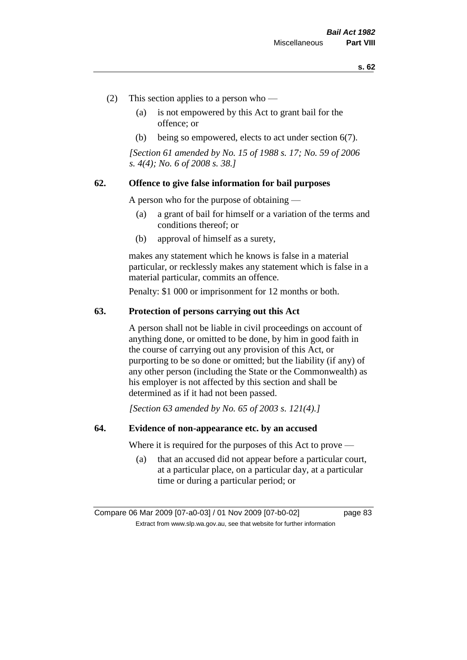- (2) This section applies to a person who
	- (a) is not empowered by this Act to grant bail for the offence; or
	- (b) being so empowered, elects to act under section 6(7).

*[Section 61 amended by No. 15 of 1988 s. 17; No. 59 of 2006 s. 4(4); No. 6 of 2008 s. 38.]* 

## **62. Offence to give false information for bail purposes**

A person who for the purpose of obtaining —

- (a) a grant of bail for himself or a variation of the terms and conditions thereof; or
- (b) approval of himself as a surety,

makes any statement which he knows is false in a material particular, or recklessly makes any statement which is false in a material particular, commits an offence.

Penalty: \$1 000 or imprisonment for 12 months or both.

#### **63. Protection of persons carrying out this Act**

A person shall not be liable in civil proceedings on account of anything done, or omitted to be done, by him in good faith in the course of carrying out any provision of this Act, or purporting to be so done or omitted; but the liability (if any) of any other person (including the State or the Commonwealth) as his employer is not affected by this section and shall be determined as if it had not been passed.

*[Section 63 amended by No. 65 of 2003 s. 121(4).]*

## **64. Evidence of non-appearance etc. by an accused**

Where it is required for the purposes of this Act to prove —

(a) that an accused did not appear before a particular court, at a particular place, on a particular day, at a particular time or during a particular period; or

Compare 06 Mar 2009 [07-a0-03] / 01 Nov 2009 [07-b0-02] page 83 Extract from www.slp.wa.gov.au, see that website for further information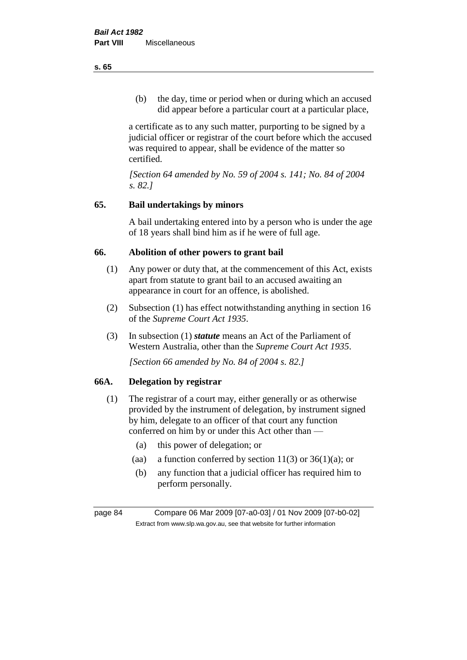(b) the day, time or period when or during which an accused did appear before a particular court at a particular place,

a certificate as to any such matter, purporting to be signed by a judicial officer or registrar of the court before which the accused was required to appear, shall be evidence of the matter so certified.

*[Section 64 amended by No. 59 of 2004 s. 141; No. 84 of 2004 s. 82.]* 

# **65. Bail undertakings by minors**

A bail undertaking entered into by a person who is under the age of 18 years shall bind him as if he were of full age.

# **66. Abolition of other powers to grant bail**

- (1) Any power or duty that, at the commencement of this Act, exists apart from statute to grant bail to an accused awaiting an appearance in court for an offence, is abolished.
- (2) Subsection (1) has effect notwithstanding anything in section 16 of the *Supreme Court Act 1935*.
- (3) In subsection (1) *statute* means an Act of the Parliament of Western Australia, other than the *Supreme Court Act 1935*.

*[Section 66 amended by No. 84 of 2004 s. 82.]*

# **66A. Delegation by registrar**

- (1) The registrar of a court may, either generally or as otherwise provided by the instrument of delegation, by instrument signed by him, delegate to an officer of that court any function conferred on him by or under this Act other than —
	- (a) this power of delegation; or
	- (aa) a function conferred by section  $11(3)$  or  $36(1)(a)$ ; or
	- (b) any function that a judicial officer has required him to perform personally.

page 84 Compare 06 Mar 2009 [07-a0-03] / 01 Nov 2009 [07-b0-02] Extract from www.slp.wa.gov.au, see that website for further information

**s. 65**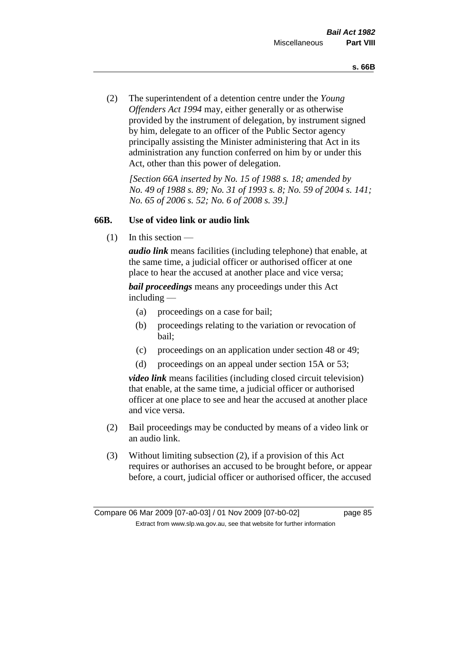(2) The superintendent of a detention centre under the *Young Offenders Act 1994* may, either generally or as otherwise provided by the instrument of delegation, by instrument signed by him, delegate to an officer of the Public Sector agency principally assisting the Minister administering that Act in its administration any function conferred on him by or under this Act, other than this power of delegation.

*[Section 66A inserted by No. 15 of 1988 s. 18; amended by No. 49 of 1988 s. 89; No. 31 of 1993 s. 8; No. 59 of 2004 s. 141; No. 65 of 2006 s. 52; No. 6 of 2008 s. 39.]* 

# **66B. Use of video link or audio link**

(1) In this section —

*audio link* means facilities (including telephone) that enable, at the same time, a judicial officer or authorised officer at one place to hear the accused at another place and vice versa;

*bail proceedings* means any proceedings under this Act including —

- (a) proceedings on a case for bail;
- (b) proceedings relating to the variation or revocation of bail;
- (c) proceedings on an application under section 48 or 49;
- (d) proceedings on an appeal under section 15A or 53;

*video link* means facilities (including closed circuit television) that enable, at the same time, a judicial officer or authorised officer at one place to see and hear the accused at another place and vice versa.

- (2) Bail proceedings may be conducted by means of a video link or an audio link.
- (3) Without limiting subsection (2), if a provision of this Act requires or authorises an accused to be brought before, or appear before, a court, judicial officer or authorised officer, the accused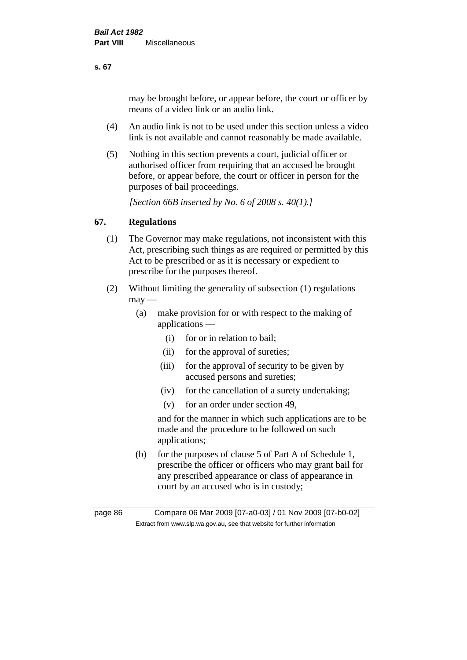may be brought before, or appear before, the court or officer by means of a video link or an audio link.

- (4) An audio link is not to be used under this section unless a video link is not available and cannot reasonably be made available.
- (5) Nothing in this section prevents a court, judicial officer or authorised officer from requiring that an accused be brought before, or appear before, the court or officer in person for the purposes of bail proceedings.

*[Section 66B inserted by No. 6 of 2008 s. 40(1).]*

# **67. Regulations**

- (1) The Governor may make regulations, not inconsistent with this Act, prescribing such things as are required or permitted by this Act to be prescribed or as it is necessary or expedient to prescribe for the purposes thereof.
- (2) Without limiting the generality of subsection (1) regulations  $may$ —
	- (a) make provision for or with respect to the making of applications —
		- (i) for or in relation to bail;
		- (ii) for the approval of sureties;
		- (iii) for the approval of security to be given by accused persons and sureties;
		- (iv) for the cancellation of a surety undertaking;
		- (v) for an order under section 49,

and for the manner in which such applications are to be made and the procedure to be followed on such applications;

(b) for the purposes of clause 5 of Part A of Schedule 1, prescribe the officer or officers who may grant bail for any prescribed appearance or class of appearance in court by an accused who is in custody;

**s. 67**

page 86 Compare 06 Mar 2009 [07-a0-03] / 01 Nov 2009 [07-b0-02] Extract from www.slp.wa.gov.au, see that website for further information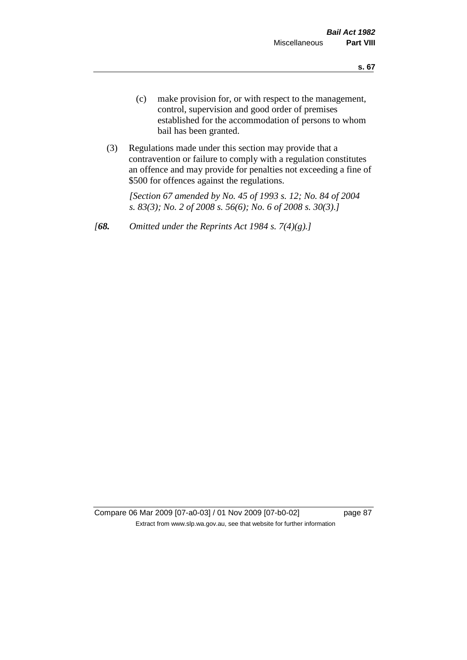- (c) make provision for, or with respect to the management, control, supervision and good order of premises established for the accommodation of persons to whom bail has been granted.
- (3) Regulations made under this section may provide that a contravention or failure to comply with a regulation constitutes an offence and may provide for penalties not exceeding a fine of \$500 for offences against the regulations.

*[Section 67 amended by No. 45 of 1993 s. 12; No. 84 of 2004 s. 83(3); No. 2 of 2008 s. 56(6); No. 6 of 2008 s. 30(3).]* 

*[68. Omitted under the Reprints Act 1984 s. 7(4)(g).]*

Compare 06 Mar 2009 [07-a0-03] / 01 Nov 2009 [07-b0-02] page 87 Extract from www.slp.wa.gov.au, see that website for further information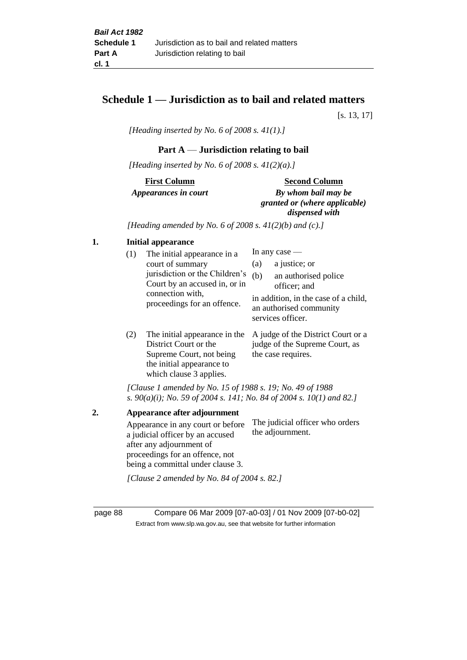# **Schedule 1 — Jurisdiction as to bail and related matters**

[s. 13, 17]

*[Heading inserted by No. 6 of 2008 s. 41(1).]*

## **Part A** — **Jurisdiction relating to bail**

*[Heading inserted by No. 6 of 2008 s. 41(2)(a).]*

# **First Column** *Appearances in court*

#### **Second Column**

*By whom bail may be granted or (where applicable) dispensed with*

*[Heading amended by No. 6 of 2008 s. 41(2)(b) and (c).]*

## **1. Initial appearance**

| (1)       | The initial appearance in a<br>court of summary<br>jurisdiction or the Children's<br>Court by an accused in, or in<br>connection with,<br>proceedings for an offence. | (a)<br>(b) | In any case $-$<br>a justice; or<br>an authorised police<br>officer; and<br>in addition, in the case of a child,<br>an authorised community<br>services officer. |
|-----------|-----------------------------------------------------------------------------------------------------------------------------------------------------------------------|------------|------------------------------------------------------------------------------------------------------------------------------------------------------------------|
| $\bigcap$ | The initial announces in the Asiades of the District Count on a                                                                                                       |            |                                                                                                                                                                  |

(2) The initial appearance in the A judge of the District Court or a District Court or the Supreme Court, not being the initial appearance to which clause 3 applies. judge of the Supreme Court, as the case requires.

*[Clause 1 amended by No. 15 of 1988 s. 19; No. 49 of 1988 s. 90(a)(i); No. 59 of 2004 s. 141; No. 84 of 2004 s. 10(1) and 82.]*

**2. Appearance after adjournment** Appearance in any court or before a judicial officer by an accused after any adjournment of proceedings for an offence, not being a committal under clause 3. The judicial officer who orders the adjournment. *[Clause 2 amended by No. 84 of 2004 s. 82.]*

page 88 Compare 06 Mar 2009 [07-a0-03] / 01 Nov 2009 [07-b0-02] Extract from www.slp.wa.gov.au, see that website for further information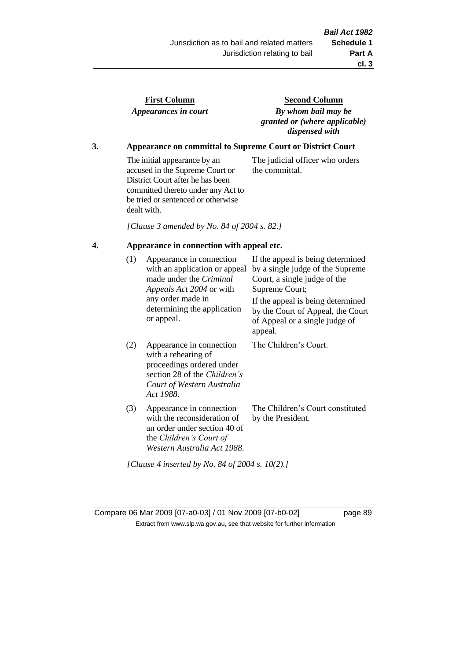the committal.

| <b>First Column</b>  |  |
|----------------------|--|
| Appearances in court |  |

**Second Column** *By whom bail may be granted or (where applicable) dispensed with*

The judicial officer who orders

# **3. Appearance on committal to Supreme Court or District Court**

The initial appearance by an accused in the Supreme Court or District Court after he has been committed thereto under any Act to be tried or sentenced or otherwise dealt with.

*[Clause 3 amended by No. 84 of 2004 s. 82.]*

## **4. Appearance in connection with appeal etc.**

| (1) | Appearance in connection<br>with an application or appeal<br>made under the Criminal<br><i>Appeals Act 2004</i> or with<br>any order made in<br>determining the application<br>or appeal. | If the appeal is being determined<br>by a single judge of the Supreme<br>Court, a single judge of the<br>Supreme Court;<br>If the appeal is being determined<br>by the Court of Appeal, the Court<br>of Appeal or a single judge of<br>appeal. |
|-----|-------------------------------------------------------------------------------------------------------------------------------------------------------------------------------------------|------------------------------------------------------------------------------------------------------------------------------------------------------------------------------------------------------------------------------------------------|
| (2) | Appearance in connection<br>with a rehearing of<br>proceedings ordered under<br>section 28 of the <i>Children's</i><br>Court of Western Australia<br>Act 1988.                            | The Children's Court.                                                                                                                                                                                                                          |
| (3) | Appearance in connection<br>with the reconsideration of<br>an order under section 40 of<br>the Children's Court of<br>Western Australia Act 1988.                                         | The Children's Court constituted<br>by the President.                                                                                                                                                                                          |

*[Clause 4 inserted by No. 84 of 2004 s. 10(2).]*

Compare 06 Mar 2009 [07-a0-03] / 01 Nov 2009 [07-b0-02] page 89 Extract from www.slp.wa.gov.au, see that website for further information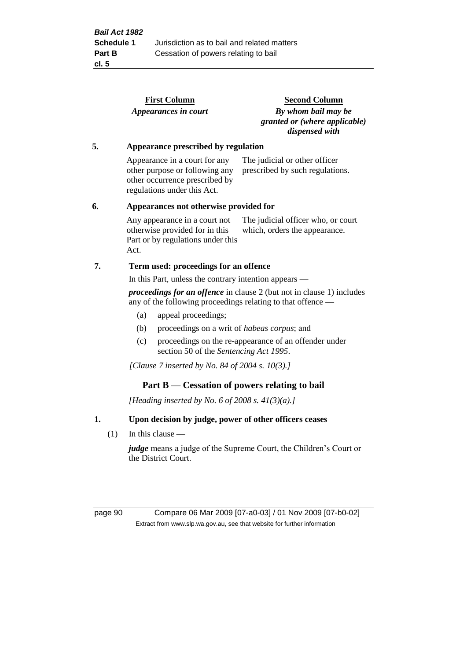|    |                                        |                                                                                                                                             | <b>First Column</b>                                                                                                              | <b>Second Column</b>                                                   |  |
|----|----------------------------------------|---------------------------------------------------------------------------------------------------------------------------------------------|----------------------------------------------------------------------------------------------------------------------------------|------------------------------------------------------------------------|--|
|    |                                        |                                                                                                                                             | Appearances in court                                                                                                             | By whom bail may be<br>granted or (where applicable)<br>dispensed with |  |
| 5. |                                        | Appearance prescribed by regulation                                                                                                         |                                                                                                                                  |                                                                        |  |
|    |                                        |                                                                                                                                             | Appearance in a court for any<br>other purpose or following any<br>other occurrence prescribed by<br>regulations under this Act. | The judicial or other officer<br>prescribed by such regulations.       |  |
| 6. | Appearances not otherwise provided for |                                                                                                                                             |                                                                                                                                  |                                                                        |  |
|    |                                        | Act.                                                                                                                                        | Any appearance in a court not<br>otherwise provided for in this<br>Part or by regulations under this                             | The judicial officer who, or court<br>which, orders the appearance.    |  |
| 7. |                                        | Term used: proceedings for an offence                                                                                                       |                                                                                                                                  |                                                                        |  |
|    |                                        | In this Part, unless the contrary intention appears —                                                                                       |                                                                                                                                  |                                                                        |  |
|    |                                        | <i>proceedings for an offence</i> in clause 2 (but not in clause 1) includes<br>any of the following proceedings relating to that offence — |                                                                                                                                  |                                                                        |  |
|    |                                        | (a)                                                                                                                                         | appeal proceedings;                                                                                                              |                                                                        |  |
|    |                                        | (b)                                                                                                                                         | proceedings on a writ of habeas corpus; and                                                                                      |                                                                        |  |
|    |                                        | (c)                                                                                                                                         | section 50 of the Sentencing Act 1995.                                                                                           | proceedings on the re-appearance of an offender under                  |  |
|    |                                        | [Clause 7 inserted by No. 84 of 2004 s. $10(3)$ .]                                                                                          |                                                                                                                                  |                                                                        |  |
|    |                                        |                                                                                                                                             | Part $B$ — Cessation of powers relating to bail                                                                                  |                                                                        |  |
|    |                                        |                                                                                                                                             | [Heading inserted by No. 6 of 2008 s. $41(3)(a)$ .]                                                                              |                                                                        |  |
| 1. |                                        | Upon decision by judge, power of other officers ceases                                                                                      |                                                                                                                                  |                                                                        |  |
|    | (1)                                    | In this clause $-$                                                                                                                          |                                                                                                                                  |                                                                        |  |
|    |                                        | <i>judge</i> means a judge of the Supreme Court, the Children's Court or<br>the District Court.                                             |                                                                                                                                  |                                                                        |  |

page 90 Compare 06 Mar 2009 [07-a0-03] / 01 Nov 2009 [07-b0-02] Extract from www.slp.wa.gov.au, see that website for further information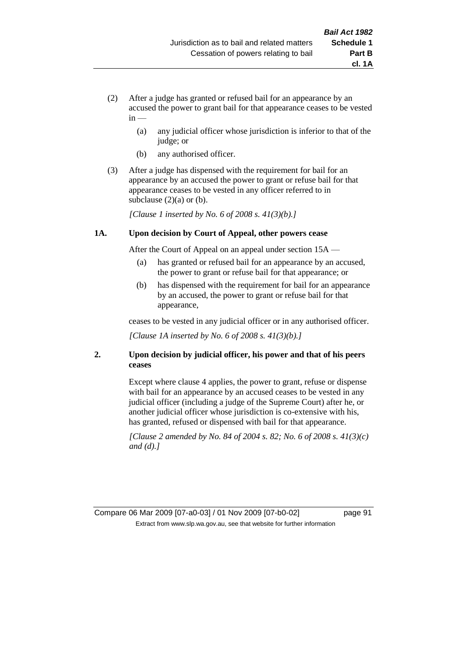- (2) After a judge has granted or refused bail for an appearance by an accused the power to grant bail for that appearance ceases to be vested  $in -$ 
	- (a) any judicial officer whose jurisdiction is inferior to that of the judge; or
	- (b) any authorised officer.
- (3) After a judge has dispensed with the requirement for bail for an appearance by an accused the power to grant or refuse bail for that appearance ceases to be vested in any officer referred to in subclause  $(2)(a)$  or  $(b)$ .

*[Clause 1 inserted by No. 6 of 2008 s. 41(3)(b).]*

## **1A. Upon decision by Court of Appeal, other powers cease**

After the Court of Appeal on an appeal under section 15A —

- (a) has granted or refused bail for an appearance by an accused, the power to grant or refuse bail for that appearance; or
- (b) has dispensed with the requirement for bail for an appearance by an accused, the power to grant or refuse bail for that appearance,

ceases to be vested in any judicial officer or in any authorised officer.

*[Clause 1A inserted by No. 6 of 2008 s. 41(3)(b).]*

# **2. Upon decision by judicial officer, his power and that of his peers ceases**

Except where clause 4 applies, the power to grant, refuse or dispense with bail for an appearance by an accused ceases to be vested in any judicial officer (including a judge of the Supreme Court) after he, or another judicial officer whose jurisdiction is co-extensive with his, has granted, refused or dispensed with bail for that appearance.

*[Clause 2 amended by No. 84 of 2004 s. 82; No. 6 of 2008 s. 41(3)(c) and (d).]*

Compare 06 Mar 2009 [07-a0-03] / 01 Nov 2009 [07-b0-02] page 91 Extract from www.slp.wa.gov.au, see that website for further information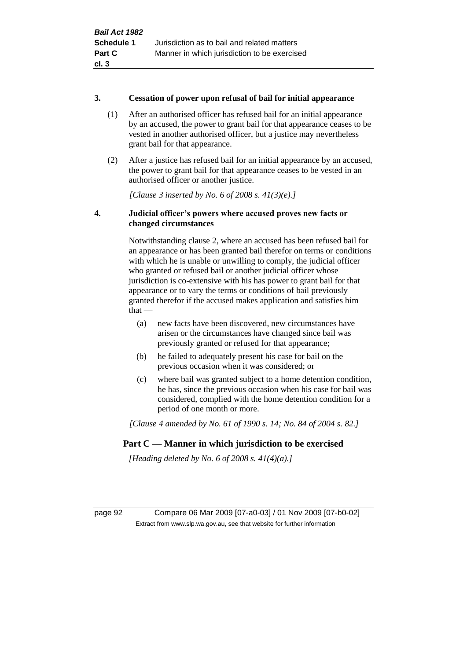#### **3. Cessation of power upon refusal of bail for initial appearance**

- (1) After an authorised officer has refused bail for an initial appearance by an accused, the power to grant bail for that appearance ceases to be vested in another authorised officer, but a justice may nevertheless grant bail for that appearance.
- (2) After a justice has refused bail for an initial appearance by an accused, the power to grant bail for that appearance ceases to be vested in an authorised officer or another justice.

*[Clause 3 inserted by No. 6 of 2008 s. 41(3)(e).]*

## **4. Judicial officer's powers where accused proves new facts or changed circumstances**

Notwithstanding clause 2, where an accused has been refused bail for an appearance or has been granted bail therefor on terms or conditions with which he is unable or unwilling to comply, the judicial officer who granted or refused bail or another judicial officer whose jurisdiction is co-extensive with his has power to grant bail for that appearance or to vary the terms or conditions of bail previously granted therefor if the accused makes application and satisfies him  $that -$ 

- (a) new facts have been discovered, new circumstances have arisen or the circumstances have changed since bail was previously granted or refused for that appearance;
- (b) he failed to adequately present his case for bail on the previous occasion when it was considered; or
- (c) where bail was granted subject to a home detention condition, he has, since the previous occasion when his case for bail was considered, complied with the home detention condition for a period of one month or more.

*[Clause 4 amended by No. 61 of 1990 s. 14; No. 84 of 2004 s. 82.]*

# **Part C — Manner in which jurisdiction to be exercised**

*[Heading deleted by No. 6 of 2008 s. 41(4)(a).]*

page 92 Compare 06 Mar 2009 [07-a0-03] / 01 Nov 2009 [07-b0-02] Extract from www.slp.wa.gov.au, see that website for further information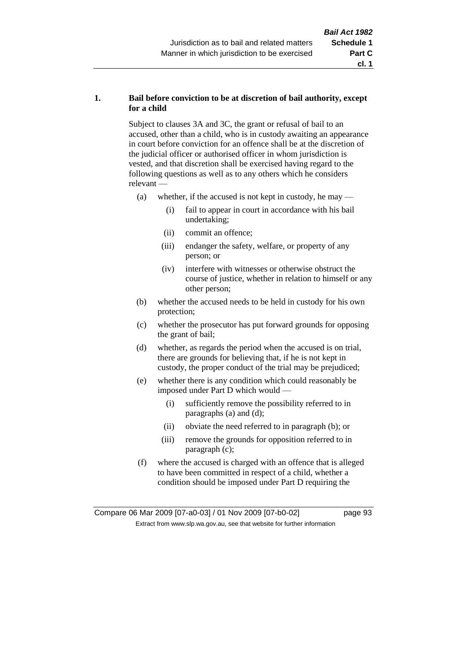## **1. Bail before conviction to be at discretion of bail authority, except for a child**

Subject to clauses 3A and 3C, the grant or refusal of bail to an accused, other than a child, who is in custody awaiting an appearance in court before conviction for an offence shall be at the discretion of the judicial officer or authorised officer in whom jurisdiction is vested, and that discretion shall be exercised having regard to the following questions as well as to any others which he considers relevant —

- (a) whether, if the accused is not kept in custody, he may
	- (i) fail to appear in court in accordance with his bail undertaking;
	- (ii) commit an offence;
	- (iii) endanger the safety, welfare, or property of any person; or
	- (iv) interfere with witnesses or otherwise obstruct the course of justice, whether in relation to himself or any other person;
- (b) whether the accused needs to be held in custody for his own protection;
- (c) whether the prosecutor has put forward grounds for opposing the grant of bail;
- (d) whether, as regards the period when the accused is on trial, there are grounds for believing that, if he is not kept in custody, the proper conduct of the trial may be prejudiced;
- (e) whether there is any condition which could reasonably be imposed under Part D which would —
	- (i) sufficiently remove the possibility referred to in paragraphs (a) and (d);
	- (ii) obviate the need referred to in paragraph (b); or
	- (iii) remove the grounds for opposition referred to in paragraph (c);
- (f) where the accused is charged with an offence that is alleged to have been committed in respect of a child, whether a condition should be imposed under Part D requiring the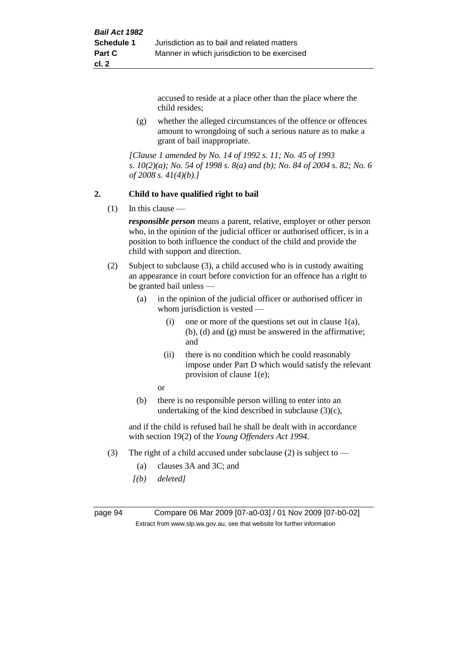accused to reside at a place other than the place where the child resides;

(g) whether the alleged circumstances of the offence or offences amount to wrongdoing of such a serious nature as to make a grant of bail inappropriate.

*[Clause 1 amended by No. 14 of 1992 s. 11; No. 45 of 1993 s. 10(2)(a); No. 54 of 1998 s. 8(a) and (b); No. 84 of 2004 s. 82; No. 6 of 2008 s. 41(4)(b).]*

#### **2. Child to have qualified right to bail**

(1) In this clause —

*responsible person* means a parent, relative, employer or other person who, in the opinion of the judicial officer or authorised officer, is in a position to both influence the conduct of the child and provide the child with support and direction.

- (2) Subject to subclause (3), a child accused who is in custody awaiting an appearance in court before conviction for an offence has a right to be granted bail unless —
	- (a) in the opinion of the judicial officer or authorised officer in whom jurisdiction is vested —
		- (i) one or more of the questions set out in clause  $1(a)$ , (b), (d) and (g) must be answered in the affirmative; and
		- (ii) there is no condition which he could reasonably impose under Part D which would satisfy the relevant provision of clause 1(e);
		- or
	- (b) there is no responsible person willing to enter into an undertaking of the kind described in subclause (3)(c),

and if the child is refused bail he shall be dealt with in accordance with section 19(2) of the *Young Offenders Act 1994*.

- (3) The right of a child accused under subclause (2) is subject to
	- (a) clauses 3A and 3C; and
	- *[(b) deleted]*

page 94 Compare 06 Mar 2009 [07-a0-03] / 01 Nov 2009 [07-b0-02] Extract from www.slp.wa.gov.au, see that website for further information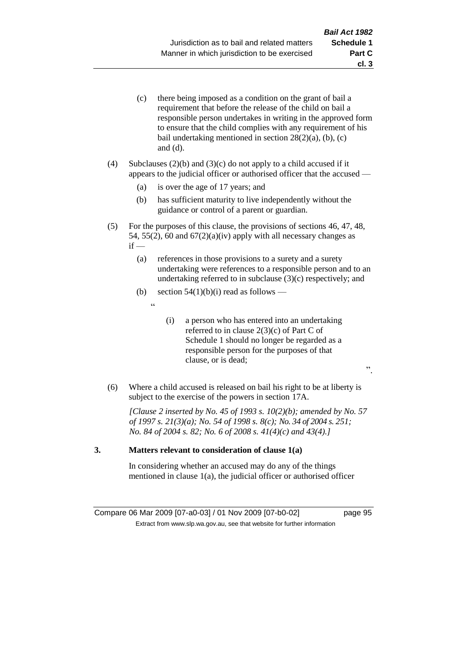- (c) there being imposed as a condition on the grant of bail a requirement that before the release of the child on bail a responsible person undertakes in writing in the approved form to ensure that the child complies with any requirement of his bail undertaking mentioned in section  $28(2)(a)$ , (b), (c) and (d).
- (4) Subclauses  $(2)(b)$  and  $(3)(c)$  do not apply to a child accused if it appears to the judicial officer or authorised officer that the accused —
	- (a) is over the age of 17 years; and
	- (b) has sufficient maturity to live independently without the guidance or control of a parent or guardian.
- (5) For the purposes of this clause, the provisions of sections 46, 47, 48, 54, 55(2), 60 and  $67(2)(a)(iv)$  apply with all necessary changes as  $if -$ 
	- (a) references in those provisions to a surety and a surety undertaking were references to a responsible person and to an undertaking referred to in subclause (3)(c) respectively; and
	- (b) section  $54(1)(b)(i)$  read as follows
		- .<br>.<br>.
- (i) a person who has entered into an undertaking referred to in clause 2(3)(c) of Part C of Schedule 1 should no longer be regarded as a responsible person for the purposes of that clause, or is dead;
- ".
- (6) Where a child accused is released on bail his right to be at liberty is subject to the exercise of the powers in section 17A.

*[Clause 2 inserted by No. 45 of 1993 s. 10(2)(b); amended by No. 57 of 1997 s. 21(3)(a); No. 54 of 1998 s. 8(c); No. 34 of 2004 s. 251; No. 84 of 2004 s. 82; No. 6 of 2008 s. 41(4)(c) and 43(4).]*

#### **3. Matters relevant to consideration of clause 1(a)**

In considering whether an accused may do any of the things mentioned in clause 1(a), the judicial officer or authorised officer

Compare 06 Mar 2009 [07-a0-03] / 01 Nov 2009 [07-b0-02] page 95 Extract from www.slp.wa.gov.au, see that website for further information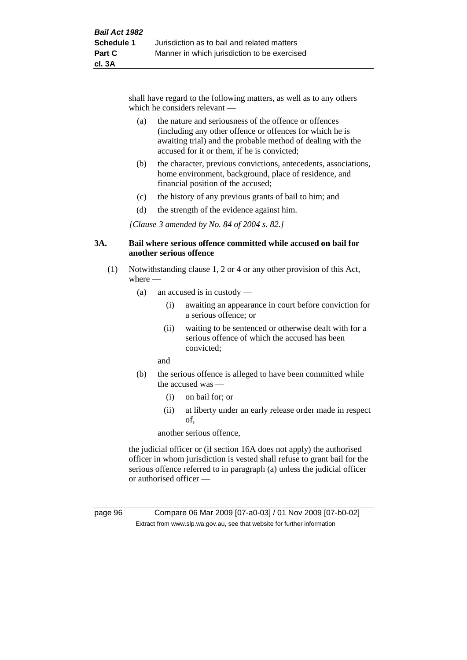shall have regard to the following matters, as well as to any others which he considers relevant —

- (a) the nature and seriousness of the offence or offences (including any other offence or offences for which he is awaiting trial) and the probable method of dealing with the accused for it or them, if he is convicted;
- (b) the character, previous convictions, antecedents, associations, home environment, background, place of residence, and financial position of the accused;
- (c) the history of any previous grants of bail to him; and
- (d) the strength of the evidence against him.

*[Clause 3 amended by No. 84 of 2004 s. 82.]*

#### **3A. Bail where serious offence committed while accused on bail for another serious offence**

- (1) Notwithstanding clause 1, 2 or 4 or any other provision of this Act, where —
	- (a) an accused is in custody
		- (i) awaiting an appearance in court before conviction for a serious offence; or
		- (ii) waiting to be sentenced or otherwise dealt with for a serious offence of which the accused has been convicted;
		- and
	- (b) the serious offence is alleged to have been committed while the accused was —
		- (i) on bail for; or
		- (ii) at liberty under an early release order made in respect of,

another serious offence,

the judicial officer or (if section 16A does not apply) the authorised officer in whom jurisdiction is vested shall refuse to grant bail for the serious offence referred to in paragraph (a) unless the judicial officer or authorised officer —

page 96 Compare 06 Mar 2009 [07-a0-03] / 01 Nov 2009 [07-b0-02] Extract from www.slp.wa.gov.au, see that website for further information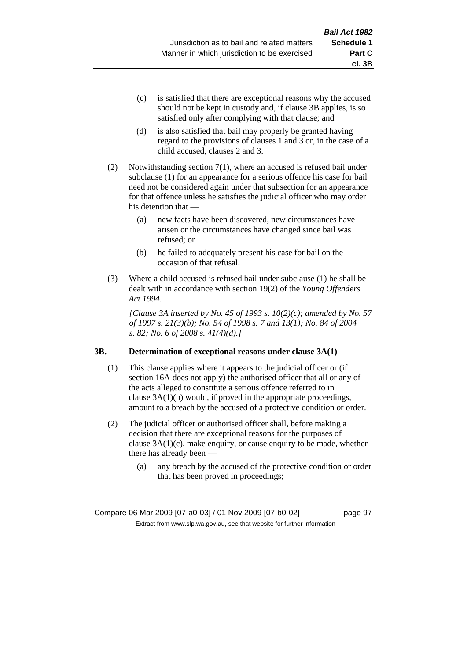- (c) is satisfied that there are exceptional reasons why the accused should not be kept in custody and, if clause 3B applies, is so satisfied only after complying with that clause; and
- (d) is also satisfied that bail may properly be granted having regard to the provisions of clauses 1 and 3 or, in the case of a child accused, clauses 2 and 3.
- (2) Notwithstanding section 7(1), where an accused is refused bail under subclause (1) for an appearance for a serious offence his case for bail need not be considered again under that subsection for an appearance for that offence unless he satisfies the judicial officer who may order his detention that —
	- (a) new facts have been discovered, new circumstances have arisen or the circumstances have changed since bail was refused; or
	- (b) he failed to adequately present his case for bail on the occasion of that refusal.
- (3) Where a child accused is refused bail under subclause (1) he shall be dealt with in accordance with section 19(2) of the *Young Offenders Act 1994*.

*[Clause 3A inserted by No. 45 of 1993 s. 10(2)(c); amended by No. 57 of 1997 s. 21(3)(b); No. 54 of 1998 s. 7 and 13(1); No. 84 of 2004 s. 82; No. 6 of 2008 s. 41(4)(d).]*

#### **3B. Determination of exceptional reasons under clause 3A(1)**

- (1) This clause applies where it appears to the judicial officer or (if section 16A does not apply) the authorised officer that all or any of the acts alleged to constitute a serious offence referred to in clause 3A(1)(b) would, if proved in the appropriate proceedings, amount to a breach by the accused of a protective condition or order.
- (2) The judicial officer or authorised officer shall, before making a decision that there are exceptional reasons for the purposes of clause  $3A(1)(c)$ , make enquiry, or cause enquiry to be made, whether there has already been —
	- (a) any breach by the accused of the protective condition or order that has been proved in proceedings;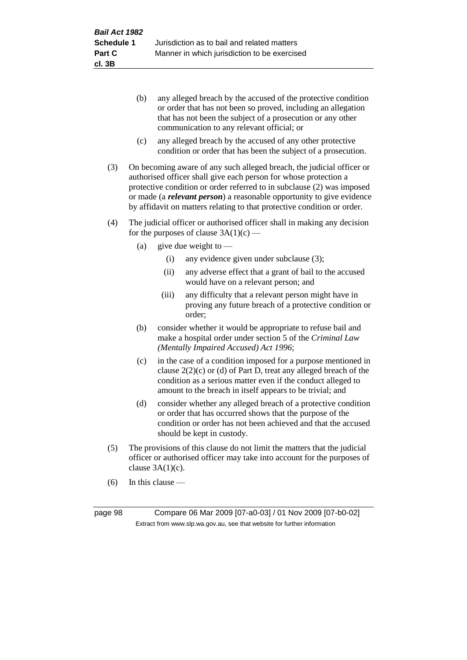- (b) any alleged breach by the accused of the protective condition or order that has not been so proved, including an allegation that has not been the subject of a prosecution or any other communication to any relevant official; or
- (c) any alleged breach by the accused of any other protective condition or order that has been the subject of a prosecution.
- (3) On becoming aware of any such alleged breach, the judicial officer or authorised officer shall give each person for whose protection a protective condition or order referred to in subclause (2) was imposed or made (a *relevant person*) a reasonable opportunity to give evidence by affidavit on matters relating to that protective condition or order.
- (4) The judicial officer or authorised officer shall in making any decision for the purposes of clause  $3A(1)(c)$  —
	- (a) give due weight to  $-$ 
		- (i) any evidence given under subclause (3);
		- (ii) any adverse effect that a grant of bail to the accused would have on a relevant person; and
		- (iii) any difficulty that a relevant person might have in proving any future breach of a protective condition or order;
	- (b) consider whether it would be appropriate to refuse bail and make a hospital order under section 5 of the *Criminal Law (Mentally Impaired Accused) Act 1996*;
	- (c) in the case of a condition imposed for a purpose mentioned in clause  $2(2)(c)$  or (d) of Part D, treat any alleged breach of the condition as a serious matter even if the conduct alleged to amount to the breach in itself appears to be trivial; and
	- (d) consider whether any alleged breach of a protective condition or order that has occurred shows that the purpose of the condition or order has not been achieved and that the accused should be kept in custody.
- (5) The provisions of this clause do not limit the matters that the judicial officer or authorised officer may take into account for the purposes of clause  $3A(1)(c)$ .
- (6) In this clause —

page 98 Compare 06 Mar 2009 [07-a0-03] / 01 Nov 2009 [07-b0-02] Extract from www.slp.wa.gov.au, see that website for further information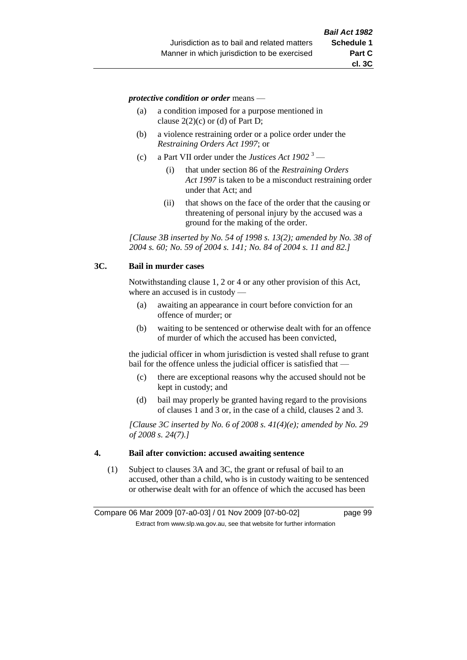*protective condition or order* means —

- (a) a condition imposed for a purpose mentioned in clause  $2(2)(c)$  or (d) of Part D;
- (b) a violence restraining order or a police order under the *Restraining Orders Act 1997*; or
- (c) a Part VII order under the *Justices Act 1902* <sup>3</sup>
	- (i) that under section 86 of the *Restraining Orders Act 1997* is taken to be a misconduct restraining order under that Act; and
	- (ii) that shows on the face of the order that the causing or threatening of personal injury by the accused was a ground for the making of the order.

*[Clause 3B inserted by No. 54 of 1998 s. 13(2); amended by No. 38 of 2004 s. 60; No. 59 of 2004 s. 141; No. 84 of 2004 s. 11 and 82.]*

#### **3C. Bail in murder cases**

Notwithstanding clause 1, 2 or 4 or any other provision of this Act, where an accused is in custody —

- (a) awaiting an appearance in court before conviction for an offence of murder; or
- (b) waiting to be sentenced or otherwise dealt with for an offence of murder of which the accused has been convicted,

the judicial officer in whom jurisdiction is vested shall refuse to grant bail for the offence unless the judicial officer is satisfied that —

- (c) there are exceptional reasons why the accused should not be kept in custody; and
- (d) bail may properly be granted having regard to the provisions of clauses 1 and 3 or, in the case of a child, clauses 2 and 3.

*[Clause 3C inserted by No. 6 of 2008 s. 41(4)(e); amended by No. 29 of 2008 s. 24(7).]*

#### **4. Bail after conviction: accused awaiting sentence**

(1) Subject to clauses 3A and 3C, the grant or refusal of bail to an accused, other than a child, who is in custody waiting to be sentenced or otherwise dealt with for an offence of which the accused has been

Compare 06 Mar 2009 [07-a0-03] / 01 Nov 2009 [07-b0-02] page 99 Extract from www.slp.wa.gov.au, see that website for further information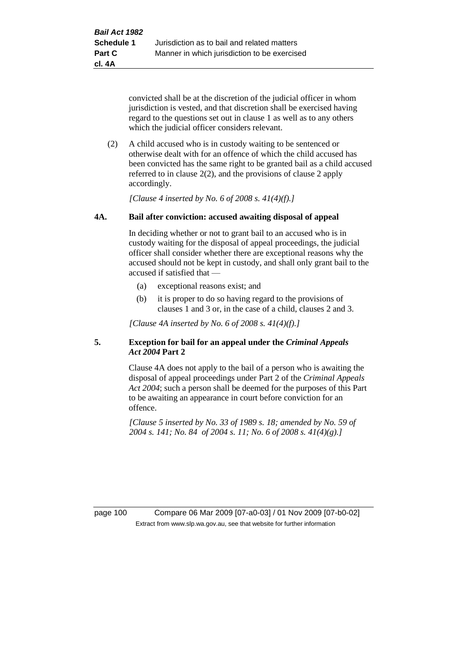convicted shall be at the discretion of the judicial officer in whom jurisdiction is vested, and that discretion shall be exercised having regard to the questions set out in clause 1 as well as to any others which the judicial officer considers relevant.

(2) A child accused who is in custody waiting to be sentenced or otherwise dealt with for an offence of which the child accused has been convicted has the same right to be granted bail as a child accused referred to in clause 2(2), and the provisions of clause 2 apply accordingly.

*[Clause 4 inserted by No. 6 of 2008 s. 41(4)(f).]*

#### **4A. Bail after conviction: accused awaiting disposal of appeal**

In deciding whether or not to grant bail to an accused who is in custody waiting for the disposal of appeal proceedings, the judicial officer shall consider whether there are exceptional reasons why the accused should not be kept in custody, and shall only grant bail to the accused if satisfied that —

- (a) exceptional reasons exist; and
- (b) it is proper to do so having regard to the provisions of clauses 1 and 3 or, in the case of a child, clauses 2 and 3.

*[Clause 4A inserted by No. 6 of 2008 s. 41(4)(f).]*

## **5. Exception for bail for an appeal under the** *Criminal Appeals Act 2004* **Part 2**

Clause 4A does not apply to the bail of a person who is awaiting the disposal of appeal proceedings under Part 2 of the *Criminal Appeals Act 2004*; such a person shall be deemed for the purposes of this Part to be awaiting an appearance in court before conviction for an offence.

*[Clause 5 inserted by No. 33 of 1989 s. 18; amended by No. 59 of 2004 s. 141; No. 84 of 2004 s. 11; No. 6 of 2008 s. 41(4)(g).]*

page 100 Compare 06 Mar 2009 [07-a0-03] / 01 Nov 2009 [07-b0-02] Extract from www.slp.wa.gov.au, see that website for further information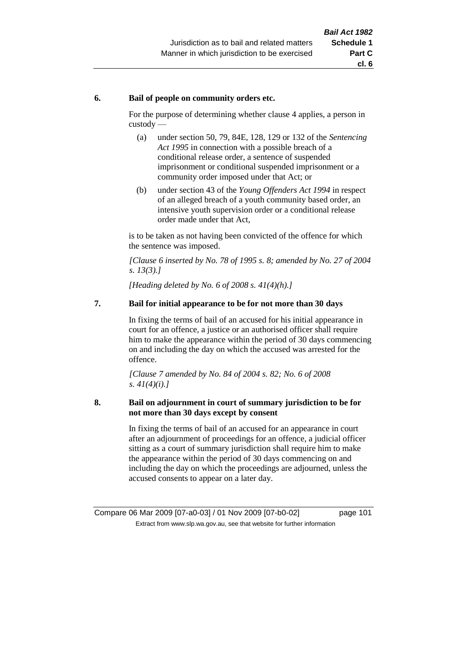#### **6. Bail of people on community orders etc.**

For the purpose of determining whether clause 4 applies, a person in custody —

- (a) under section 50, 79, 84E, 128, 129 or 132 of the *Sentencing Act 1995* in connection with a possible breach of a conditional release order, a sentence of suspended imprisonment or conditional suspended imprisonment or a community order imposed under that Act; or
- (b) under section 43 of the *Young Offenders Act 1994* in respect of an alleged breach of a youth community based order, an intensive youth supervision order or a conditional release order made under that Act,

is to be taken as not having been convicted of the offence for which the sentence was imposed.

*[Clause 6 inserted by No. 78 of 1995 s. 8; amended by No. 27 of 2004 s. 13(3).]*

*[Heading deleted by No. 6 of 2008 s. 41(4)(h).]*

#### **7. Bail for initial appearance to be for not more than 30 days**

In fixing the terms of bail of an accused for his initial appearance in court for an offence, a justice or an authorised officer shall require him to make the appearance within the period of 30 days commencing on and including the day on which the accused was arrested for the offence.

*[Clause 7 amended by No. 84 of 2004 s. 82; No. 6 of 2008 s. 41(4)(i).]*

#### **8. Bail on adjournment in court of summary jurisdiction to be for not more than 30 days except by consent**

In fixing the terms of bail of an accused for an appearance in court after an adjournment of proceedings for an offence, a judicial officer sitting as a court of summary jurisdiction shall require him to make the appearance within the period of 30 days commencing on and including the day on which the proceedings are adjourned, unless the accused consents to appear on a later day.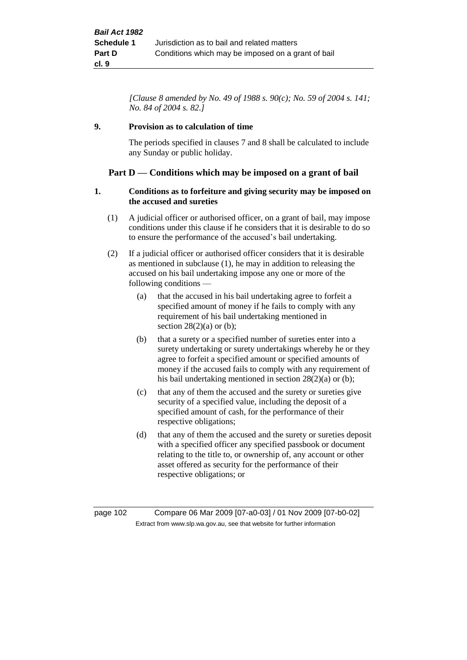*[Clause 8 amended by No. 49 of 1988 s. 90(c); No. 59 of 2004 s. 141; No. 84 of 2004 s. 82.]*

## **9. Provision as to calculation of time**

The periods specified in clauses 7 and 8 shall be calculated to include any Sunday or public holiday.

## **Part D — Conditions which may be imposed on a grant of bail**

#### **1. Conditions as to forfeiture and giving security may be imposed on the accused and sureties**

- (1) A judicial officer or authorised officer, on a grant of bail, may impose conditions under this clause if he considers that it is desirable to do so to ensure the performance of the accused's bail undertaking.
- (2) If a judicial officer or authorised officer considers that it is desirable as mentioned in subclause (1), he may in addition to releasing the accused on his bail undertaking impose any one or more of the following conditions —
	- (a) that the accused in his bail undertaking agree to forfeit a specified amount of money if he fails to comply with any requirement of his bail undertaking mentioned in section  $28(2)(a)$  or (b);
	- (b) that a surety or a specified number of sureties enter into a surety undertaking or surety undertakings whereby he or they agree to forfeit a specified amount or specified amounts of money if the accused fails to comply with any requirement of his bail undertaking mentioned in section 28(2)(a) or (b);
	- (c) that any of them the accused and the surety or sureties give security of a specified value, including the deposit of a specified amount of cash, for the performance of their respective obligations;
	- (d) that any of them the accused and the surety or sureties deposit with a specified officer any specified passbook or document relating to the title to, or ownership of, any account or other asset offered as security for the performance of their respective obligations; or

page 102 Compare 06 Mar 2009 [07-a0-03] / 01 Nov 2009 [07-b0-02] Extract from www.slp.wa.gov.au, see that website for further information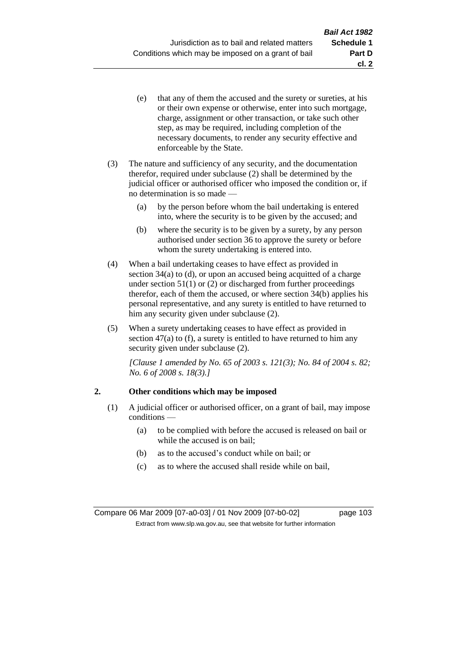- (e) that any of them the accused and the surety or sureties, at his or their own expense or otherwise, enter into such mortgage, charge, assignment or other transaction, or take such other step, as may be required, including completion of the necessary documents, to render any security effective and enforceable by the State.
- (3) The nature and sufficiency of any security, and the documentation therefor, required under subclause (2) shall be determined by the judicial officer or authorised officer who imposed the condition or, if no determination is so made —
	- (a) by the person before whom the bail undertaking is entered into, where the security is to be given by the accused; and
	- (b) where the security is to be given by a surety, by any person authorised under section 36 to approve the surety or before whom the surety undertaking is entered into.
- (4) When a bail undertaking ceases to have effect as provided in section  $34(a)$  to (d), or upon an accused being acquitted of a charge under section  $51(1)$  or (2) or discharged from further proceedings therefor, each of them the accused, or where section 34(b) applies his personal representative, and any surety is entitled to have returned to him any security given under subclause (2).
- (5) When a surety undertaking ceases to have effect as provided in section  $47(a)$  to (f), a surety is entitled to have returned to him any security given under subclause (2).

*[Clause 1 amended by No. 65 of 2003 s. 121(3); No. 84 of 2004 s. 82; No. 6 of 2008 s. 18(3).]*

# **2. Other conditions which may be imposed**

- (1) A judicial officer or authorised officer, on a grant of bail, may impose conditions —
	- (a) to be complied with before the accused is released on bail or while the accused is on bail;
	- (b) as to the accused's conduct while on bail; or
	- (c) as to where the accused shall reside while on bail,

Compare 06 Mar 2009 [07-a0-03] / 01 Nov 2009 [07-b0-02] page 103 Extract from www.slp.wa.gov.au, see that website for further information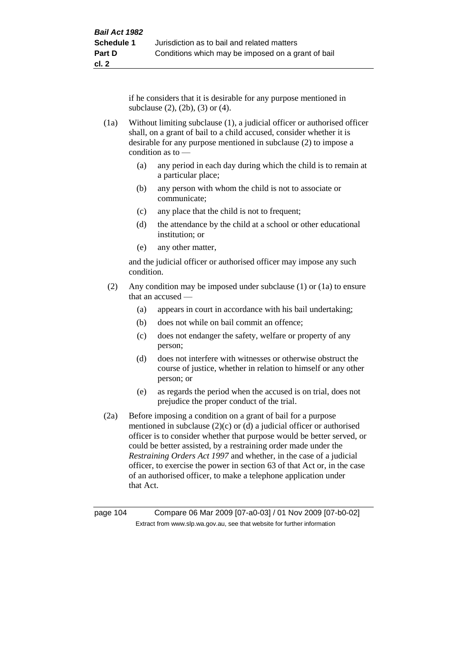if he considers that it is desirable for any purpose mentioned in subclause (2), (2b), (3) or (4).

- (1a) Without limiting subclause (1), a judicial officer or authorised officer shall, on a grant of bail to a child accused, consider whether it is desirable for any purpose mentioned in subclause (2) to impose a condition as to —
	- (a) any period in each day during which the child is to remain at a particular place;
	- (b) any person with whom the child is not to associate or communicate;
	- (c) any place that the child is not to frequent;
	- (d) the attendance by the child at a school or other educational institution; or
	- (e) any other matter,

and the judicial officer or authorised officer may impose any such condition.

- (2) Any condition may be imposed under subclause (1) or (1a) to ensure that an accused —
	- (a) appears in court in accordance with his bail undertaking;
	- (b) does not while on bail commit an offence;
	- (c) does not endanger the safety, welfare or property of any person;
	- (d) does not interfere with witnesses or otherwise obstruct the course of justice, whether in relation to himself or any other person; or
	- (e) as regards the period when the accused is on trial, does not prejudice the proper conduct of the trial.
- (2a) Before imposing a condition on a grant of bail for a purpose mentioned in subclause  $(2)(c)$  or  $(d)$  a judicial officer or authorised officer is to consider whether that purpose would be better served, or could be better assisted, by a restraining order made under the *Restraining Orders Act 1997* and whether, in the case of a judicial officer, to exercise the power in section 63 of that Act or, in the case of an authorised officer, to make a telephone application under that Act.

page 104 Compare 06 Mar 2009 [07-a0-03] / 01 Nov 2009 [07-b0-02] Extract from www.slp.wa.gov.au, see that website for further information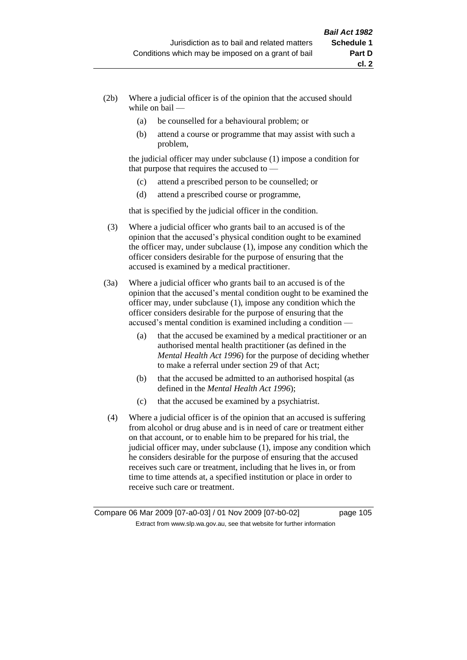- (2b) Where a judicial officer is of the opinion that the accused should while on bail —
	- (a) be counselled for a behavioural problem; or
	- (b) attend a course or programme that may assist with such a problem,

the judicial officer may under subclause (1) impose a condition for that purpose that requires the accused to —

- (c) attend a prescribed person to be counselled; or
- (d) attend a prescribed course or programme,

that is specified by the judicial officer in the condition.

- (3) Where a judicial officer who grants bail to an accused is of the opinion that the accused's physical condition ought to be examined the officer may, under subclause (1), impose any condition which the officer considers desirable for the purpose of ensuring that the accused is examined by a medical practitioner.
- (3a) Where a judicial officer who grants bail to an accused is of the opinion that the accused's mental condition ought to be examined the officer may, under subclause (1), impose any condition which the officer considers desirable for the purpose of ensuring that the accused's mental condition is examined including a condition —
	- (a) that the accused be examined by a medical practitioner or an authorised mental health practitioner (as defined in the *Mental Health Act 1996*) for the purpose of deciding whether to make a referral under section 29 of that Act;
	- (b) that the accused be admitted to an authorised hospital (as defined in the *Mental Health Act 1996*);
	- (c) that the accused be examined by a psychiatrist.
- (4) Where a judicial officer is of the opinion that an accused is suffering from alcohol or drug abuse and is in need of care or treatment either on that account, or to enable him to be prepared for his trial, the judicial officer may, under subclause (1), impose any condition which he considers desirable for the purpose of ensuring that the accused receives such care or treatment, including that he lives in, or from time to time attends at, a specified institution or place in order to receive such care or treatment.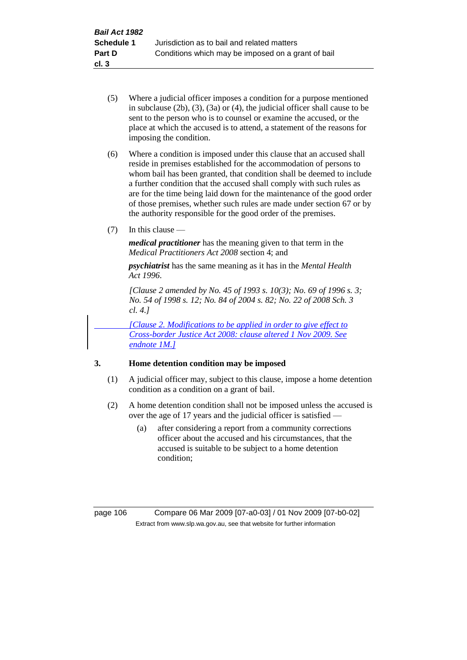(5) Where a judicial officer imposes a condition for a purpose mentioned in subclause (2b), (3), (3a) or (4), the judicial officer shall cause to be sent to the person who is to counsel or examine the accused, or the place at which the accused is to attend, a statement of the reasons for imposing the condition.

(6) Where a condition is imposed under this clause that an accused shall reside in premises established for the accommodation of persons to whom bail has been granted, that condition shall be deemed to include a further condition that the accused shall comply with such rules as are for the time being laid down for the maintenance of the good order of those premises, whether such rules are made under section 67 or by the authority responsible for the good order of the premises.

(7) In this clause —

*medical practitioner* has the meaning given to that term in the *Medical Practitioners Act 2008* section 4; and

*psychiatrist* has the same meaning as it has in the *Mental Health Act 1996*.

*[Clause 2 amended by No. 45 of 1993 s. 10(3); No. 69 of 1996 s. 3; No. 54 of 1998 s. 12; No. 84 of 2004 s. 82; No. 22 of 2008 Sch. 3 cl. 4.]*

*[Clause 2. Modifications to be applied in order to give effect to Cross-border Justice Act 2008: clause altered 1 Nov 2009. See endnote 1M.]*

# **3. Home detention condition may be imposed**

- (1) A judicial officer may, subject to this clause, impose a home detention condition as a condition on a grant of bail.
- (2) A home detention condition shall not be imposed unless the accused is over the age of 17 years and the judicial officer is satisfied —
	- (a) after considering a report from a community corrections officer about the accused and his circumstances, that the accused is suitable to be subject to a home detention condition;

page 106 Compare 06 Mar 2009 [07-a0-03] / 01 Nov 2009 [07-b0-02] Extract from www.slp.wa.gov.au, see that website for further information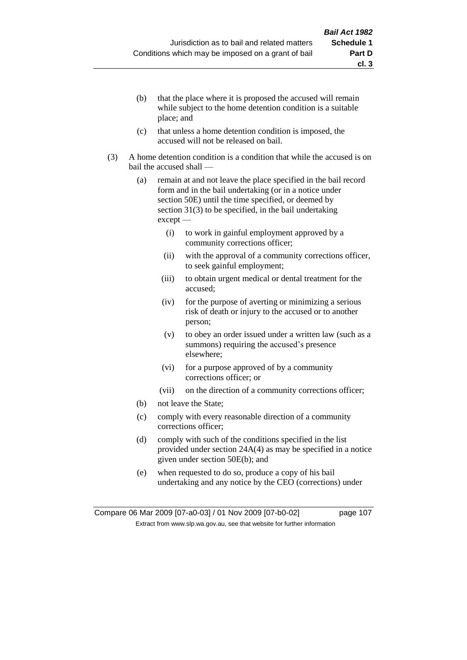- (b) that the place where it is proposed the accused will remain while subject to the home detention condition is a suitable place; and
- (c) that unless a home detention condition is imposed, the accused will not be released on bail.
- (3) A home detention condition is a condition that while the accused is on bail the accused shall —
	- (a) remain at and not leave the place specified in the bail record form and in the bail undertaking (or in a notice under section 50E) until the time specified, or deemed by section 31(3) to be specified, in the bail undertaking except —
		- (i) to work in gainful employment approved by a community corrections officer;
		- (ii) with the approval of a community corrections officer, to seek gainful employment;
		- (iii) to obtain urgent medical or dental treatment for the accused;
		- (iv) for the purpose of averting or minimizing a serious risk of death or injury to the accused or to another person;
		- (v) to obey an order issued under a written law (such as a summons) requiring the accused's presence elsewhere;
		- (vi) for a purpose approved of by a community corrections officer; or
		- (vii) on the direction of a community corrections officer;
	- (b) not leave the State;
	- (c) comply with every reasonable direction of a community corrections officer;
	- (d) comply with such of the conditions specified in the list provided under section 24A(4) as may be specified in a notice given under section 50E(b); and
	- (e) when requested to do so, produce a copy of his bail undertaking and any notice by the CEO (corrections) under

Compare 06 Mar 2009 [07-a0-03] / 01 Nov 2009 [07-b0-02] page 107 Extract from www.slp.wa.gov.au, see that website for further information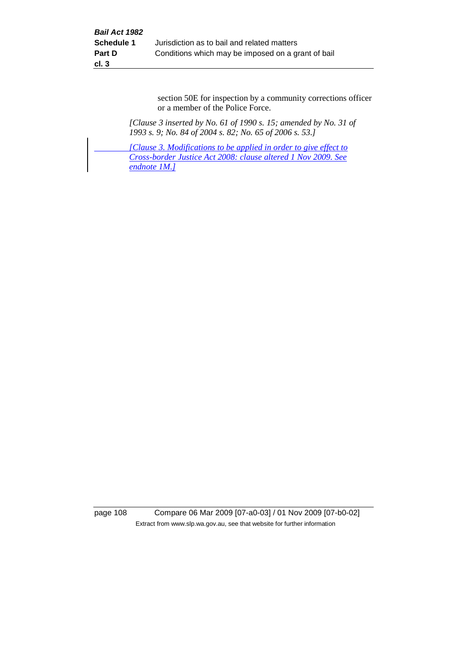section 50E for inspection by a community corrections officer or a member of the Police Force.

*[Clause 3 inserted by No. 61 of 1990 s. 15; amended by No. 31 of 1993 s. 9; No. 84 of 2004 s. 82; No. 65 of 2006 s. 53.]*

*[Clause 3. Modifications to be applied in order to give effect to Cross-border Justice Act 2008: clause altered 1 Nov 2009. See endnote 1M.]*

page 108 Compare 06 Mar 2009 [07-a0-03] / 01 Nov 2009 [07-b0-02] Extract from www.slp.wa.gov.au, see that website for further information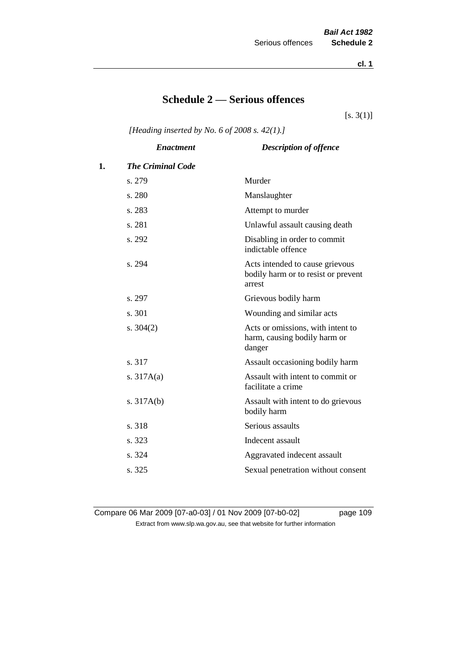**cl. 1**

# **Schedule 2 — Serious offences**

 $[s. 3(1)]$ 

*[Heading inserted by No. 6 of 2008 s. 42(1).]*

|    | <b>Enactment</b>         | <b>Description of offence</b>                                                    |
|----|--------------------------|----------------------------------------------------------------------------------|
| 1. | <b>The Criminal Code</b> |                                                                                  |
|    | s. 279                   | Murder                                                                           |
|    | s. 280                   | Manslaughter                                                                     |
|    | s. 283                   | Attempt to murder                                                                |
|    | s. 281                   | Unlawful assault causing death                                                   |
|    | s. 292                   | Disabling in order to commit<br>indictable offence                               |
|    | s. 294                   | Acts intended to cause grievous<br>bodily harm or to resist or prevent<br>arrest |
|    | s. 297                   | Grievous bodily harm                                                             |
|    | s. 301                   | Wounding and similar acts                                                        |
|    | s. $304(2)$              | Acts or omissions, with intent to<br>harm, causing bodily harm or<br>danger      |
|    | s. 317                   | Assault occasioning bodily harm                                                  |
|    | s. $317A(a)$             | Assault with intent to commit or<br>facilitate a crime                           |
|    | s. $317A(b)$             | Assault with intent to do grievous<br>bodily harm                                |
|    | s. 318                   | Serious assaults                                                                 |
|    | s. 323                   | Indecent assault                                                                 |
|    | s. 324                   | Aggravated indecent assault                                                      |
|    | s. 325                   | Sexual penetration without consent                                               |
|    |                          |                                                                                  |

Compare 06 Mar 2009 [07-a0-03] / 01 Nov 2009 [07-b0-02] page 109 Extract from www.slp.wa.gov.au, see that website for further information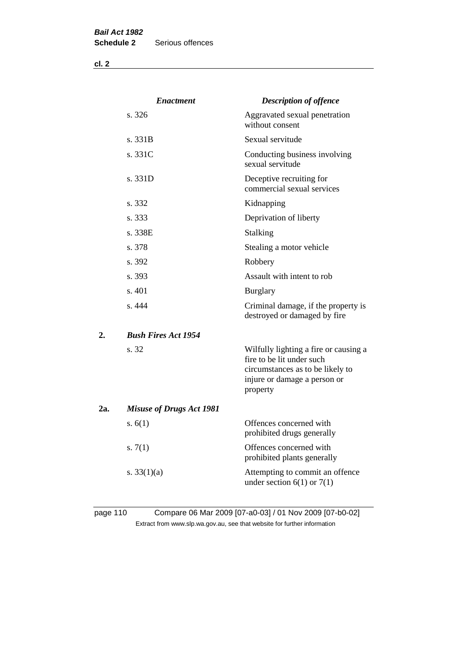**cl. 2**

|     | <b>Enactment</b>                | <b>Description of offence</b>                                                                                                                      |
|-----|---------------------------------|----------------------------------------------------------------------------------------------------------------------------------------------------|
|     | s. 326                          | Aggravated sexual penetration<br>without consent                                                                                                   |
|     | s. 331B                         | Sexual servitude                                                                                                                                   |
|     | s. 331C                         | Conducting business involving<br>sexual servitude                                                                                                  |
|     | s. 331D                         | Deceptive recruiting for<br>commercial sexual services                                                                                             |
|     | s. 332                          | Kidnapping                                                                                                                                         |
|     | s. 333                          | Deprivation of liberty                                                                                                                             |
|     | s. 338E                         | Stalking                                                                                                                                           |
|     | s. 378                          | Stealing a motor vehicle                                                                                                                           |
|     | s. 392                          | Robbery                                                                                                                                            |
|     | s. 393                          | Assault with intent to rob                                                                                                                         |
|     | s. 401                          | <b>Burglary</b>                                                                                                                                    |
|     | s. 444                          | Criminal damage, if the property is<br>destroyed or damaged by fire                                                                                |
| 2.  | <b>Bush Fires Act 1954</b>      |                                                                                                                                                    |
|     | s. 32                           | Wilfully lighting a fire or causing a<br>fire to be lit under such<br>circumstances as to be likely to<br>injure or damage a person or<br>property |
| 2a. | <b>Misuse of Drugs Act 1981</b> |                                                                                                                                                    |
|     | s. $6(1)$                       | Offences concerned with<br>prohibited drugs generally                                                                                              |
|     | s. $7(1)$                       | Offences concerned with<br>prohibited plants generally                                                                                             |
|     | s. $33(1)(a)$                   | Attempting to commit an offence<br>under section $6(1)$ or $7(1)$                                                                                  |

page 110 Compare 06 Mar 2009 [07-a0-03] / 01 Nov 2009 [07-b0-02] Extract from www.slp.wa.gov.au, see that website for further information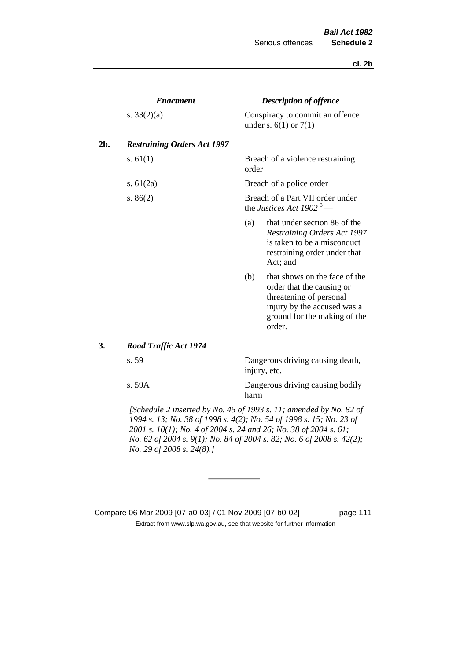#### **cl. 2b**

|     | <b>Enactment</b>                                                                                                                          | <b>Description of offence</b>                    |                                                                                                                                                                |  |
|-----|-------------------------------------------------------------------------------------------------------------------------------------------|--------------------------------------------------|----------------------------------------------------------------------------------------------------------------------------------------------------------------|--|
|     | s. $33(2)(a)$                                                                                                                             |                                                  | Conspiracy to commit an offence<br>under s. $6(1)$ or $7(1)$                                                                                                   |  |
| 2b. | <b>Restraining Orders Act 1997</b>                                                                                                        |                                                  |                                                                                                                                                                |  |
|     | s. $61(1)$                                                                                                                                | order                                            | Breach of a violence restraining                                                                                                                               |  |
|     | s. $61(2a)$                                                                                                                               |                                                  | Breach of a police order                                                                                                                                       |  |
|     | s. $86(2)$                                                                                                                                |                                                  | Breach of a Part VII order under<br>the Justices Act 1902 <sup>3</sup> —                                                                                       |  |
|     |                                                                                                                                           | (a)                                              | that under section 86 of the<br><b>Restraining Orders Act 1997</b><br>is taken to be a misconduct<br>restraining order under that<br>Act; and                  |  |
|     |                                                                                                                                           | (b)                                              | that shows on the face of the<br>order that the causing or<br>threatening of personal<br>injury by the accused was a<br>ground for the making of the<br>order. |  |
| 3.  | <b>Road Traffic Act 1974</b>                                                                                                              |                                                  |                                                                                                                                                                |  |
|     | s. 59                                                                                                                                     | Dangerous driving causing death,<br>injury, etc. |                                                                                                                                                                |  |
|     | s. 59A                                                                                                                                    | Dangerous driving causing bodily<br>harm         |                                                                                                                                                                |  |
|     | [Schedule 2 inserted by No. 45 of 1993 s. 11; amended by No. 82 of<br>1994 s. 13; No. 38 of 1998 s. 4(2); No. 54 of 1998 s. 15; No. 23 of |                                                  |                                                                                                                                                                |  |

*1994 s. 13; No. 38 of 1998 s. 4(2); No. 54 of 1998 s. 15; No. 23 of 2001 s. 10(1); No. 4 of 2004 s. 24 and 26; No. 38 of 2004 s. 61; No. 62 of 2004 s. 9(1); No. 84 of 2004 s. 82; No. 6 of 2008 s. 42(2); No. 29 of 2008 s. 24(8).]* 

Compare 06 Mar 2009 [07-a0-03] / 01 Nov 2009 [07-b0-02] page 111 Extract from www.slp.wa.gov.au, see that website for further information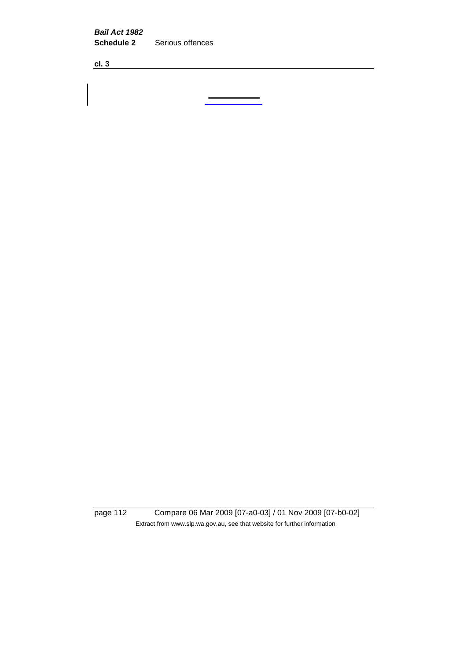*Bail Act 1982* **Schedule 2** Serious offences

**cl. 3**

page 112 Compare 06 Mar 2009 [07-a0-03] / 01 Nov 2009 [07-b0-02] Extract from www.slp.wa.gov.au, see that website for further information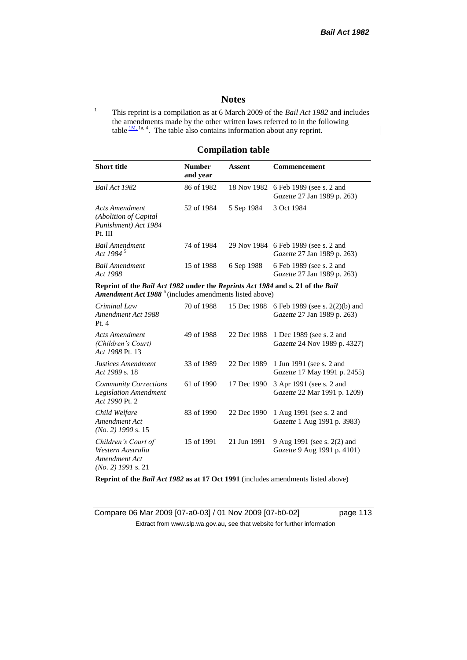## **Notes**

<sup>1</sup> This reprint is a compilation as at 6 March 2009 of the *Bail Act 1982* and includes the amendments made by the other written laws referred to in the following table  $\frac{1M}{1}$ <sup>a, 4</sup>. The table also contains information about any reprint.

## **Compilation table**

| <b>Short title</b>                                                                                                                                   | <b>Number</b><br>and year | Assent     | Commencement                                                                     |
|------------------------------------------------------------------------------------------------------------------------------------------------------|---------------------------|------------|----------------------------------------------------------------------------------|
| Bail Act 1982                                                                                                                                        | 86 of 1982                |            | 18 Nov 1982 6 Feb 1989 (see s. 2 and<br><i>Gazette</i> 27 Jan 1989 p. 263)       |
| Acts Amendment<br>(Abolition of Capital)<br>Punishment) Act 1984<br>Pt. III                                                                          | 52 of 1984                | 5 Sep 1984 | 3 Oct 1984                                                                       |
| Bail Amendment<br>Act 1984 $^5$                                                                                                                      | 74 of 1984                |            | 29 Nov 1984 6 Feb 1989 (see s. 2 and<br><i>Gazette</i> 27 Jan 1989 p. 263)       |
| Bail Amendment<br>Act 1988                                                                                                                           | 15 of 1988                | 6 Sep 1988 | 6 Feb 1989 (see s. 2 and<br><i>Gazette</i> 27 Jan 1989 p. 263)                   |
| Reprint of the Bail Act 1982 under the Reprints Act 1984 and s. 21 of the Bail<br>Amendment Act 1988 <sup>6</sup> (includes amendments listed above) |                           |            |                                                                                  |
| Criminal Law<br>Amendment Act 1988<br>Pt.4                                                                                                           | 70 of 1988                |            | 15 Dec 1988 6 Feb 1989 (see s. 2(2)(b) and<br><i>Gazette</i> 27 Jan 1989 p. 263) |
|                                                                                                                                                      |                           |            |                                                                                  |

| Acts Amendment<br>(Children's Court)<br>Act 1988 Pt. 13                           | 49 of 1988 |             | 22 Dec 1988 1 Dec 1989 (see s. 2 and<br><i>Gazette</i> 24 Nov 1989 p. 4327) |
|-----------------------------------------------------------------------------------|------------|-------------|-----------------------------------------------------------------------------|
| Justices Amendment<br>Act 1989 s. 18                                              | 33 of 1989 | 22 Dec 1989 | 1 Jun 1991 (see s. 2 and<br><i>Gazette</i> 17 May 1991 p. 2455)             |
| <b>Community Corrections</b><br><b>Legislation Amendment</b><br>Act 1990 Pt. 2    | 61 of 1990 | 17 Dec 1990 | 3 Apr 1991 (see s. 2 and<br><i>Gazette</i> 22 Mar 1991 p. 1209)             |
| Child Welfare<br>Amendment Act<br>$(No. 2)$ 1990 s. 15                            | 83 of 1990 | 22 Dec 1990 | 1 Aug 1991 (see s. 2 and<br><i>Gazette</i> 1 Aug 1991 p. 3983)              |
| Children's Court of<br>Western Australia<br>Amendment Act<br>$(No. 2)$ 1991 s. 21 | 15 of 1991 | 21 Jun 1991 | 9 Aug 1991 (see s. 2(2) and<br><i>Gazette</i> 9 Aug 1991 p. 4101)           |

**Reprint of the** *Bail Act 1982* **as at 17 Oct 1991** (includes amendments listed above)

Compare 06 Mar 2009 [07-a0-03] / 01 Nov 2009 [07-b0-02] page 113 Extract from www.slp.wa.gov.au, see that website for further information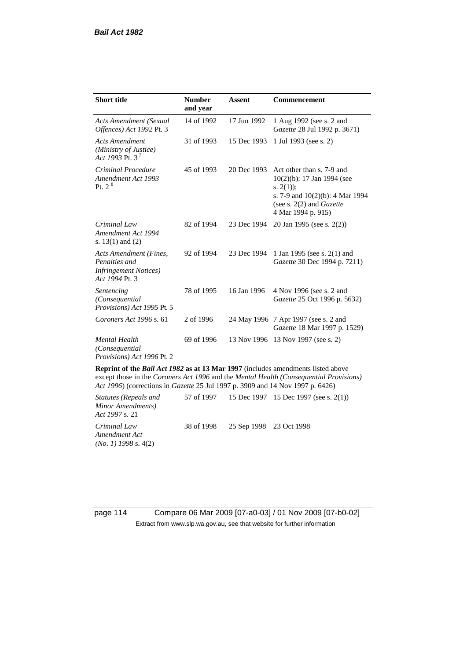| <b>Short title</b>                                                                         | <b>Number</b><br>and year | <b>Assent</b> | Commencement                                                                                                                                                               |
|--------------------------------------------------------------------------------------------|---------------------------|---------------|----------------------------------------------------------------------------------------------------------------------------------------------------------------------------|
| <b>Acts Amendment (Sexual</b><br>Offences) Act 1992 Pt. 3                                  | 14 of 1992                | 17 Jun 1992   | 1 Aug 1992 (see s. 2 and<br>Gazette 28 Jul 1992 p. 3671)                                                                                                                   |
| <b>Acts Amendment</b><br>(Ministry of Justice)<br>Act 1993 Pt. 3 <sup>7</sup>              | 31 of 1993                | 15 Dec 1993   | 1 Jul 1993 (see s. 2)                                                                                                                                                      |
| Criminal Procedure<br>Amendment Act 1993<br>Pt. $2^8$                                      | 45 of 1993                | 20 Dec 1993   | Act other than s. 7-9 and<br>$10(2)(b)$ : 17 Jan 1994 (see<br>s. $2(1)$ ;<br>s. 7-9 and $10(2)(b)$ : 4 Mar 1994<br>(see s. $2(2)$ and <i>Gazette</i><br>4 Mar 1994 p. 915) |
| Criminal Law<br>Amendment Act 1994<br>s. $13(1)$ and $(2)$                                 | 82 of 1994                | 23 Dec 1994   | 20 Jan 1995 (see s. 2(2))                                                                                                                                                  |
| Acts Amendment (Fines,<br>Penalties and<br><b>Infringement Notices</b> )<br>Act 1994 Pt. 3 | 92 of 1994                | 23 Dec 1994   | 1 Jan 1995 (see s. 2(1) and<br>Gazette 30 Dec 1994 p. 7211)                                                                                                                |
| Sentencing<br>(Consequential<br>Provisions) Act 1995 Pt. 5                                 | 78 of 1995                | 16 Jan 1996   | 4 Nov 1996 (see s. 2 and<br>Gazette 25 Oct 1996 p. 5632)                                                                                                                   |
| Coroners Act 1996 s. 61                                                                    | 2 of 1996                 |               | 24 May 1996 7 Apr 1997 (see s. 2 and<br>Gazette 18 Mar 1997 p. 1529)                                                                                                       |
| <b>Mental Health</b><br>(Consequential)<br>Provisions) Act 1996 Pt. 2                      | 69 of 1996                | 13 Nov 1996   | 13 Nov 1997 (see s. 2)                                                                                                                                                     |

**Reprint of the** *Bail Act 1982* **as at 13 Mar 1997** (includes amendments listed above except those in the *Coroners Act 1996* and the *Mental Health (Consequential Provisions) Act 1996*) (corrections in *Gazette* 25 Jul 1997 p. 3909 and 14 Nov 1997 p. 6426)

*Statutes (Repeals and Minor Amendments) Act 1997* s. 21 57 of 1997 15 Dec 1997 15 Dec 1997 (see s. 2(1)) *Criminal Law Amendment Act (No. 1) 1998* s. 4(2) 38 of 1998 25 Sep 1998 23 Oct 1998

page 114 Compare 06 Mar 2009 [07-a0-03] / 01 Nov 2009 [07-b0-02] Extract from www.slp.wa.gov.au, see that website for further information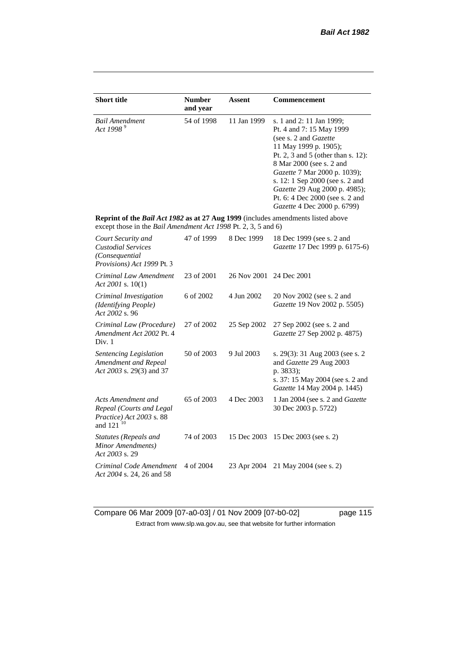| <b>Short title</b>                                                                                                                                 | <b>Number</b><br>and year | Assent      | Commencement                                                                                                                                                                                                                                                                                                                                            |
|----------------------------------------------------------------------------------------------------------------------------------------------------|---------------------------|-------------|---------------------------------------------------------------------------------------------------------------------------------------------------------------------------------------------------------------------------------------------------------------------------------------------------------------------------------------------------------|
| <b>Bail Amendment</b><br>Act 1998 $9^9$                                                                                                            | 54 of 1998                | 11 Jan 1999 | s. 1 and 2: 11 Jan 1999;<br>Pt. 4 and 7: 15 May 1999<br>(see s. 2 and <i>Gazette</i> )<br>11 May 1999 p. 1905);<br>Pt. 2, 3 and 5 (other than s. 12):<br>8 Mar 2000 (see s. 2 and<br>Gazette 7 Mar 2000 p. 1039);<br>s. 12: 1 Sep 2000 (see s. 2 and<br>Gazette 29 Aug 2000 p. 4985);<br>Pt. 6: 4 Dec 2000 (see s. 2 and<br>Gazette 4 Dec 2000 p. 6799) |
| Reprint of the Bail Act 1982 as at 27 Aug 1999 (includes amendments listed above<br>except those in the Bail Amendment Act 1998 Pt. 2, 3, 5 and 6) |                           |             |                                                                                                                                                                                                                                                                                                                                                         |
| Court Security and<br><b>Custodial Services</b><br>(Consequential<br>Provisions) Act 1999 Pt. 3                                                    | 47 of 1999                | 8 Dec 1999  | 18 Dec 1999 (see s. 2 and<br>Gazette 17 Dec 1999 p. 6175-6)                                                                                                                                                                                                                                                                                             |
| Criminal Law Amendment<br>Act 2001 s. $10(1)$                                                                                                      | 23 of 2001                | 26 Nov 2001 | 24 Dec 2001                                                                                                                                                                                                                                                                                                                                             |
| Criminal Investigation<br>(Identifying People)<br>Act 2002 s. 96                                                                                   | 6 of 2002                 | 4 Jun 2002  | 20 Nov 2002 (see s. 2 and<br>Gazette 19 Nov 2002 p. 5505)                                                                                                                                                                                                                                                                                               |
| Criminal Law (Procedure)<br>Amendment Act 2002 Pt. 4<br>Div. 1                                                                                     | 27 of 2002                | 25 Sep 2002 | 27 Sep 2002 (see s. 2 and<br>Gazette 27 Sep 2002 p. 4875)                                                                                                                                                                                                                                                                                               |
| Sentencing Legislation<br>Amendment and Repeal<br>Act 2003 s. 29(3) and 37                                                                         | 50 of 2003                | 9 Jul 2003  | s. 29(3): 31 Aug 2003 (see s. 2<br>and Gazette 29 Aug 2003<br>p. 3833);<br>s. 37: 15 May 2004 (see s. 2 and<br>Gazette 14 May 2004 p. 1445)                                                                                                                                                                                                             |
| Acts Amendment and<br>Repeal (Courts and Legal<br>Practice) Act 2003 s. 88<br>and 121 <sup>10</sup>                                                | 65 of 2003                | 4 Dec 2003  | 1 Jan 2004 (see s. 2 and Gazette<br>30 Dec 2003 p. 5722)                                                                                                                                                                                                                                                                                                |
| Statutes (Repeals and<br>Minor Amendments)<br>Act 2003 s. 29                                                                                       | 74 of 2003                | 15 Dec 2003 | 15 Dec 2003 (see s. 2)                                                                                                                                                                                                                                                                                                                                  |
| Criminal Code Amendment<br>Act 2004 s. 24, 26 and 58                                                                                               | 4 of 2004                 | 23 Apr 2004 | 21 May 2004 (see s. 2)                                                                                                                                                                                                                                                                                                                                  |

Compare 06 Mar 2009 [07-a0-03] / 01 Nov 2009 [07-b0-02] page 115 Extract from www.slp.wa.gov.au, see that website for further information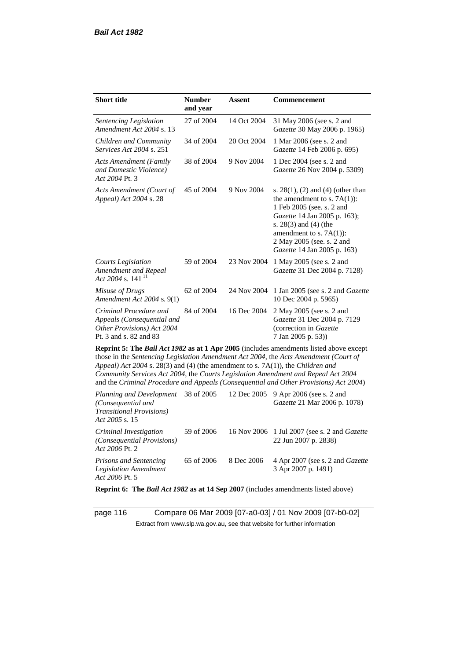| <b>Short title</b>                                                                                                                                                                                                                                                                                                                                                                                                                              | <b>Number</b><br>and year | Assent      | Commencement                                                                                                                                                                                                                                         |  |
|-------------------------------------------------------------------------------------------------------------------------------------------------------------------------------------------------------------------------------------------------------------------------------------------------------------------------------------------------------------------------------------------------------------------------------------------------|---------------------------|-------------|------------------------------------------------------------------------------------------------------------------------------------------------------------------------------------------------------------------------------------------------------|--|
| Sentencing Legislation<br>Amendment Act 2004 s. 13                                                                                                                                                                                                                                                                                                                                                                                              | 27 of 2004                | 14 Oct 2004 | 31 May 2006 (see s. 2 and<br>Gazette 30 May 2006 p. 1965)                                                                                                                                                                                            |  |
| Children and Community<br><i>Services Act 2004 s. 251</i>                                                                                                                                                                                                                                                                                                                                                                                       | 34 of 2004                | 20 Oct 2004 | 1 Mar 2006 (see s. 2 and<br>Gazette 14 Feb 2006 p. 695)                                                                                                                                                                                              |  |
| <b>Acts Amendment (Family</b><br>and Domestic Violence)<br>Act 2004 Pt. 3                                                                                                                                                                                                                                                                                                                                                                       | 38 of 2004                | 9 Nov 2004  | 1 Dec 2004 (see s. 2 and<br>Gazette 26 Nov 2004 p. 5309)                                                                                                                                                                                             |  |
| Acts Amendment (Court of<br>Appeal) Act 2004 s. 28                                                                                                                                                                                                                                                                                                                                                                                              | 45 of 2004                | 9 Nov 2004  | s. $28(1)$ , (2) and (4) (other than<br>the amendment to s. $7A(1)$ :<br>1 Feb 2005 (see. s. 2 and<br>Gazette 14 Jan 2005 p. 163);<br>s. 28(3) and (4) (the<br>amendment to s. $7A(1)$ :<br>2 May 2005 (see. s. 2 and<br>Gazette 14 Jan 2005 p. 163) |  |
| <b>Courts Legislation</b><br>Amendment and Repeal<br>Act 2004 s. 141 <sup>11</sup>                                                                                                                                                                                                                                                                                                                                                              | 59 of 2004                | 23 Nov 2004 | 1 May 2005 (see s. 2 and<br>Gazette 31 Dec 2004 p. 7128)                                                                                                                                                                                             |  |
| Misuse of Drugs<br>Amendment Act 2004 s. 9(1)                                                                                                                                                                                                                                                                                                                                                                                                   | 62 of 2004                | 24 Nov 2004 | 1 Jan 2005 (see s. 2 and Gazette<br>10 Dec 2004 p. 5965)                                                                                                                                                                                             |  |
| Criminal Procedure and<br>Appeals (Consequential and<br>Other Provisions) Act 2004<br>Pt. 3 and s. 82 and 83                                                                                                                                                                                                                                                                                                                                    | 84 of 2004                | 16 Dec 2004 | 2 May 2005 (see s. 2 and<br>Gazette 31 Dec 2004 p. 7129<br>(correction in Gazette<br>7 Jan 2005 p. 53))                                                                                                                                              |  |
| Reprint 5: The Bail Act 1982 as at 1 Apr 2005 (includes amendments listed above except<br>those in the Sentencing Legislation Amendment Act 2004, the Acts Amendment (Court of<br>Appeal) Act 2004 s. 28(3) and (4) (the amendment to s. 7A(1)), the Children and<br>Community Services Act 2004, the Courts Legislation Amendment and Repeal Act 2004<br>and the Criminal Procedure and Appeals (Consequential and Other Provisions) Act 2004) |                           |             |                                                                                                                                                                                                                                                      |  |
| Planning and Development<br>(Consequential and<br><b>Transitional Provisions)</b><br>Act 2005 s. 15                                                                                                                                                                                                                                                                                                                                             | 38 of 2005                | 12 Dec 2005 | 9 Apr 2006 (see s. 2 and<br>Gazette 21 Mar 2006 p. 1078)                                                                                                                                                                                             |  |
| Criminal Investigation<br>(Consequential Provisions)                                                                                                                                                                                                                                                                                                                                                                                            | 59 of 2006                | 16 Nov 2006 | 1 Jul 2007 (see s. 2 and Gazette<br>22 Jun 2007 p. 2838)                                                                                                                                                                                             |  |

*Act 2006* Pt. 2 *Prisons and Sentencing Legislation Amendment Act 2006* Pt. 5 65 of 2006 8 Dec 2006 4 Apr 2007 (see s. 2 and *Gazette* 3 Apr 2007 p. 1491)

**Reprint 6: The** *Bail Act 1982* **as at 14 Sep 2007** (includes amendments listed above)

page 116 Compare 06 Mar 2009 [07-a0-03] / 01 Nov 2009 [07-b0-02] Extract from www.slp.wa.gov.au, see that website for further information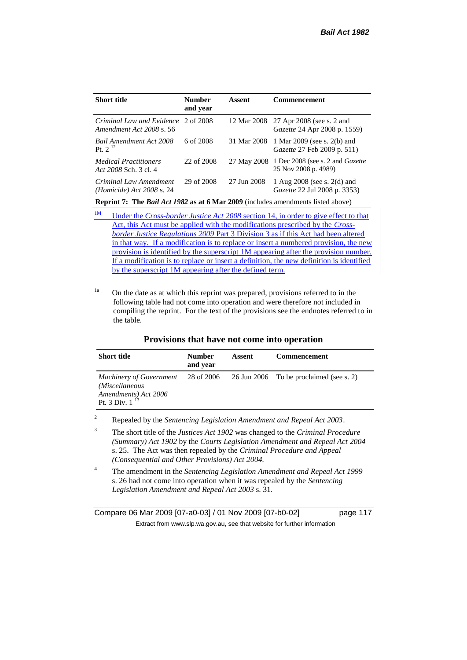| <b>Short title</b>                                              | <b>Number</b><br>and year | Assent      | <b>Commencement</b>                                                          |
|-----------------------------------------------------------------|---------------------------|-------------|------------------------------------------------------------------------------|
| Criminal Law and Evidence 2 of 2008<br>Amendment Act 2008 s. 56 |                           |             | 12 Mar 2008 27 Apr 2008 (see s. 2 and<br><i>Gazette</i> 24 Apr 2008 p. 1559) |
| <b>Bail Amendment Act 2008</b><br>$Pt \ 2^{12}$                 | 6 of 2008                 | 31 Mar 2008 | 1 Mar 2009 (see s. 2(b) and<br><i>Gazette</i> 27 Feb 2009 p. 511)            |
| <i>Medical Practitioners</i><br>Act 2008 Sch. 3 cl. 4           | 22 of 2008                |             | 27 May 2008 1 Dec 2008 (see s. 2 and <i>Gazette</i><br>25 Nov 2008 p. 4989)  |
| Criminal Law Amendment<br>(Homicide) Act 2008 s. 24             | 29 of 2008                | 27 Jun 2008 | 1 Aug $2008$ (see s. $2(d)$ and<br><i>Gazette</i> 22 Jul 2008 p. 3353)       |

**Reprint 7: The** *Bail Act 1982* **as at 6 Mar 2009** (includes amendments listed above)

- <sup>1M</sup> Under the *Cross-border Justice Act 2008* section 14, in order to give effect to that Act, this Act must be applied with the modifications prescribed by the *Crossborder Justice Regulations 2009* Part 3 Division 3 as if this Act had been altered in that way. If a modification is to replace or insert a numbered provision, the new provision is identified by the superscript 1M appearing after the provision number. If a modification is to replace or insert a definition, the new definition is identified by the superscript 1M appearing after the defined term.
- <sup>1a</sup> On the date as at which this reprint was prepared, provisions referred to in the following table had not come into operation and were therefore not included in compiling the reprint. For the text of the provisions see the endnotes referred to in the table.

| <b>Short title</b>                                                                              | <b>Number</b><br>and year | Assent | <b>Commencement</b>                     |
|-------------------------------------------------------------------------------------------------|---------------------------|--------|-----------------------------------------|
| <b>Machinery of Government</b><br>(Miscellaneous<br>Amendments) Act 2006<br>Pt. 3 Div. $1^{13}$ | 28 of 2006                |        | 26 Jun 2006 To be proclaimed (see s. 2) |

**Provisions that have not come into operation**

<sup>2</sup> Repealed by the *Sentencing Legislation Amendment and Repeal Act 2003*.

<sup>3</sup> The short title of the *Justices Act 1902* was changed to the *Criminal Procedure (Summary) Act 1902* by the *Courts Legislation Amendment and Repeal Act 2004*  s. 25. The Act was then repealed by the *Criminal Procedure and Appeal (Consequential and Other Provisions) Act 2004.*

<sup>4</sup> The amendment in the *Sentencing Legislation Amendment and Repeal Act 1999* s. 26 had not come into operation when it was repealed by the *Sentencing Legislation Amendment and Repeal Act 2003* s. 31.

Compare 06 Mar 2009 [07-a0-03] / 01 Nov 2009 [07-b0-02] page 117 Extract from www.slp.wa.gov.au, see that website for further information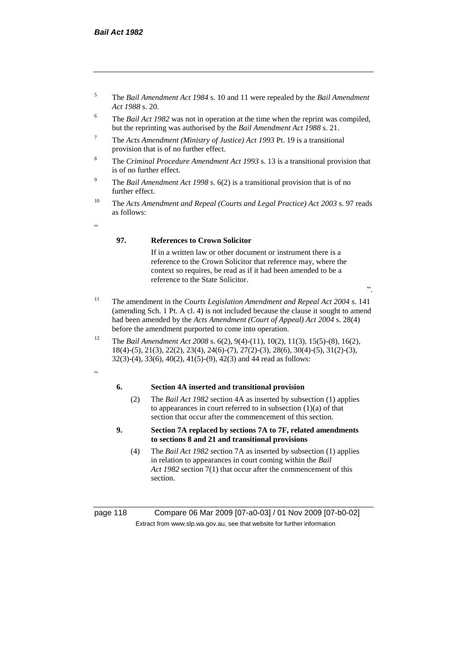- <sup>5</sup> The *Bail Amendment Act 1984* s. 10 and 11 were repealed by the *Bail Amendment Act 1988* s. 20.
- <sup>6</sup> The *Bail Act 1982* was not in operation at the time when the reprint was compiled, but the reprinting was authorised by the *Bail Amendment Act 1988* s. 21.
- <sup>7</sup> The *Acts Amendment (Ministry of Justice) Act 1993* Pt. 19 is a transitional provision that is of no further effect.
- <sup>8</sup> The *Criminal Procedure Amendment Act 1993* s. 13 is a transitional provision that is of no further effect.
- <sup>9</sup> The *Bail Amendment Act 1998* s. 6(2) is a transitional provision that is of no further effect.
- <sup>10</sup> The *Acts Amendment and Repeal (Courts and Legal Practice) Act 2003* s. 97 reads as follows:
- "

#### **97. References to Crown Solicitor**

If in a written law or other document or instrument there is a reference to the Crown Solicitor that reference may, where the context so requires, be read as if it had been amended to be a reference to the State Solicitor.

- ".
- <sup>11</sup> The amendment in the *Courts Legislation Amendment and Repeal Act 2004* s. 141 (amending Sch. 1 Pt. A cl. 4) is not included because the clause it sought to amend had been amended by the *Acts Amendment (Court of Appeal) Act 2004* s. 28(4) before the amendment purported to come into operation.
- <sup>12</sup> The *Bail Amendment Act 2008* s. 6(2), 9(4)-(11), 10(2), 11(3), 15(5)-(8), 16(2), 18(4)-(5), 21(3), 22(2), 23(4), 24(6)-(7), 27(2)-(3), 28(6), 30(4)-(5), 31(2)-(3), 32(3)-(4), 33(6), 40(2), 41(5)-(9), 42(3) and 44 read as follows:
- "

## **6. Section 4A inserted and transitional provision**

- (2) The *Bail Act 1982* section 4A as inserted by subsection (1) applies to appearances in court referred to in subsection (1)(a) of that section that occur after the commencement of this section.
- **9. Section 7A replaced by sections 7A to 7F, related amendments to sections 8 and 21 and transitional provisions**
	- (4) The *Bail Act 1982* section 7A as inserted by subsection (1) applies in relation to appearances in court coming within the *Bail Act 1982* section 7(1) that occur after the commencement of this section.

page 118 Compare 06 Mar 2009 [07-a0-03] / 01 Nov 2009 [07-b0-02] Extract from www.slp.wa.gov.au, see that website for further information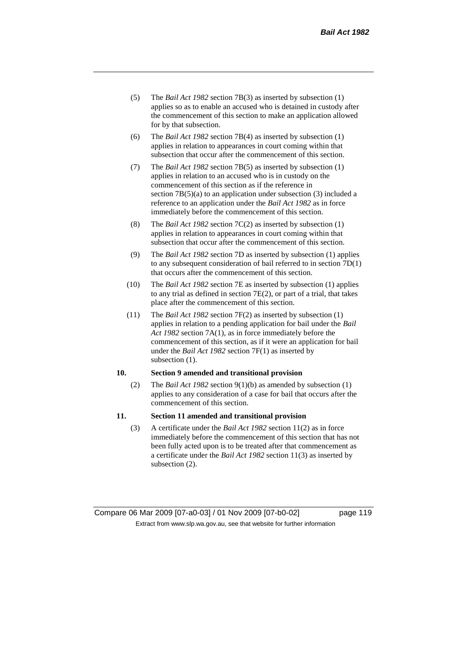- (5) The *Bail Act 1982* section 7B(3) as inserted by subsection (1) applies so as to enable an accused who is detained in custody after the commencement of this section to make an application allowed for by that subsection.
- (6) The *Bail Act 1982* section 7B(4) as inserted by subsection (1) applies in relation to appearances in court coming within that subsection that occur after the commencement of this section.
- (7) The *Bail Act 1982* section 7B(5) as inserted by subsection (1) applies in relation to an accused who is in custody on the commencement of this section as if the reference in section 7B(5)(a) to an application under subsection (3) included a reference to an application under the *Bail Act 1982* as in force immediately before the commencement of this section.
- (8) The *Bail Act 1982* section 7C(2) as inserted by subsection (1) applies in relation to appearances in court coming within that subsection that occur after the commencement of this section.
- (9) The *Bail Act 1982* section 7D as inserted by subsection (1) applies to any subsequent consideration of bail referred to in section 7D(1) that occurs after the commencement of this section.
- (10) The *Bail Act 1982* section 7E as inserted by subsection (1) applies to any trial as defined in section 7E(2), or part of a trial, that takes place after the commencement of this section.
- (11) The *Bail Act 1982* section 7F(2) as inserted by subsection (1) applies in relation to a pending application for bail under the *Bail Act 1982* section 7A(1), as in force immediately before the commencement of this section, as if it were an application for bail under the *Bail Act 1982* section 7F(1) as inserted by subsection (1).

#### **10. Section 9 amended and transitional provision**

(2) The *Bail Act 1982* section 9(1)(b) as amended by subsection (1) applies to any consideration of a case for bail that occurs after the commencement of this section.

### **11. Section 11 amended and transitional provision**

(3) A certificate under the *Bail Act 1982* section 11(2) as in force immediately before the commencement of this section that has not been fully acted upon is to be treated after that commencement as a certificate under the *Bail Act 1982* section 11(3) as inserted by subsection (2).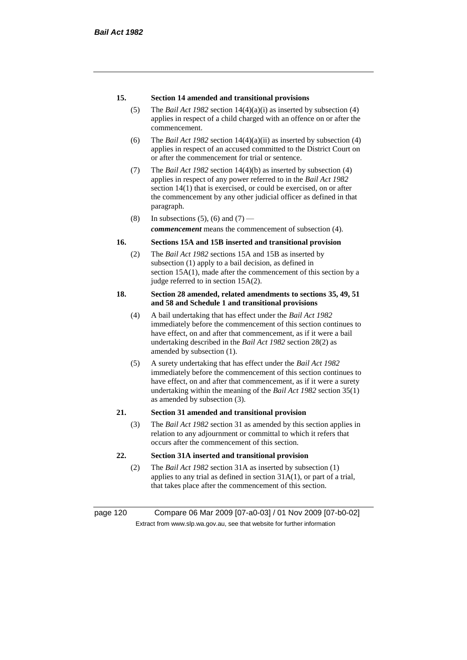#### **15. Section 14 amended and transitional provisions**

- (5) The *Bail Act 1982* section 14(4)(a)(i) as inserted by subsection (4) applies in respect of a child charged with an offence on or after the commencement.
- (6) The *Bail Act 1982* section 14(4)(a)(ii) as inserted by subsection (4) applies in respect of an accused committed to the District Court on or after the commencement for trial or sentence.
- (7) The *Bail Act 1982* section 14(4)(b) as inserted by subsection (4) applies in respect of any power referred to in the *Bail Act 1982* section 14(1) that is exercised, or could be exercised, on or after the commencement by any other judicial officer as defined in that paragraph.
- (8) In subsections (5), (6) and (7) —

*commencement* means the commencement of subsection (4).

### **16. Sections 15A and 15B inserted and transitional provision**

(2) The *Bail Act 1982* sections 15A and 15B as inserted by subsection (1) apply to a bail decision, as defined in section 15A(1), made after the commencement of this section by a judge referred to in section 15A(2).

#### **18. Section 28 amended, related amendments to sections 35, 49, 51 and 58 and Schedule 1 and transitional provisions**

- (4) A bail undertaking that has effect under the *Bail Act 1982* immediately before the commencement of this section continues to have effect, on and after that commencement, as if it were a bail undertaking described in the *Bail Act 1982* section 28(2) as amended by subsection (1).
- (5) A surety undertaking that has effect under the *Bail Act 1982* immediately before the commencement of this section continues to have effect, on and after that commencement, as if it were a surety undertaking within the meaning of the *Bail Act 1982* section 35(1) as amended by subsection (3).

## **21. Section 31 amended and transitional provision**

(3) The *Bail Act 1982* section 31 as amended by this section applies in relation to any adjournment or committal to which it refers that occurs after the commencement of this section.

#### **22. Section 31A inserted and transitional provision**

(2) The *Bail Act 1982* section 31A as inserted by subsection (1) applies to any trial as defined in section 31A(1), or part of a trial, that takes place after the commencement of this section.

page 120 Compare 06 Mar 2009 [07-a0-03] / 01 Nov 2009 [07-b0-02] Extract from www.slp.wa.gov.au, see that website for further information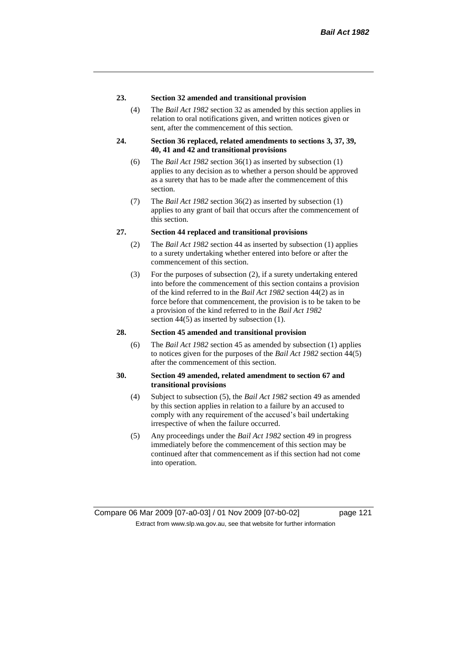#### **23. Section 32 amended and transitional provision**

(4) The *Bail Act 1982* section 32 as amended by this section applies in relation to oral notifications given, and written notices given or sent, after the commencement of this section.

#### **24. Section 36 replaced, related amendments to sections 3, 37, 39, 40, 41 and 42 and transitional provisions**

- (6) The *Bail Act 1982* section 36(1) as inserted by subsection (1) applies to any decision as to whether a person should be approved as a surety that has to be made after the commencement of this section.
- (7) The *Bail Act 1982* section 36(2) as inserted by subsection (1) applies to any grant of bail that occurs after the commencement of this section.

### **27. Section 44 replaced and transitional provisions**

- (2) The *Bail Act 1982* section 44 as inserted by subsection (1) applies to a surety undertaking whether entered into before or after the commencement of this section.
- (3) For the purposes of subsection (2), if a surety undertaking entered into before the commencement of this section contains a provision of the kind referred to in the *Bail Act 1982* section 44(2) as in force before that commencement, the provision is to be taken to be a provision of the kind referred to in the *Bail Act 1982*  section 44(5) as inserted by subsection (1).

#### **28. Section 45 amended and transitional provision**

(6) The *Bail Act 1982* section 45 as amended by subsection (1) applies to notices given for the purposes of the *Bail Act 1982* section 44(5) after the commencement of this section.

#### **30. Section 49 amended, related amendment to section 67 and transitional provisions**

- (4) Subject to subsection (5), the *Bail Act 1982* section 49 as amended by this section applies in relation to a failure by an accused to comply with any requirement of the accused's bail undertaking irrespective of when the failure occurred.
- (5) Any proceedings under the *Bail Act 1982* section 49 in progress immediately before the commencement of this section may be continued after that commencement as if this section had not come into operation.

Compare 06 Mar 2009 [07-a0-03] / 01 Nov 2009 [07-b0-02] page 121 Extract from www.slp.wa.gov.au, see that website for further information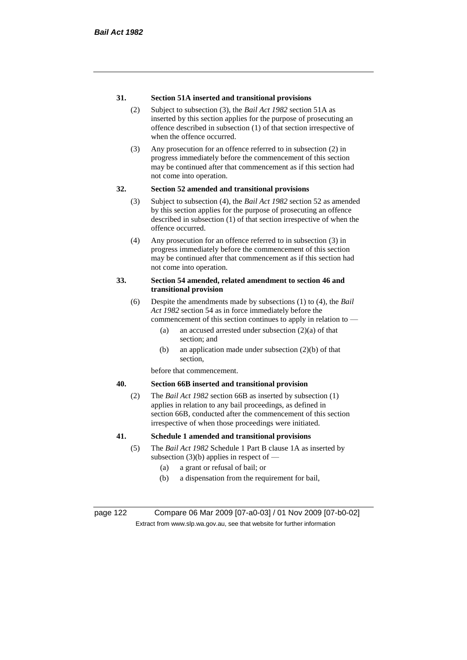#### **31. Section 51A inserted and transitional provisions**

- (2) Subject to subsection (3), the *Bail Act 1982* section 51A as inserted by this section applies for the purpose of prosecuting an offence described in subsection (1) of that section irrespective of when the offence occurred.
- (3) Any prosecution for an offence referred to in subsection (2) in progress immediately before the commencement of this section may be continued after that commencement as if this section had not come into operation.

#### **32. Section 52 amended and transitional provisions**

- (3) Subject to subsection (4), the *Bail Act 1982* section 52 as amended by this section applies for the purpose of prosecuting an offence described in subsection (1) of that section irrespective of when the offence occurred.
- (4) Any prosecution for an offence referred to in subsection (3) in progress immediately before the commencement of this section may be continued after that commencement as if this section had not come into operation.

#### **33. Section 54 amended, related amendment to section 46 and transitional provision**

- (6) Despite the amendments made by subsections (1) to (4), the *Bail Act 1982* section 54 as in force immediately before the commencement of this section continues to apply in relation to —
	- (a) an accused arrested under subsection (2)(a) of that section; and
	- (b) an application made under subsection (2)(b) of that section,

before that commencement.

### **40. Section 66B inserted and transitional provision**

(2) The *Bail Act 1982* section 66B as inserted by subsection (1) applies in relation to any bail proceedings, as defined in section 66B, conducted after the commencement of this section irrespective of when those proceedings were initiated.

#### **41. Schedule 1 amended and transitional provisions**

- (5) The *Bail Act 1982* Schedule 1 Part B clause 1A as inserted by subsection  $(3)(b)$  applies in respect of  $-$ 
	- (a) a grant or refusal of bail; or
	- (b) a dispensation from the requirement for bail,

page 122 Compare 06 Mar 2009 [07-a0-03] / 01 Nov 2009 [07-b0-02] Extract from www.slp.wa.gov.au, see that website for further information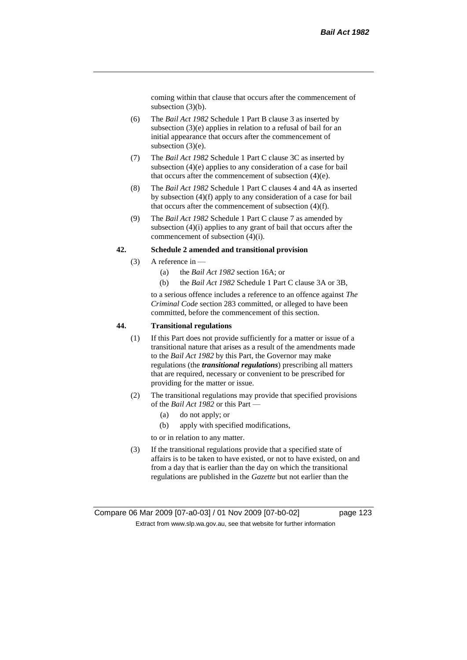coming within that clause that occurs after the commencement of subsection (3)(b).

- (6) The *Bail Act 1982* Schedule 1 Part B clause 3 as inserted by subsection (3)(e) applies in relation to a refusal of bail for an initial appearance that occurs after the commencement of subsection (3)(e).
- (7) The *Bail Act 1982* Schedule 1 Part C clause 3C as inserted by subsection (4)(e) applies to any consideration of a case for bail that occurs after the commencement of subsection (4)(e).
- (8) The *Bail Act 1982* Schedule 1 Part C clauses 4 and 4A as inserted by subsection (4)(f) apply to any consideration of a case for bail that occurs after the commencement of subsection (4)(f).
- (9) The *Bail Act 1982* Schedule 1 Part C clause 7 as amended by subsection (4)(i) applies to any grant of bail that occurs after the commencement of subsection (4)(i).

#### **42. Schedule 2 amended and transitional provision**

- (3) A reference in
	- (a) the *Bail Act 1982* section 16A; or
	- (b) the *Bail Act 1982* Schedule 1 Part C clause 3A or 3B,

to a serious offence includes a reference to an offence against *The Criminal Code* section 283 committed, or alleged to have been committed, before the commencement of this section.

#### **44. Transitional regulations**

- (1) If this Part does not provide sufficiently for a matter or issue of a transitional nature that arises as a result of the amendments made to the *Bail Act 1982* by this Part, the Governor may make regulations (the *transitional regulations*) prescribing all matters that are required, necessary or convenient to be prescribed for providing for the matter or issue.
- (2) The transitional regulations may provide that specified provisions of the *Bail Act 1982* or this Part —
	- (a) do not apply; or
	- (b) apply with specified modifications,
	- to or in relation to any matter.
- (3) If the transitional regulations provide that a specified state of affairs is to be taken to have existed, or not to have existed, on and from a day that is earlier than the day on which the transitional regulations are published in the *Gazette* but not earlier than the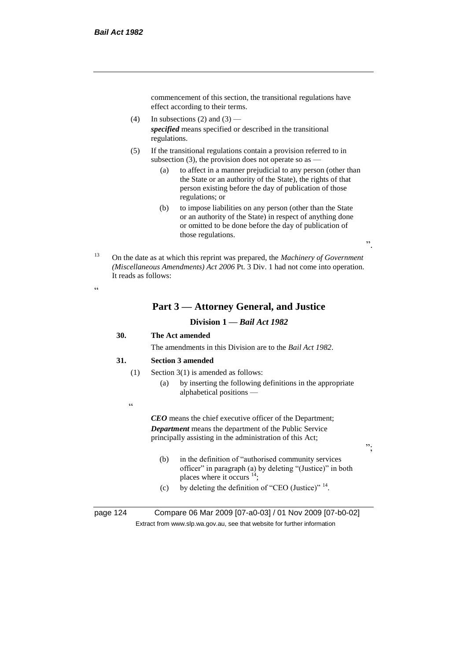commencement of this section, the transitional regulations have effect according to their terms.

- (4) In subsections (2) and (3) *specified* means specified or described in the transitional regulations.
- (5) If the transitional regulations contain a provision referred to in subsection (3), the provision does not operate so as  $-$ 
	- (a) to affect in a manner prejudicial to any person (other than the State or an authority of the State), the rights of that person existing before the day of publication of those regulations; or
	- (b) to impose liabilities on any person (other than the State or an authority of the State) in respect of anything done or omitted to be done before the day of publication of those regulations.

".

";

<sup>13</sup> On the date as at which this reprint was prepared, the *Machinery of Government (Miscellaneous Amendments) Act 2006* Pt. 3 Div. 1 had not come into operation. It reads as follows:

 $\alpha$ 

## **Part 3 — Attorney General, and Justice**

## **Division 1 —** *Bail Act 1982*

## **30. The Act amended**

The amendments in this Division are to the *Bail Act 1982*.

#### **31. Section 3 amended**

- (1) Section  $3(1)$  is amended as follows:
	- (a) by inserting the following definitions in the appropriate alphabetical positions —
- .<br>c

*CEO* means the chief executive officer of the Department; *Department* means the department of the Public Service principally assisting in the administration of this Act;

- (b) in the definition of "authorised community services officer" in paragraph (a) by deleting "(Justice)" in both places where it occurs <sup>14</sup>;
- (c) by deleting the definition of "CEO (Justice)"  $14$ .

page 124 Compare 06 Mar 2009 [07-a0-03] / 01 Nov 2009 [07-b0-02] Extract from www.slp.wa.gov.au, see that website for further information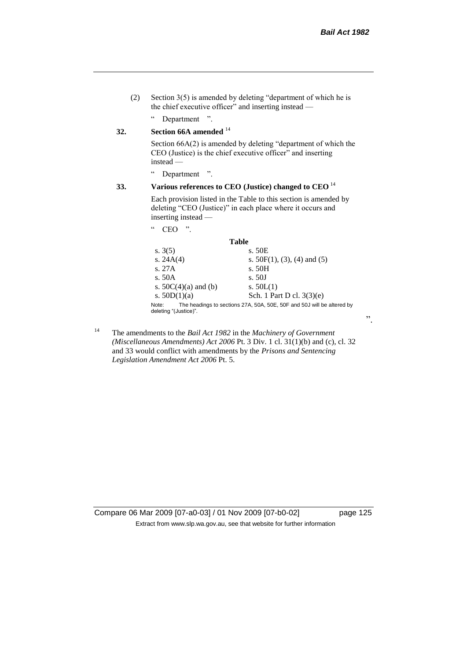".

- (2) Section 3(5) is amended by deleting "department of which he is the chief executive officer" and inserting instead —
	- " Department ".

## **32. Section 66A amended** <sup>14</sup>

Section 66A(2) is amended by deleting "department of which the CEO (Justice) is the chief executive officer" and inserting instead —

" Department ".

## **33. Various references to CEO (Justice) changed to CEO** <sup>14</sup>

Each provision listed in the Table to this section is amended by deleting "CEO (Justice)" in each place where it occurs and inserting instead —

| C<br>,,<br>CEO                 |                                                                        |
|--------------------------------|------------------------------------------------------------------------|
|                                | Table                                                                  |
| s. $3(5)$                      | s. 50E                                                                 |
| s. $24A(4)$                    | s. $50F(1)$ , (3), (4) and (5)                                         |
| s.27A                          | s. 50H                                                                 |
| s. 50A                         | s. 50J                                                                 |
| s. $50C(4)(a)$ and (b)         | s. $50L(1)$                                                            |
| s. $50D(1)(a)$                 | Sch. 1 Part D cl. $3(3)(e)$                                            |
| Note:<br>deleting "(Justice)". | The headings to sections 27A, 50A, 50E, 50F and 50J will be altered by |

<sup>14</sup> The amendments to the *Bail Act 1982* in the *Machinery of Government (Miscellaneous Amendments) Act 2006* Pt. 3 Div. 1 cl. 31(1)(b) and (c), cl. 32 and 33 would conflict with amendments by the *Prisons and Sentencing Legislation Amendment Act 2006* Pt. 5.

Compare 06 Mar 2009 [07-a0-03] / 01 Nov 2009 [07-b0-02] page 125 Extract from www.slp.wa.gov.au, see that website for further information